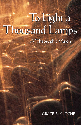# To Light a To Light a Thousand Lamps Thousand Lamps A Theosophic Vision

#### GRACE F. KNOCHE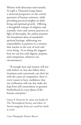Written with directness and warmth, *To Light a Thousand Lamps* shares a universal perspective on the central questions of human existence, while providing practical insights on daily living and spiritual growth. Offering a thoughtful critique of religious and scientific views and current practices in light of theosophy, the author presents the foundation ideas of mankind's spiritual heritage, addressing our responsibility as partners in a oneness that reaches to the core of each and every being. In so doing she suggests how we can live with dignity, purpose, and compassion, whatever our circumstances.

"If enough men and women will not only believe in, but also follow their intuitions and consciously cast their lot with the cause of compassion, there is every reason to have confidence that our civilization will one day make the leap from self-centeredness to genuine brotherhood in every phase of the human enterprise."

GRACE F. KNOCHE (b. 1909) was leader of The Theosophical Society and editor of *Sunrise* magazine from 1971 until her death  $in 2006$ 

*Cover Photograph*: ERNEST BRAUN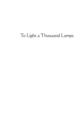## To Light a Thousand Lamps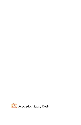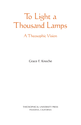## To Light a Thousand Lamps

A Theosophic Vision

Grace F. Knoche

THEOSOPHICAL UNIVERSITY PRESS PASADENA, CALIFORNIA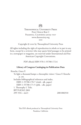

#### **THEOSOPHICAL UNIVERSITY PRESS** POST OFFICE BOX C PASADENA, CALIFORNIA 91109-7107 www.theosociety.org  $2.011$

Copyright © 2001 by Theosophical University Press

All rights including the right of reproduction in whole or in part in any form, except by a reviewer who may quote brief passages to be printed in a newspaper or magazine, are reserved under International and Pan-American Copyright Conventions.

PDF eBook ISBN 978-1-55700-172-6

#### **Library of Congress Cataloging-in-Publication Data**

Knoche, Grace F. To light a thousand lamps: a theosophic vision / Grace F. Knoche p. cm. Includes bibliographical references and index. ISBN 1-55700-170-7 (cloth : alk. paper) ISBN 1-55700-171-5 (pbk. : alk. paper) 1. Theosophy I. Title. BP570.K565 2001 299'.934—dc21 2001006910

> This PDF eBook produced at Theosophical University Press Pasadena, California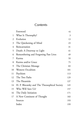#### **Contents**

|    | Foreword                                     | vii |
|----|----------------------------------------------|-----|
| 1  | What Is Theosophy?                           | 3   |
| 2  | Evolution                                    | 13  |
| 3  | The Quickening of Mind                       | 23  |
| 4  | Reincarnation                                | 31  |
| 5  | Death: A Doorway to Light                    | 41  |
| 6  | Remembering and Forgetting Past Lives        | 49  |
| 7  | Karma                                        | 59  |
| 8  | Karma and/or Grace                           | 75  |
| 9  | The Christian Message                        | 83  |
| 10 | Western Occultism                            | 101 |
| 11 | Psychism                                     | 113 |
| 12 | The Two Paths                                | 129 |
| 13 | The Pāramitās                                | 137 |
| 14 | H. P. Blavatsky and The Theosophical Society | 145 |
| 15 | Who Will Save Us?                            | 157 |
| 16 | The Daily Initiation                         | 171 |
|    | 17 A New Continent of Thought                | 183 |
|    | Sources                                      | 193 |
|    | Index                                        | 199 |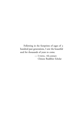Following in the footprints of sages of a hundred past generations, I sow the beautiful seed for thousands of years to come.

> — I-TSING, 7th-century Chinese Buddhist Scholar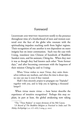#### Foreword

<span id="page-8-0"></span>LEGENDARY AND WRITTEN TRADITION testify to the presence throughout time of a brotherhood of men and women scattered over the face of the globe who resonate with the spiritualizing impulses reaching earth from higher regions. Their recognition of one another is not dependent on outer insignia but on inner communion. Such was the case with I-tsing, translator into Chinese of hundreds of Buddhist Sanskrit texts, and his assistant, Chēng-ku. When they met it was as though they had known each other ''from former days,'' and after becoming conversant with the largeness of their mission Chēng-ku said to I-tsing:

When Virtue wishes to meet Virtue, they unite themselves without any medium, and when the time is about ripe, no one can stay it even if they wanted.

Shall I then sincerely *propose* to propagate our Tripiṭaka\* together with you, and to help you in lighting a thousand lamps?†

When virtue meets virtue — how better describe the experience of intuitive recognition? Perhaps this may explain, in part at least, the global awakening now taking

<sup>\*</sup>The "Three Baskets" or major divisions of the Pāli Canon.

<sup>†</sup>*A Record of The Buddhist Religion as Practised in India and The Malay Archipelago* (A.D. 671–695), I-tsing, p. xxxvi.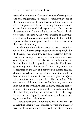place, where thousands of men and women of varying interests and backgrounds, knowingly or unknowingly, are on the same wavelength: they are fired with the urgency to do all in their power to help turn humanity from senseless selfdestruction to thoughtful self-regeneration. They labor for the safeguarding of human dignity and self-worth, for the protection of our planet, and for the building of a new type of civilization founded on the brotherhood of all life and the joyous collaboration of peoples and races for the benefit of the whole of humanity.

At the same time, this is a period of great uncertainty, when all that human beings most value is being weighed in the balance. Will we individually and collectively have the insight and courage to make the transformation from egocentricity to a perspective of planetary and solar dimension? In fact, this is already happening in the quiet, like the seed germinating under the snows of winter. So, rather than concentrate on the ugly and poisonous in human relationships, let us celebrate the joy of life. From the wonder of birth to the still beauty of death — both phases of *life* all is transformation, change, flux, ebb, and reflux. The outbreathing of divinity brings worlds, humans, atoms, and suns out of the Unknown into visibility, enabling each to express a little more of its potential. The cycle completed, the inbreathing, inrolling, or withdrawal of the life energy follows, the shedding of forms releasing consciousness once again into realms vastly ethereal.

There is never a poison but nature has an antidote. Just as scientific ingenuity has provided us with the means of race suicide, so current efforts to synthesize Western scien-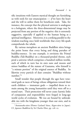tific intuitions with Eastern mystical thought are furnishing us with tools for our emancipation — *if* we have the heart and the will to utilize them for beneficent ends. Take, for instance, the concept that the physical universe is analogous to a hologram, where the three-dimensional image may be projected from any portion of the negative: this is extremely suggestive, especially if applied to the human being as a spiritual intelligence. Moreover, it is a striking parallel to the wisdom-teaching once held worldwide that every life-spark comprehends the whole.

By various metaphors an ancient Buddhist sūtra brings the point home that every being and thing partakes of buddha-essence. In one example, it envisions the Primal Buddha (Adi-Buddha) on a thousand-petaled throne, each ¯ petal a universe which comprises a hundred million worlds, each of which in turn has its own suns and moons and minor buddhas of the stature of Gautama, who himself is "a minute portion" of the original essence of Buddha. So likewise every particle of dust contains ''Buddhas without number.''\*

Small wonder that people through the ages have venerated gods as races of beings whose obligations toward their earth children — immature gods — impelled them to remain among the young humanities until they were off to a sound start. Their protection will never cease: karmic links of compassion and responsibility were forged in long-ago world cycles of evolution. We too are bound by unbreakable ties with the kingdoms younger than our own, and in

<sup>\*</sup>*Avatamsaka-s¯ . utra* (Flower Garland S¯utra, *Kegon-s¯utra* in Japan). Cf. *Japanese Buddhism* by Sir Charles Eliot, pp. 108-10.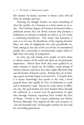like manner by karmic necessity in future cycles will aid them by stimulus and love.

Pursuing the thought further, we intuit something of what the sacrifice of a Gautama or a Jesus means to us today. The Christian dogma of Vicarious Atonement hides a profound esoteric fact: the divine concern that prompts a bodhisattva or christos to imbody on earth is, in very truth, a continuing benediction. This means that humanity is now, as it ever was, the beneficiary of the ongoing altruistic labor, not only of enlightened ones who periodically imbody among us, but also of the acts of love of unnumbered people who, consciously or unconsciously, inspire others to light their own lamp of compassion.

In every age and among every people are born those to whom matters of the mind and spirit are of paramount importance. Almost from birth they seem guided by an inner compass to search out the hidden, causal springs of human existence and learn how they might effectively help ease the burden of human sorrow. Perhaps they are revivifying a quest anciently begun in former lives. Certainly there is a mystic knowledge that speaks to the soul, a boon granted those who qualify by lives of dedication to truth and to humanity's need. Known by many names in different eras, this god-wisdom has been handed down through the millennia as a sacred trust by generations of sages who through initiatory experience have verified the facts of Being. Pivotal in the current awakening was Helena Petrovna Blavatsky who inspired all who were receptive to ''sow the beautiful seed'' of theosophic wisdom far and wide for succeeding generations.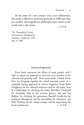At the onset of a new century and a new millennium, this study is offered in profound gratitude to HPB and what her sacrifice and magnificent philosophy have meant to the world and to the writer.  $- G.E.K.$ 

*The Theosophical Society International Headquarters Pasadena, California, USA July 11, 2001*

#### Acknowledgments

Every book represents the efforts of many people, and I wish to express my gratitude to each and every member of the editorial and printing staff. More particularly, I thank Eloise Hart for bringing together the initial material, much of it originally having appeared in *Sunrise* magazine, Sarah Belle Dougherty for her editorial assistance and for the index, Jean B. Crabbendam for checking the index, Elsa-Brita Titchenell for invaluable help in the revision process, Jim and Ina Belderis for checking the quotations, Randell Grubb for his assistance throughout and for assembling the references, and Will Thackara for his valued critique and for supervising the  $book's production.$   $- G.F.K.$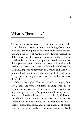### <span id="page-14-0"></span>What Is Theosophy?

THERE IS A WISDOM-TRADITION THAT once was universally known by every people on the face of the globe, a common treasury of inspiration and truth from which the saviors and benefactors of mankind draw. Known variously in different eras as the perennial philosophy, the *gnosis* of Greek and early Christian thought, the esoteric tradition, or the Mystery-teachings of the sanctuary — it is this godwisdom that Jesus shared with the fisherfolk of Galilee; that Gautama imparted to ferryman and prince; and that Plato immortalized in letters and dialogues, in fable and myth. Today the modern presentation of this wisdom is called theosophy.

1

What is theosophy? The word is of Greek origin, from *theos*, "god," and *sophia*, "wisdom," meaning "wisdom concerning divine matters.'' As a term it has a venerable history, having been used by Neoplatonic and Christian writers from the 3rd to the 6th century AD, as well as by Qabbalists and Gnostics in an attempt to describe how the One becomes the many, how divinity or God manifests itself in a series of emanations throughout all the kingdoms of nature. It was in use during medieval and renaissance times, Jakob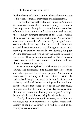Boehme being called the Teutonic Theosopher on account of his vision of man as microtheos and microcosmos.

The word *theosophia* has also been linked to Ammonius Saccas of Alexandria who, in the 3rd century AD, is said to have imparted to his pupils a theosophical system or school of thought in an attempt to fuse into a universal synthesis the seemingly divergent elements of the archaic wisdom then current in that teeming metropolis. Of exemplary character, he was called *theodidaktos*, "god-taught," on account of the divine inspirations he received. Ammonius exacted the strictest morality and although no record of his teachings or practices was made, providentially his pupil Plotinus later recorded for posterity the salient teachings of his master. Thus we have the *Enneads* or ''Nine'' books of Neoplatonism, which have exerted a profound influence through succeeding centuries.

Later in Europe, Qabbalists, Alchemists, the early Rosicrucians and Freemasons, Fire Philosophers, Theosophers, and others pursued the self-same purpose. Singly, and in secret associations, they held that the One, Divinity, the indefinable Principle, emanated forth from itself the entire universe, and that all beings and things within it will ultimately return to that source. More specifically, they sought to inject into the Christianity of their day the signal truth that mystical union with Divinity was *everyone's* birthright because within each human being is a divine kernel.

Clearly, then, the theosophic endeavor, its teaching and practice, is not a new movement. It is ageless, rooted in the infinity of the past as firmly as it will be rooted in the infinity of aeons to come.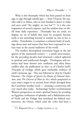What is this theosophy which has been passed on from sage to sage through untold ages — from Vivasvat, the sun, who told it to Manu, who in turn handed it down to rishis and seers until "the mighty art was lost"?\* It is the core inspiration of sacred scripture, and the wisdom that we distill from daily experience. Theosophy has no creed, no dogma, no set of beliefs that must be accepted, because truth is not something beyond or outside us, but in fact is *within*. Nonetheless, it comprises a coherent body of teachings about man and nature that have been expressed in various ways in the sacred traditions of the world.

The modern theosophical movement began in the last quarter of the nineteenth century — a timely intervention, for the preceding decades had witnessed a radical upheaval in spiritual and intellectual thought. Theologians and scientists had been thrown into confusion and often bitter conflict after the publication in  $1830-33$  of Charles Lyell's *Principles of Geology*, which gave irrefutable evidence of earth's immense age. This was followed in 1859 by Charles Darwin's *The Origin of Species by Means of Natural Selection*, and *The Descent of Man* in 1871 which purported to trace man's origin to an ancient form which diverged from the Catarrhine monkey stock — arousing a controversy still very much alive today. Archaeology further revolutionized Western perspectives on man's spiritual history by revealing an Egyptian civilization of splendor and a Babylonian story of Noah and the Deluge that antedated the biblical one; moreover, the Orient, which until the 1780s had been a

<sup>\*</sup>Cf. *Bhagavad-Gītā* 4:1-3 (Judge recension, p. 23).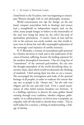closed book to the Occident, now was beginning to emancipate Western thought with its rich philosophic treasures.

World consciousness was ripe for change: on the one hand, rampant materialism both in theology and science had a stranglehold on independent inquiry and, on the other, many people hungry to believe in the immortality of the soul were being led astray by the will-o'-the-wisp of spiritualistic phenomena. A cosmic vision of man and his role in the universe was sorely needed, one that would restore trust in divine law and offer meaningful explanation of the seemingly cruel injustices of earthly existence.

H. P. Blavatsky, a woman of extraordinary gifts powered by a fearless devotion to truth and to the eradication of the *causes* of human suffering, became the leading exponent for the modern theosophical movement. One of a long line of ''transmitters'' of the universal god-wisdom, she cast into the thought-atmosphere of the world electrifying ideas, innovative ideas, ideas which would revolutionize the thinking of mankind. Chief among these was that *we are a oneness*. She encouraged the investigation and study of the spiritual heritage of all peoples, in order to eradicate the conceit that any race or people is the ''chosen one,'' has the only true religion and the one and only God. Even a casual examination of other belief systems broadens our horizons. It is a thrilling experience to discern the same golden thread running through every tradition, whether religious, philosophic, or so-called primitive; we feel at once a sympathy, an empathy, with all who hold or cherish these truths. This in itself makes for a oneness, a feeling of understanding, a linkage of destiny.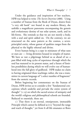Under the guidance and inspiration of her teachers, HPB was helped to write *The Secret Doctrine* (1888). Using a number of Stanzas from the Book of Dzyan, drawn from "a very old book" not found in any modern library, she unfolds a magnificent panorama encompassing the genesis and evolutionary destiny of our solar system, earth, and its life-forms. She reminds us that we are not merely a body, with a soul and spirit added on. On the contrary, we are structured on the same pattern as the cosmos, a sevenprincipled entity, whose gamut of qualities ranges from the physical to the highly ethereal and divine.

Every human being is a copy in miniature of what suns or stars are — living divinities housed in temples of matter. We have as vast a pilgrimage behind us as ahead of us: a past filled with long cycles of experience through which the soul has matured to its present status, and a future of limitless possibilities during which we will evolve out of humanhood into the full glory of godhood. HPB makes no claim to having originated these teachings; rather, she was a transmitter in current language of ''a select number of fragments'' from the esoteric records.

Before beginning her commentary on the Stanzas of Dzyan, HPB invites us to consider a few ''fundamental conceptions which underlie and pervade the entire system of thought"  $(1:13)$  on which the sacred science of antiquity and the world's religious and philosophical schools are founded. Reduced to essentials, these are:

) That there is an eternal, omnipresent, immutable Principle which cannot be defined as it is ''beyond the range and reach of thought,'' yet from It all life emanates or flows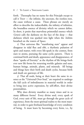forth. Theosophy has no name for this Principle except to call it  $THAT$  — the infinite, the uncreate, the rootless root, the cause without a cause. These phrases are merely an effort to describe the indescribable, the infinity of infinities, the boundless essence of divinity which we cannot define. In short, it posits that marvelous primordial essence which *Genesis* calls the darkness on the face of the deep — that darkness which was sparked into light when the 'elohīm breathed on the waters of Space.

) That universes like ''manifesting stars'' appear and disappear in tidal flux and ebb, a rhythmic pulsation of spirit and matter, with every life-spark in the cosmos, from stars to atoms, pursuing the same cyclic pattern. There is continual birth and death, appearance and disappearance, of these ''sparks of Eternity'' as the rhythm of life brings forth ever new life forms for returning worlds: galaxies and suns, human beings, animals, plants, and minerals. All beings and things have their birth and death cycles, because birth and death are gateways of life.

) That all souls, being at their heart the same in essence as the "Universal Over-Soul," are required to undergo the full cycle of imbodiments in material worlds in order to bring into active expression, by self-effort, their divine potentialities.

Why does divinity manifest so many times and in so many different forms? Every divine seed, every spark of God, every unit of life, must go through the great cycle of experience, from the most spiritual realms to the most material, in order to gain firsthand knowledge of every condition of being. It must learn by becoming every form, i.e., by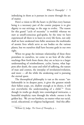imbodying in them as it pursues its course through the arc of matter.

Here's a vision to lift the heart: to *feel* that every human being is a necessary part of the cosmic purpose is to give dignity to our strivings, to the urge to evolve. The reason for this grand ''cycle of necessity'' is twofold: whereas we start as unself-conscious god-sparks, by the time we have experienced all there is to learn in every life form, not only shall we have awakened into fuller awareness the multitudes of atomic lives which serve as our bodies on the various planes, but we ourselves shall have become gods in our own right.

When we grasp the intimate relationship of these three postulates to ourselves, we come to see how all the other teachings flow forth from them; they are as keys to a larger understanding of reimbodiment, cycles, karma, what happens after death, the cause and relief of suffering, the nature of man and cosmos, the interplay of involution/evolution, and more — all the while the awakening soul is pursuing the eternal quest.

The theosophical philosophy is vast as the ocean: ''unfathomable in its deepest parts, it gives the greatest minds their fullest scope, yet, shallow enough at its shores, it will not overwhelm the understanding of a child.''\* Even though its truths go deeply into cosmological intricacies, a beautiful simplicity runs through the whole: *oneness* is the golden key. We *are* our brothers, no matter what our racial, social, educational, or religious background. And this affin-

<sup>\*</sup>William Q. Judge, *The Ocean of Theosophy*, p. 1.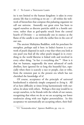ity is not limited to the human kingdom: it takes in every atomic life that is evolving as we are — all within the webwork of hierarchies that compose this pulsating organism we call our universe. Assuredly our great error has been to regard ourselves as discrete particles adrift in a hostile universe, rather than as god-sparks struck from the central hearth of Divinity — as intrinsically one in essence as the flame of the candle is one with the stellar fires in the core of our sun.

The ancient Mahāyāna Buddhist, with his penchant for metaphor, perhaps said it best: in Indra's heaven is a network of pearls disposed in such a way that when you look at one pearl you find all the other pearls imaged in it; everything in the world likewise is linked with and involved in every other thing, "in fact *is* everything else."\* How is it that we humans, supposedly the most advanced of earth dwellers, have ignored for so long this beautiful fact, especially when there is scarcely a race or people, clan or tribe, from the remotest past to the present era which has not cherished the knowledge of it?

Of course, acceptance of the principle of universal brotherhood is relatively simple compared to *living* it. All of us have difficulty at times living harmoniously with ourselves, let alone with others. Perhaps a first step would be to accept ourselves, to be friends with the whole of our nature, recognizing that when we do so we are accepting our lower tendencies along with our higher potentialities. In this acceptance we automatically are accepting others, their frail-

<sup>\*</sup>Cf. "Avatamsaka-sūtra," *Japanese Buddhism*, pp. 109-10.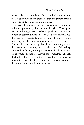ties as well as their grandeur. This is brotherhood in action, for it dispels those subtle blockages that bar us from feeling we all are units of one human life-wave.

Already the theme of our oneness with nature has revolutionized present-day thinking and lifestyles. Once again we are beginning to see ourselves as participants in an ecosystem of cosmic dimension. We are discovering that we, the observers, measurably affect not only the object we are observing but the entire complement of evolving entities. Best of all, we are realizing, though not sufficiently as yet, that we are *one* humanity, and that what you or I do to help another benefits all, striking a resonant chord in the ongoing symphony that together we are composing. Though the burden of our inhumanities is indeed heavy, the universe must rejoice over the slightest movement of compassion in the soul of even a single human being.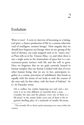## <span id="page-24-0"></span>Evolution

WHO IS MAN? A GOD IN PROCESS of becoming or a biological sport, a chance production of life in a cosmos otherwise void of intelligent, sentient beings? How singular that we should have forgotten our lineage when we are sprung of the seed of divinity, our souls assigned each to its "native star," as Plato tells us in his *Timaeus* (\$§41–2), and when there is not a single atom in the immensities of space but is a consciousness-point instinct with life and the will to grow. Have we forgotten that we are gods currently housed in human temples; that our destiny is linked with that of every other human being; that we are, in fact, participants together in a cosmic procession of unfoldment that bonds us equally with the atoms of our body as with the courses of the stars and, by that token, with the heart of Infinity? As G. de Purucker wrote:

Life is endless, has neither beginning nor end; and a universe is in no wise different in essentials from a man... Consider the stars and the planets: every one of them is a life-atom\* in the cosmic body; every one of them is the organized dwelling place of a multitude of smaller life-atoms

<sup>\*</sup>The monadic life or divine spark animating every atom within the cosmos.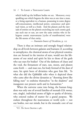which build up the brilliant bodies we see. Moreover, every sparkling sun which begems the skies was at one time a man, or a being equivalent to a human, possessing in some degree self-consciousness, intellectual power, conscience and spiritual vision, as well as a body. And the planets and the myriads of entities on the planets encircling any such cosmic god, any such star or sun, are now the same entities who in far bygone cosmic manvantaras [cycles of manifestation] were the life-atoms of that entity.

#### — *Fountain-Source of Occultism*, p.

There is thus an intimate and strongly forged relationship on all levels between galaxies and humans: if, according to astrophysics, the chemical atoms of our physical constitution are formed in the interior of stars, would not the lifeatoms of our mind and spirit be kin to those of the gods who use stars for bodies? Out of the darkness of chaos and the void, the firmament of stars, sun, moon, and planets came forth — and man too, his body formed of the dust of stars, his spirit born of divinities who gave him life. To what else did the Qabbālāh refer when it depicted those who came after the divine dynasties as ''shooting down like falling stars" to enshrine themselves "in the shadows" and inaugurate our present earth and its humanities.\*

When the universe came into being, the human kingdom was only one of several families of monads (Gk *monas*, one, single), individual atoms of light or sparks of divinity, who entered realms of matter for a grand purpose. We endure throughout the manvantara or world cycle — not our bodies, not our minds, but in the monadic core of our

<sup>\*</sup>Cf. The Secret Doctrine 2:487.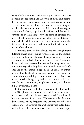being which is stamped with our unique essence. It is this monadic essence that spans the cycles of births and deaths, that urges our reincarnating ego to incarnate again and again in order to evolve forth ever more of its intrinsic quality. In other words, because our divine monad has to gain experience firsthand, it periodically widens and deepens its perceptions by animating every life form of ethereal and material substance it encounters along its evolutionary route; all the while it sparks into ever fuller awareness the life-atoms of the many-faceted constitution it will use as its means of enrichment.

As monads, then, we have already evolved through many different phases of life, taking form ages ago in the mineral kingdom. When we exhausted the experiences of the mineral world, we imbodied as plants, in a variety of trees and flowers and, when we could no longer find adequate expression in the vegetable kingdom, our monads took birth life after life in the animal kingdom, in all kinds of animal bodies. Finally, the divine essence within us was ready to assume the responsibility of humanhood, and to *know* that we are thinking beings. Ignited by the flame of mind, we went forth as true humans, enlightened in part, and blinded in part by material desire.

In the beginning we had on "garments of light," as the Qabbālāh phrases it; but as we descended the arc of matter we put on heavier and heavier ''coats of skin'' until we all but obscured our light source. We were as exiles from our divine home, having forgotten who we were and what our purpose was. So involved had we become with outer things (and still are) that we identified ourselves and our hopes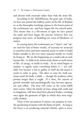and dreams with externals rather than with the inner life.

According to the *Mahābhārata*, the great epic of India, we have just passed the halfway point of the life of Brahma or, as the theosophic teachings express it, the lowest point of the evolutionary arc, and have begun the rise toward spirit. This means that as a life-stream of egos we have passed the nadir and have begun the process, however slow our progress may seem, of shedding our coats of blindness, of matter.

In coming down the evolutionary arc (''down'' and ''up'' are used for lack of better words), of necessity we attracted to ourselves more and more material atoms in order to build bodies suitable to the ever more material worlds we would be living in. We see this happening on a small scale in each human life. A child-to-be instinctively draws to itself atoms of life, of energy, to build its body. As its mind begins to awaken, it eagerly seizes everything before it — not selfishly, but because it has to gather to itself the life-atoms it needs in order to grow. The drive to seize for itself continues until the body is adult — though the tendency often persists longer than it ought. If it does, the current of growth mentally and psychologically may become egocentric and selfish. The time will come, as the cycles fulfill their course, when the family of man, along with earth and its kingdoms, will have shed their physical bodies, revealing once again the garments of light in which they were originally clothed.

There is but one pattern in nature, one purpose in view: the quickening of matter with the flame of spirit. As long as the focus is on producing material vehicles, spirit is reces-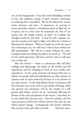sive, in the background. Once the work of building vehicles is over, the explosive energy of spirit assumes command, its radiating force intensified. We are all radioactive: atoms, rocks, humans, and stars. A supernova, in ejecting its matter-particles, releases a thunderous burst of light far into space; just so, every time we transmute the iron of our nature into the bright essence of spirit, we irradiate the thought-world far and wide. It may be only a gleam, unseen by ourselves, but light is light, and wherever it shines it illumines the darkness. When at length we reach the top of the evolutionary arc, we will have evolved from within our full potentialities. We will be as gods walking the earth, having learned everything this planet can teach us. The end of our earth-experience will have arrived, and we will pass into a long rest.

But not forever — there is continuous ebb and flux, endings and beginnings, the death of old worlds and old experiences and the bringing to birth of new worlds, new experiences. As the cycles proceed, our human life-wave or family of monads will seek imbodiment on other planets or spheres until we have mastered all there is to be known in our solar system. In the long distant future we humans will have become suns, each with its own family of beings, while our present sun perchance will be the temple of a still greater solar being. In fact, we are "constantly affecting the destiny of the suns and planets of the future,'' and when we in turn shall have become suns, ''then the nebulae and the suns around us will be the evolved entities who now are our fellow human beings. Consequently, the karmic relations that we have with each other on earth . . . will most assur-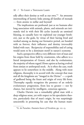edly affect their destiny as well as our own."\* An awesome intermeshing of karmic links among all families of monads — from atomic to stellar and beyond!

The implications are profound: just as we humans after long association with animals, plants, and minerals are intimately tied in with their life cycles (scarcely an unmixed blessing, so casually have we exploited our younger brothers), just so the gods, by virtue of their having lived and worked among us during our formative period, are bonded with us forever, their influence and destiny irrevocably linked with ours. Reciprocity of responsibility and of caring would seem to be a dominant motif in nature's economy.

Such a perspective offers a very different view of man and his origins from those held by creationists, who adhere to a literal interpretation of *Genesis*, and also by evolutionists, the majority of whom regard *Homo sapiens* as having evolved from simian or anthropoid stock. As is often the case, truth appears to lie somewhere in the middle. Along with most religions, theosophy is in accord with the concept that man and all the kingdoms are ''imaged in the Divine'' — a spark of godhood being the fount and origin of every life form. Theosophy equally recognizes the presence of an orderly evolutionary progression, from less to greater — not by chance, but moved by intelligent, conscious agencies.

Charles Darwin was a remarkably gifted man with a deep religious sense, yet with respect to his speculative theories, particularly that of man's origin, he was surprisingly unscientific in presenting his case that the human mam-

<sup>\*</sup>G. de Purucker, *Fountain-Source of Occultism*, pp. 112-13.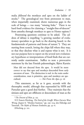malia *followed* the monkeys and apes on the ladder of stocks.\* The genealogical tree from protozoon to man, when impartially examined, shows numerous gaps in the scale of beings — too many ''missing links.'' There is no hard fossil evidence for claiming a ''straight-line-of-descent'' from amoeba through monkeys to apes to Homo sapiens.†

Penetrating questions continue to be asked. The caldron of debate is impelling ''a growing number of evolutionary specialists to go back to the drawing board: to the fundamentals of patterns and forms of nature." $\ddagger$  They are starting from scratch, letting the chips fall where they may, so that they disclose what is and expose what is not. It is not our purpose here to report on the several new evolutionary hypotheses or interpretations of fossil finds that are currently under examination. Suffice to note a provocative statement by the late Finnish paleontologist, Björn Kurtén:

Man did not descend from the apes. It would be more correct to say that apes and monkeys descended from early ancestors of man. The distinction is real: in the traits under consideration, man is primitive, apes and monkeys are specialized. — *Not From the Apes*, p. vii

This statement, as far as it goes, accords with the theosophic model, although that expounded by HPB and Purucker goes a good deal further. They maintain that the simians and apes are offshoots or descendants of man as the

<sup>\*</sup>*The Descent of Man*, p. 155.

<sup>†</sup>Cf. Francis Hitching, *The Neck of the Gira¤e: Where Darwin Went Wrong*, chapter 8, "Monkey business," pp. 199-224; also Eldredge and Tattersall, *The Myths of Human Evolution*, pp. 45-6.

 $‡Hitching, p. 221.$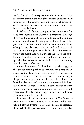result of a series of miscegenations, that is, mating of humans with animals; and that this occurred during the very early stages of humanity's racial experience, before the line of demarcation between human and animal stocks had become sharply drawn.

In *Man in Evolution*, a critique of the evolutionary theories that scientists since Darwin had propounded through the 1930s, Purucker analyzed the biological and anatomical evidence and showed that the physical form of man is beyond doubt far more primitive than that of the simians or other primates. As scientists have never found any anatomical characteristic to go backwards, but always forwards, obviously the most primitive features are the oldest; and as the bodies of monkeys and apes in significant ways are more specialized or evolved anatomically than man's body is, they must have come *after* man.

Rather than looking for fossil links, Purucker suggested that the real missing link in scientific theory is that of *consciousness*, the dynamic element behind the evolution of forms, human or other; further, that man was the origin, the parent and source of all species lower than himself. In brief, he takes man back to some prototype or original parent when the human stock had a semi-ethereal or astral form, from which over the ages many cells were cast off. These cast-off cells later developed along their individual lines to form the lower stocks.

It is ironic that since the publication of *The Descent of Man* most scientists along with the general public have taken Darwin's hypotheses as *facts*, instead of regarding them, as he had hoped, as *theories* to be tested and proved or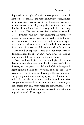disproved in the light of further investigation. The result has been to consolidate the materialistic view of life, rendering a grave disservice, particularly by the notion that we are merely evolved apes. Rightfully the creationists object to this, but their vision of man is equally limited by their dogmatic stance. We need to visualize ourselves as we really are — divinities who have been animating all manner of bodies for many aeons. Certainly in earlier imbodiments we — as monads — no doubt used a fish form, a reptile form, and a bird form before we imbodied in a mammal form. And if indeed we did use an apelike form in an earlier round of experience, this does not mean that we descended from the apes *in this present cycle*. The distinction, while subtle, is an important one to note.

Some anthropologists and paleontologists, in an endeavor to solve the many anomalies in current evolutionist theories, have suggested the likelihood of there being intelligent agencies behind the evolution of all species. They reason there must be some directing influence protecting and guiding the intricate and highly organized lower forms of life. Even so, they cannot account for the sudden marked changes that occurred in the human stock. What mysterious factor, they ask, precipitated the extraordinary leap in consciousness from that of animal to a creative, artistic, and original thinker? What happened?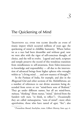## <span id="page-34-0"></span>The Quickening of Mind

TRADITIONS ALL OVER THE GLOBE describe an event of titanic import which occurred millions of years ago: the quickening of mind in childlike humanity. Where before we as a race had been dreamlike and without goal, now we were afire with the vigor of self-conscious thought, of choice, and the will to evolve. Legend and myth, scripture and temple preserve the record of this wondrous transition from mindlessness to self-awareness, from Eden-innocence to knowledge and responsibility — all due to the intervention of advanced beings from higher spheres who wrought within us "a living mind . . . and new mastery of thought."\*

In the Purānas of India, for example, and also in the *Bhagavad-Gītā* and other sections of the *Mahābhārata*, are a number of references to our divine ancestors being descended from seven or ten "mind-born sons of Brahma." They go under different names, but all are mind-born, *m¯anasa*, ''thinking'' (from *manas*, ''mind,'' derived from the Sanskrit verb *man*, "to think, to reflect"). Occasionally they are called *mānasaputras*, "sons of mind"; more often *agnishvāttas*, those who have tasted of *agni*, "fire"; also

<sup>\*</sup>*Prometheus Bound*, Aeschylus, trans. Gilbert Murray, lines 445-6.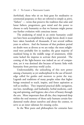*barhishads*, those who sit on *ku´sa* grass for meditative or ceremonial purposes; or they are referred to simply as *pitris*, "fathers" — terms that preserve the tradition that solar and lunar fathers, progenitors, gave mind and the power to choose to early humanity so that we humans might pursue our further evolution with conscious intent.

The awakening of mind in an entire humanity could not have been accomplished by a single heroic deed; it must have taken hundreds of thousands, if not several million years to achieve. And the humans of that predawn period no doubt were as diverse as we are today: the most enlightened were probably few in number, the great majority of mankind being in the middle range of attainment, while some lacked the impetus to activate their potential. The coming of the light-bearers was indeed an act of compassion, yet it was destined also because of karmic links with humanity from previous world cycles.

Understandably, the unleashing of this new power among a humanity as yet undisciplined in the use of knowledge called for guides and mentors to point the way. Legends and traditions of many peoples relate that higher beings remained to teach, inspire, and foster aspiration as well as intellect. They imparted practical skills: navigation, star lore, metallurgy, and husbandry, herbal medicine, carding and spinning, and hygiene; also a love of beauty through the arts. More important than all else, they impressed deep within the soul memory of those early humans certain fundamental truths about ourselves and about the cosmos, to serve as an inner talisman for ensuing cycles.

In the West poets and philosophers for centuries have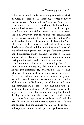elaborated on the legends surrounding Prometheus which the Greek poet Hesiod (8th century BC) recorded from very ancient sources. Among others, Aeschylus, Plato, Vergil, Ovid, and in more recent times Milton, Shelley, and others immortalized various facets of the tale. In his Dialogues Plato hints often of a wisdom beyond the myths he relates, and in his *Protagoras* (§320 ff) he tells of the confrontation of Epimetheus (Afterthinker) with his older brother Prometheus (Forethinker). When the cycle had come for ''mortal creatures'' to be formed, the gods fashioned them from the elements of earth and fire ''in the interior of the earth,'' but before bringing them into the light of day they commissioned Epimetheus and Prometheus to apportion to each its proper qualities. Epimetheus offered to do the main work, leaving the inspection and approval to Prometheus.

All went well with respect to furnishing the animals with suitable attributes; but, alas, Epimetheus discovered he had used everything up, ''and when he came to man, who was still unprovided [for], he was terribly perplexed.'' Prometheus had but one recourse, and that was to procure by stealth from the common workshop of Athena, goddess of the arts, and of Hephaestus, god of fire and craftsmanship, that which was needed to equip ''man in his turn to go forth into the light of day." Off Prometheus sped to the forge of the gods where burned the everlasting fire of mind. Stealing an ember from the sacred hearth, he descended again to earth and quickened man's latent mind with the fire of heaven. Man the thinker was born: instead of being less qualified than the animals which Epimetheus had so well equipped, he now stood a potential god, conscious of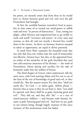his power, yet innately aware that from then on he would have to choose between good and evil, and *earn* the gift Prometheus had brought.

At first the youthful humans (ourselves) lived at peace, but in time many of us turned our mind-power to selfish ends and were ''in process of destruction.'' Zeus, noting our plight, called Hermes and empowered him to go swiftly to earth and instill "reverence and justice" in every man and woman, so that all, and not merely a favored few, would share in the virtues. In short, we humans, however unequal in talent or opportunity, are equal in divine potential.

In myth form Plato transmits the beautiful truth that not only did Zeus sow within man the seed of immortality (see likewise *Timaeus* §41), but also, at the appointed hour, an ember of the mind-fire of the gods fructified that seed into self-conscious awareness of his divinity — the work of Prometheus, whose daring and sacrifice for the sake of humanity make him the noblest of heroes.

The third chapter of *Genesis*, when understood, tells the same story, with God warning Adam and Eve not to eat of the fruit of the tree of knowledge of good and evil, or they would die. But the serpent assures Eve that they ''shall not surely die," for God — or rather gods, *'elohīm*, plural know(s) that as soon as they do eat from it, their ''eyes shall be opened, and [they] shall be as gods, knowing good and evil.'' They did eat, and they did ''die'' — as a race of mind-innocent children — and became truly human, became *as gods, knowing good and evil*. And here we are, gods in our inmost being, though largely unaware of this since memory of this momentous truth has faded.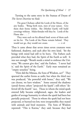Turning to the same story in the Stanzas of Dzyan of *The Secret Doctrine* we find:

The great Chohans called the Lords of the Moon, of the airy bodies. ''Bring forth men, men of your nature. Give them their forms within. She [Mother Earth] will build coverings without. Males-females will they be. Lords of the Flame also . . .''

They went each on his allotted land: seven of them each on his lot. The Lords of the Flame remain behind. They would not go, they would not create.  $-2:16$ 

Thus it came about that seven times seven creatures were fashioned, shadowy, and each after his own kind. Yet the beings with mind had still to be born. The Fathers each provided what they had, the Spirit of the Earth as well. It was not enough: ''Breath needs a mind to embrace the Universe; 'We cannot give that,' said the Fathers. 'I never had it,' said the Spirit of the Earth.'' Early man remained an "empty senseless" being.

"How did the Mānasa, the Sons of Wisdom, act?" They spurned the earlier forms as unfit; but when the third race was produced, "the powerful with bones," they said, "We can choose, we have wisdom.'' Some entered the shadowy (astral) forms; others ''projected the Spark''; still others ''deferred till the fourth'' race. Those in whom the mind-spark entered fully became enlightened, sages, the leaders and guides of average humanity in whom the spark had been but partially projected. Those in whom the spark had not been projected, or burned too low, were irresponsible; they mated with animals and bred monsters. The Sons of Wisdom repented: ''This is Karma,'' they said, because they had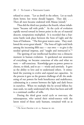refused to create. ''Let us dwell in the others. Let us teach them better, lest worse should happen. They did. . . . Then all men became endowed with Manas [mind].''

Thus did the third race produce the fourth, whose inhabitants ''became tall with pride.'' As the cycle of evolution rapidly moved toward its lowest point in the arc of material descent, temptations multiplied. It is recorded that a fearsome battle took place between the Sons of Light and the Sons of Darkness. ''The first great waters came. They swallowed the seven great islands.'' The Sons of Light took birth among the incoming fifth race — our own — to give it the needed spiritual impetus, and ''taught and instructed it.''\*

The igniting of our intellectual faculties was a climactic moment in human evolution. It quickened our awareness of everything: we became conscious of who and what we were — self-conscious. Knowledge gave us power: power to choose, to think, and to act — wisely and unwisely. It gave us the ability to love and to understand others. It stimulated the yearning to evolve and expand our capacities. In the process it gave us the greatest challenge of all: the awakening of our powers for both beneficence and maleficence, culminating in a contest between the light and dark forces in ourselves. When we multiply this by several billion human souls, we easily understand why there has been and still is a continual conflict of wills.

During the third great racial cycle or root-race, the mānasaputras, who united their mind-essence with the latent mind of those early humans, remained with us as

<sup>\*</sup>*The Secret Doctrine* 2:16-21, Stanzas III-XII.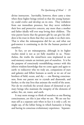divine instructors. Inevitably, however, there came a time when these higher beings retired so that the young humanity could evolve and develop on its own. They withdrew from our immediate presence, but they never withdrew their love and protective concern, any more than a mother and father ideally will ever stop loving their children. The wise parent learns that the greatest gift he can give his children is his trust in them that they can make it on their own. That is what the mānasaputras did for us; and what our god-essence is continuing to do for the human portion of ourselves.

In fact, we are mānasaputras, although in its higher reaches mind is not as yet fully manifest in us. Nonetheless, the truths the mind-born sons implanted in our soul-memory remain an intrinsic part of ourselves. It is for the purpose of consciously reestablishing contact with this inborn wisdom-knowledge that we come again and again to earth: to rediscover who we truly are, companions of stars and galaxies and fellow humans as surely as we are of our brothers of field, ocean, and sky — one flowing consciousness, from our parent star to crystals and diamonds, and further, to the tiny lives that animate the world of the atom. Nor do we overlook the several classes of elemental or primary beings who maintain the integrity of the elements of aether, fire, air, water, and earth.

It may seem strange to think of ourselves as one flowing consciousness, yet this is just what we are. We see our human self as a separate unit when in fact it is only a cell, we might say, of the loftier being in which humanity is living and having its conscious evolutionary experience. Separate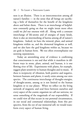ness is an illusion. There is an interconnection among all nature's families — in the sense that all beings are sacrificing a little of themselves for the benefit of the kingdoms above and below them. There is an interchange of helpfulness constantly going on that we might intuit more often could we *feel* our oneness with all. Along with a constant interchange of life-atoms and of energies of many kinds, there is also an intermeshing of karma among all of nature's kingdoms. Indeed, we have the mineral, plant, and animal kingdoms within us, and the elemental kingdoms as well, and we also have the god kingdoms within us, because we are gods in human form. We too often overemphasize our seeming separateness.

Today an astonishing array of evidence is confirming that consciousness is *one* and that while it manifests in different ways in stone, plant, animal, and human, it is one flowing river of life. Experiments with plants, for example, suggest plant sensitivity to human thoughts and to music. If there is reciprocity of vibration, both positive and negative, between humans and plants, it surely exists among our own species. The continuous interchange of thought-energies, of thought-atoms, among us is not limited to the human kingdom or to our planet. When we reflect on the living network of magnetic and soul force between ourselves and every aspect of the cosmic organism we call our universe, we sense something of the magnitude of our responsibility. If we could view all that occurs in our personal circumstances, in our social and communal relationships, from this perspective, from the eye of our immortal self, we would transform every aspect of human living.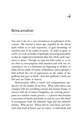# $\overline{\mathcal{A}}$

## Reincarnation

YOU AND I ARE ON A VAST PILGRIMAGE of exploration of the cosmos. We entered it aeons ago, impelled by the divine spark within us to seek experience, to gain knowledge of ourselves and of the truths of nature. In order to grow, to evolve, we took on bodies of gradually increasing materiality so that we might learn firsthand what this whole earth experience is about. Though we may not fully realize it, as we are often at cross-purposes with ourselves and with our circumstances, we as a humanity are beginning to awaken, to shake off our cloaks of matter, of blindness, and to glimpse a little behind the veil of appearances to the reality of the godhead that gave us birth. And that godhead is both our Self and our Father in heaven.

Reincarnation offers a sound and compassionate perspective on the totality of our lives. What other theory can compare with the ennobling concept that human beings, in concert with all of nature's kingdoms, are evolving participants in a timeless cosmic process — a process that includes a succession of births and deaths in and for every life form? It encompasses both the infinitely large and the infinitely minute. Who are we? Where did we come from, and why? And what kind of future may we expect, as individuals and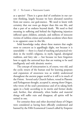as a species? There is a great deal of confusion in our current thinking, largely because we have alienated ourselves from our source, our god-essence. We need to know with certainty that our roots go deeper than this one life, and that a part of us endures beyond death. We need to find meaning in suffering and behind the frightening injustices inflicted upon children, animals, and millions of innocent victims of ruthless crimes and senseless accidents when there is no apparent cause in this life.

Solid knowledge today about these matters that ought most to concern us is appallingly slight, not because it is unavailable — there is a fund of teaching and practical wisdom in the world's religions, in myth, legend, aboriginal tradition, and fairy tale — but because we have forgotten how to apply the universal keys that are waiting to be used intelligently and with altruistic motive.

The concept of reincarnation is, of course, very old, and the cyclic return of the human soul for learning purposes and expansion of awareness was as widely understood throughout the ancient pagan world as it still is in much of the Orient. Several early Church Fathers, versed in Platonic and Pythagorean thought, accepted it, among them Origen, who wrote of the soul's preexistence and of its taking birth again in a body according to its merits and former deeds; and, further, that ultimately, when bodies and material things will suffer ruin and disappear, all spirits will be united in one.

For centuries these and other doctrinal theses of Origen were considered as having been officially condemned and banned by the Fifth Ecumenical Council called by Emperor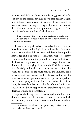Justinian and held in Constantinople in 553 AD. Careful scrutiny of the record, however, shows that neither Origen nor his beliefs were aired at any session of the Council. It was at an extra-conciliary meeting held prior to the Council that fifteen Anathemas were pronounced against Origen and his teachings, the first of which reads:

If anyone assert the fabulous pre-existence of souls, and shall assert the monstrous restoration which follows from it: let him be anathema $*$ 

It seems incomprehensible to us today that a teaching as broadly accepted and as logical and spiritually satisfying as reincarnation should have been withdrawn from public knowledge and held under ecclesiastical wraps for nearly 1,500 years. One cannot help wondering what the history of the Occident might have been had the concept of reincarnation remained a vivifying element in the Christian message. Providentially, although it was taboo to preach from the pulpit the doctrine of the soul's rebirth, the immortal song of bards and poets could not be silenced, and when the Renaissance came, philosophers joined poets in speaking and writing openly of intimations of an earlier life or lives. Later, Transcendentalists on both sides of the Atlantic powerfully affirmed their support of this transforming idea, this doctrine of hope and consolation.

Against the background of cosmic cycles, the birth and death of stars, and the annual renewal of earth and all its kingdoms, reincarnation is seen as the human mode of

<sup>\*</sup>*Reincarnation: The Phoenix Fire Mystery*, comp. and ed. by Joseph Head and Sylvia Cranston, p. 159 ff.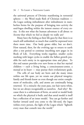the universal process of Divinity manifesting in terrestrial spheres — the Word made flesh of Christian tradition the Logos seeking imbodiment after imbodiment in numberless forms for the purpose of bringing into activity the seed-logos dwelling within the inmost essence of every entity. Is this not what the human adventure is all about: to *become* that which we feel so deeply we really are?

Many have the feeling as their life goes by that there is so much still unfinished, so much that could be expressed were there more time. Our body grows older, but *we* don't. How natural, then, for the evolving ego to return to earth after a rest period to continue inscribing new pages in its Book of Life. Everything works together, smaller cycles meshing with larger cycles to enable the fullest growth possible for each entity in its appropriate time and place. To this end nature provides ever new forms so that her myriad children — each a living being, a consciousness-center, a monad at its heart — may pursue their evolutionary goals.

The cells of our body are born and die many times within our life span, yet we retain our physical integrity; family and friends know us even though our entire complement of molecules, cells, and atoms are continually being renewed. It's a miracle: the years pass, our hair turns white, but we are always recognizable as ourselves. And why? Because there is a substratum of form, an astral or model body on which the physical is built; and that astral model is itself but a reflection of an inner model. You can go further and further inward until you come to the life-seed, the logos within every person, the light of the Logos which ''lighteth every man that cometh into the world.''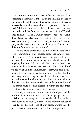A number of Buddhist texts refer to *svabhāva*, "selfbecoming'': that what is inherent in the invisible essence of an entity will ''self-become,'' that is, will unfold that essence in accordance with its own distinctive pattern. In *Genesis*, God ('elohīm) commanded the earth to bring forth grass and herbs and the fruit tree, ''whose seed is in itself,'' each after its kind  $(1:11-12)$ . Paul in his first letter to the Corinthians  $(15:38-41)$  also speaks of God (*theos*) giving to every seed its own body: "there is one glory of the sun," another glory of the moon, and another of the stars, ''for one star differeth from another star in glory."

The basic idea of svabhāva ties in with the Vedantic concept of *sūtrātman*: *sūtra*, "thread, cord," and *ātman*, "self." This "thread-self" or radiant essence not only links every portion of our multifaceted being, from the divine to the physical, but also links us with the totality of our past. How many lives must we have lived? We don't know; but if we believe at all in the immortality of spirit, we have a sense of an infinity of experience both behind as well as ahead of us. Every human being therefore has a rich reserve of unexpended force within (for good and ill) that at some time in this life or in lives to come will seek outlet; the entirety of our karma could not find expression within the brief interval of seventy or eighty years, or of twenty.

At every moment we are the totality of our past and the promise of the future that is to be. Such a perspective gives a feeling of continuity, an assurance that all that we have been remains *in essence*, incised on the memory tablets of eternity, on the seed-logos of our being, waiting for the precise karmic circumstances to find active expression.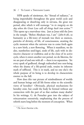HPB speaks of sūtrātman, the "thread of radiance," as being imperishable throughout the great world cycle and disappearing or dissolving only in nirvana, the great rest period, after which it will reemerge ''*in its integrity on the day when the Great Law calls all things back into action.*''\* This opens up a marvelous vista. Just as Jesus told the Jews in the temple, "Before Abraham was, I am" (*John* 8:58), so humanity as a life-wave of monads was there as essences, particles of divinity, of life, of consciousness, awaiting the cyclic moment when the universe was to come forth again in a new birth, a new flowering. When it manifests, we do also, numberless seed-logoi, seeds of life, each with its distinctive character or svabhāva; and at the close of its active cycle, when it enters another rest period, we do likewise, for we are part of and one with all — there is no separation. Yet every spark of godhood, though reabsorbed into non-being when the drama of a life-period ends, retains its inherent mark of selfhood. This is *its* mark, and no one else's: the whole purpose of its being is to develop its characteristic essence to the full.

How does this vast picture of reimbodiment of worlds and human beings and all life forms relate to the scientific views of heredity? Obviously, physical mechanisms for heredity exist, but could the body be formed without any connection with the part of us that outlasts many deaths? In his writings, G. de Purucker goes into the subject of reincarnation extensively, emphasizing that the process of rebirth starts long before the moment of conception. When

*<sup>\*</sup>The Secret Doctrine* 2:80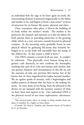an individual feels the urge to be born again on earth, the reincarnating element is attracted magnetically to the father and mother to be, and begins to form a *laya*-center\* or focus of attraction for its former life-atoms, physical and other.

Once conception takes place, it directs the building of its body within the mother's womb. The mother is the protector, the channel, and nurturer, as is also the father, for both parents share in providing protection to the growing child, which in a very real sense extends beyond its physical compass. As the incoming entity gradually forms its new physical vehicle by gathering life-atoms that formerly belonged to it, so the body will inevitably bear the stamp of the child-to-be. In due course a child is born.†

Our DNA contains a record of all our past. It couldn't be otherwise. That physically every human being has a genetic code distinctly its own confirms the theosophic teaching that each of us *is* his own karma; and, further, that our present character and circumstances in this life are not the outcome of only one previous life's karma, but of the karma that we have engendered for kalpas beyond number. We are ageless sparks of eternity, with a beginningless and endless pattern of destiny that has been in the making for aeons. In every atom of our being, from the physical to the divine, we are stamped with the memory essences of what we have been and aspired to be. Our individual DNA is the physical record of our inner explorations, adventures,

<sup>\*</sup>The mystical point where an energy or thing vanishes from one plane to manifest on a higher or lower plane.

<sup>†</sup>Consult *The Esoteric Tradition* and *Fountain-Source of Occultism* by G. de Purucker.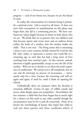progress — and of our future too, because we are the future in seed.

In reality the reincarnation of a human being is primarily a spiritual event. Life is sacred at all times. It does not start with conception; its manifestation on this plane may begin then, but *life* is a continuing process. We have confused our values largely because we know so little about who we are. We think that we as parents own our children and that because sperm and ovum meet and an embryo forms within the body of a mother, that the mother makes the child. That is not true. The living entity that is animating a fetus is not a new creation, freshly minted by God for this life only; rather, it represents a reentry into earth-life of a returning ego or soul that has had a long series of lives reaching back into eternity's past. In this context, indeed, abortion is highly questionable, except to save the life of the mother. Who are we to decide to cut short the soul's experience in midstream? We cannot cut it off completely, but we can and do interrupt its process of incarnation — fortunately only for a time, because the returning soul will try again and again, if need be, until it finds an opening for rebirth.

Undoubtedly there are instances when the decision is extremely difficult: victims of rape, of willful assault and incest, draw deeply upon our sympathies. Nevertheless, the fact remains: a child who has been begun has as much right for a chance on this earth as any other, painful though the circumstances may be for it and all concerned. None of us knows the interlinkings of karma that impel that child to seek just those parents and those conditions which, if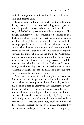worked through intelligently and with love, will benefit child and parents alike.

Paradoxically, we know too much and too little about the mystery of birth. Modern technology enables parents to see the growing embryo and discover perchance that their baby will be badly crippled or mentally handicapped. The thought instinctively comes: wouldn't it be kinder to end the baby's life before it is born, so as to save it and its parents needless suffering? It is a harrowing decision; but with the larger perspective that a knowledge of reincarnation and karma yields, the question remains: should we not give the benefit to life rather than to death? We have to distinguish between the immortal element and the body. Oftentimes physical handicaps are of signal import for soul development; we are not trained or wise enough to comprehend the inner purpose behind an incoming ego's choice of a mental or physical abnormality. Isn't it conceivable that the reincarnating ego might ''choose'' the karma of a defective vehicle for purposes beyond our knowing?

When we trust that life is inherently just and compassionate, regardless of appearances and seeming injustices and cruelties that beset people all over the world, we know that no child is born to a family or into circumstances where it does not belong. In principle, it is fairly simple to agree to this. However, if our higher self invites into our home a child who is severely impaired, mentally, physically, or psychologically, it may be difficult at first not to feel we have been cheated. There are thousands, probably millions of these ''special'' children, but this by no means indicates they are *spiritually* handicapped. If we can take the long-range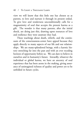view we will know that this little one has chosen us as parents, to love and nurture it through its present ordeal. To give love and tenderness unconditionally calls for a magnanimity of soul that accepts the present karma as a gift. The wonder is that many parents, after the initial shock, are doing just this, drawing upon resources of love and resilience they were unaware they had.

These teachings about death, rebirth, and the continuum of the consciousness-center have appeal because they apply directly to many aspects of our life and our relationships. We are many-splendored beings, with a karmic history stretching far into the past and with an ever receding horizon of opportunity before us. We can dare to believe in ourselves and in humanity's future. Inwardly, whatever the individual or global karma, we have an ancestry of soul experience that has been aeons in the making, giving assurance of unimagined richness of quality and power yet to be unfolded in future cycles.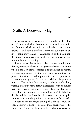## Death: A Doorway to Light

HOW WE THINK ABOUT OURSELVES - whether we have but one lifetime in which to flower, or whether we have a limitless future in which to cultivate our hidden strengths and talents — will have a profound effect on our outlook on life. People are yearning for confirmation of their intuition that there is a compassionate order, a harmonious and just purpose behind everything.

Every human being knows death among family and friends, prolonged illness, or the grievous distress that comes when a child or friend becomes a psychological or mental casualty. A philosophy that takes in reincarnation, that emphasizes individual moral responsibility and the promise of ever-continuing growth in love and wisdom, helps enormously. Then when death comes, suddenly or after long waiting, it doesn't hit us totally unprepared, with an almost terrifying sense of betrayal, as though fate had dealt us a cruel blow. We wouldn't be human if we didn't feel the loss deeply, and the loneliness, but there come also in the quiet an inner calm and the profound assurance that ''all is well.''

Death is not the tragic ending of a life; it is truly an open doorway to light — both for those journeying to the ''other shore,'' and for those of us here who must carry on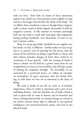with our lives. How little we know of those mysterious regions into which our consciousness enters nightly in sleep and for a far longer interval after the death of the body. Yet we follow these circulatory routes as though drawn magnetically to them, much as birds migrate thousands of miles by magnetic currents. In like manner we humans unerringly find our way back to earth time and again after migrations lasting perhaps hundreds, even thousands, of years in nature's interior realms.

Sleep we accept gracefully, thankful for our nightly rest; but death, we feel, is different. Intellectually we may recognize it as nature's way of restoring her life forces, that the release of the soul from an ailing or aged body is a boon, and that without periodic changes of form there could be no continuity of inner growth. Still, the coming of death is always a shock: we feel held by a power vaster than we can comprehend; we sense its irrevocability, that all hope is gone of sharing the unspoken thought. Yet mercifully we are sustained by a profound peace, an inflow of strength, an atmosphere of quiet assurance that the bonds linking us with those we love are as immortal as the heart of Being.

We tend to think of our life on earth as of absolute importance, when in reality it represents only a part of our unfolding destiny. Like the Asvattha tree of India, which is said to grow with its roots in heaven and its branches and leaves reaching downwards, we human beings are rooted in our divine monad whose light is reflected in our spiritual intelligence, our mental/emotional nature, and even in our physical body.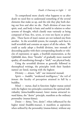To comprehend more clearly what happens to us after death we need first to understand something of the several elements that make us up, and the role they play both during our lives and after we die. Paul's division of man into spirit, soul, and body is basic and useful in relation to other systems of thought, which classify man variously as being composed of four, five, seven, or even ten facets or principles. These facets of man's nature are not isolated one from another. In the sevenfold system, for example, each facet is itself sevenfold and contains an aspect of all the others. We could as easily adopt a fivefold division, into monads of descending quality with their corresponding sheaths or vehicles of expression; or again, a fourfold enumeration, as the Qabbālāh does, three "breaths" of gradually more material quality, all manifesting through a ''shell,'' our physical body.

Using the sevenfold division as generally followed in theosophical writings, the principles (with their Sanskrit names) are listed, starting with the highest:

Divinity —  $\bar{a}$ *tman*, "self," our immortal monad;

Spirit — *buddhi*, "awakened intelligence," the veil of atman: the faculty of perception attained in full by a ¯ buddha;

Mind — *manas*, dual in function: higher manas united with the highest two principles constitutes the spiritual individuality (ātma-buddhi-manas); lower manas attracted toward kāma, the "desire" principle, manifests as the ordinary personality (manas-kāma);

Desire — *kāma*, "love, desire"; when influenced by the higher mind (buddhi-manas), it manifests as aspiration; when utilized by the personality (manas-kāma), without any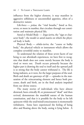influence from the higher element, it may manifest in aggressive selfishness or uncontrolled appetites, often of a destructive nature;

Life-force — *prāņa*, the "vital breaths," listed as five, seven, or more in number, that circulate through our constitution and maintain physical life;

Astral or Model Body — *linga-śarīra*, the "sign or character body''; the model or astral matrix on which the physical body is built;

Physical Body — *sthūla-śarīra*, the "coarse or bulky body,'' the physical vehicle or instrument which allows the complete sevenfold entity to manifest.

To understand the relation of these seven facets of our being to our afterdeath experiences, we have first to recognize that death does not come merely because the body is tired or worn out. Death occurs primarily because the higher part is drawing the soul to itself and the upward pull is so strong that the body cannot withstand it. The life is being indrawn, as it were, for the larger purposes of the soul. Birth and death are gateways of *life* — episodes in the maturation of the reincarnating element and hence both processes, death and birth, are in the final analysis impulsed from our divine source.

The many stories of individuals who have almost drowned, been critically ill, or pronounced ''dead'' and then revived, demonstrate the manifold nature of the human constitution, and that it is possible for the body to be left quiescent while the soul/mind/consciousness is momentarily withdrawn. Some have experienced the feeling of being alive and floating above the body, seeing it lying below. A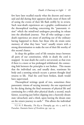few have later recalled exactly what the doctors and nurses said and did during their apparent death; most of them tell of seeing the events of their life flash swiftly by in review. Such near-death experiences are a graphic confirmation of the theosophical teaching concerning the ''panoramic vision'' which the mind/soul undergoes preceding its release into the afterdeath journey. Not all who undergo a neardeath experience are aware of anything out of the ordinary having happened to them, but those who do retain some memory of what they have "seen" usually return with a strong determination to make the rest of their life worthy of this second chance.

In sleep the golden cord of life remains intact between all parts of our constitution, while in death the cord is snapped. In near death the cord is *not* severed, so that even if there is a more or less prolonged withdrawal, the connecting link between the principles is not broken. This means that the individual can, and usually does, reanimate his body and a seeming miracle occurs: a person thought dead returns to life. Had the cord been broken, death would have supervened.

Theosophical writings speak of two, sometimes three panoramic visions of varying intensity: the one experienced by the dying during the final moments of physical life and continuing for a while after physical death; a second, much fainter, occurring just before slipping into a heavenly dream state (*devachan*); and a third, upon leaving the dream state on the return journey to earth.\* This allows the individual

<sup>\*</sup>Cf. H. P. Blavatsky, *The Key to Theosophy*, pp. 162-3, and G. de Purucker, *Fountain-Source of Occultism*, pp. 549-54.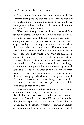to ''see'' without distortion the simple justice of all that occurred during the life just ended, to enter its heavenly dream state in peace, and upon its return to earth to have a swift preview in broad outline of what is to be, before the curtain of forgetfulness drops.

When death finally comes and the soul is released from its bodily chains, the ray from the divine monad is withdrawn to its parent star, while our spiritual monad journeys among the planetary spheres. As for the body, its atoms disperse and go to their respective realms in nature where they follow their own circulations. This constitutes our "first" death. After a brief period of unconsciousness in what is called the desire-world ( $k\bar{a}$ ma-loka), the human soul enters a temporary purgation state during which it stands unmasked before its higher self and sees the fairness of all it had experienced. A separation process of shorter or longer duration, depending upon the karma previously generated, leads to a ''second'' death, when all that is heavy and material in the character drops away, freeing the finer essences of the reincarnating ego to be absorbed by the spiritual monad. For most of us — average human beings who are neither very good nor very bad — our passage in kāma-loka will be gone through with relative ease.

After the second panoramic vision during the ''second'' death, the reincarnating ego enters its devachan — the Elysian Fields of the Greeks — wherein it experiences over and over in a dreamlike state the fulfillment of its noblest thoughts and aspirations. The repetition of these idealized dreams has the beneficial by-product of leaving an impress on the soul toward the higher life, the atmosphere of which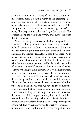carries over into the succeeding life on earth. Meanwhile the spiritual monad, bearing within it the dreaming egosoul, journeys among the planetary spheres for its own higher adventures. The old Latins made effective use of the epitaph to perpetuate the ancient knowledge: *dormit in astris*, ''he sleeps among the stars''; *gaudeat in astris*, ''he rejoices among the stars''; and *spiritus astra petit,* ''the spirit flies to the stars.''

When the energies that have made devachan possible are exhausted, a third panoramic vision occurs, a swift preview in bold strokes, not in detail — a momentary glimpse so that the incoming soul may sense the justice and the compassion in the karmic circumstances that it will meet. As it turns earthward, it attracts from the great reservoir of nature those life-atoms it had built into itself in the past; with them it re-forms the souls and bodies it will use in the life to come. These life-atoms are drawn to each of us because they belong to us; in previous lives we had left our seal on all the lives composing every facet of our constitution.

These ideas may seem abstract when we are struck down with grave illness, and are able to do little about it. There may be certain remedial measures we can take, but where there is no known cure, we have to try to meet the experience with the best grace and courage we can summon. If we have a feeling for the long view and are convinced that there is a divine purpose to every life, this in itself is a tremendous aid in meeting such a crisis. Particularly is it a help when we must stand by and see another go through his private hell that we can do very little to relieve. Even more so when the young are hit with life-threatening illness and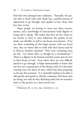find their lives plunged into confusion. Naturally, the person who is faced with early death has a painful process of adjustment to go through, and equally so have those who love him or her.

Many people are having to meet just these circumstances, and a knowledge of reincarnation lends dignity to living and to dying. We realize that how we live when we are twenty or forty or sixty influences the quality of our death, our afterlife, as well as our future incarnations. If we can share something of this larger picture with our loved ones, they are better able to work with their karma and do as Marcus Aurelius enjoined: ''Now your remaining years are few. Live them, then, as though on a mountaintop.''\* There is a dignity in the human soul that comes into its own in these hours of trial. Even where there are very difficult patches to go through, it helps immeasurably to know that our lives are a natural part of the destiny each of us has been weaving since the dawn of time, which has been preparing us for just this moment. It is mutually healing to be able to talk quietly and openly or silently commune with those who are dying; not only do they find deep relief, but we ourselves share in the process in a most sacred way.

<sup>\*</sup>*Meditations*, bk. 10, §15, trans. Staniforth, p. 157.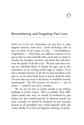#### Remembering and Forgetting Past Lives

MOST OF US DO NOT REMEMBER our past lives or what happens between earth lives. Greek mythology tells us that we drink of the waters of Lethe — Unmindfulness, Forgetfulness — which blots out sufficient memory of our past so that we enter earth life with a clean slate on which to inscribe the thoughts, emotions, and deeds that will determine the quality of the life to be. We have each been writing our individual Book of Destiny for ages, and in this incarnation we are writing another page or chapter. If we had a detailed memory of all that we had inscribed in the past or, on the other hand, knew in precise detail the series of events that may occur in the future, we should be severely handicapped. The full memory of ourselves — and of others — would be too heavy a burden.

We are not yet wise or strong enough to go without drinking of Lethe's waters. Were it possible, three difficulties would arise: first, we should be burdened by past failures, for they would hang like an albatross around our neck; secondly, we should be burdened by past successes because in all probability they would engender pride and vanity; thirdly, if we had not forgotten anything, we proba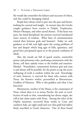bly would also remember the failures and successes of others, and this could be damaging indeed.

People have always tried to peer into the past and future, looking for counsel and insight. In ancient days the Greeks sought guidance from oracles at Delphi, Trophonius, Mount Olympus, and other sacred shrines. If the heart was pure, the mind disciplined, the answers received reawakened inner sources of wisdom. What lines of communication existed then between gods and humans? Today we seek guidance as of old, seek light upon the vexing problems of fear and despair which long ages of folly, ignorance, and greed have precipitated upon us in the present confusion of ideals.

Alas, the woods are full of quack oracles, counterfeit priests and priestesses who, professing communion with the divine, sell their unholy wares to the foolish and emotionblinded. Nonetheless, communion between god and man is and always will be possible, for the power to tap the secret wellspring of truth is resident within the soul. Knowledge of such, however, is reserved for those who consort with Nous, the Knower within, personified as Mnemosyne, Goddess of Memory. Who is this goddess and what is her function?

Mnemosyne, mother of the Muses, is the counterpart of Nous, whose duty it is to arouse Psyche, the soul, to recollection of truth so that, remembering her divine origin, she will at last claim union with Nous. Among the relics of the Orphic mysteries, recovered from tombs in Crete and southern Italy, are eight small and very thin gold-leaf tablets finely inscribed in Greek characters. One of these found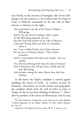near Petelia, in the environs of Strongoli, tells of two wellsprings near the entrance to the Underworld: the fount of Lethe or Oblivion (unnamed) on the left, that of Mnemosyne or Memory to the right:

Thou shalt find to the left of the House of Hades a Well-spring,

And by the side thereof standing a white cypress.

To this Well-spring approach not near.

But thou shalt find another by the Lake of Memory,

Cold water flowing forth, and there are Guardians before it.

Say: ''I am a child of Earth and of Starry Heaven;

But my race is of Heaven (alone). This ye know yourselves.

And lo, I am parched with thirst and I perish. Give me quickly

The cold water flowing forth from the Lake of Memory.''

And of themselves they will give thee to drink from the holy Well-spring,

And thereafter among the other Heroes thou shalt have lordship. . . .\*

In this hymn the Orphic candidate is warned against imbibing the waters of Lethe. In another account by Pausanias, 2nd-century AD Greek traveler and geographer, the candidate drinks from the well of Lethe in order to "forget all that he has been thinking of hitherto."† Thereafter he partakes of the waters of Mnemosyne, that he may

<sup>\*</sup>See Jane Harrison, *Prolegomena to the Study of the Greek Religion*, "Critical Appendix on the Orphic Tablets" by Prof. Gilbert Murray, pp. 659-60.

 $\dagger$ *Pausanias: Description of Greece*, trans. W. H. S. Jones, 4:351.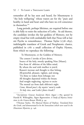remember all he has seen and heard, for Mnemosyne is "the holy wellspring" whose waters are for the "pure and healthy in hand and heart and who have no evil conscience in themselves.''\*

Long periods, perhaps lifetimes, are required before one is able fully to resist the seduction of Lethe. As aid thereto, the candidate invokes the fair goddess of Memory, not by empty ritual but with unshakable faith that Nous will at last stir Psyche to remembrance. Thomas Taylor  $(1758-1835)$ , indefatigable translator of Greek and Neoplatonic classics, published in  $1787$  a small collection of Orphic Hymns, from which we reproduce the following:

To Mnemosyne, or the Goddess of Memory.

The consort I invoke of Jove divine, Source of the holy, sweetly speaking Nine [Muses]; Free from th' oblivion of the fallen mind, By whom the soul with intellect is join'd. Reason's increase and thought to thee belong, All-powerful, pleasant, vigilant, and strong. 'Tis thine to waken from lethargic rest All thoughts deposited within the breast; And nought neglecting, vig'rous to excite The mental eye from dark oblivion's night. *Come, blessed pow'r, thy mystics' mem'ry wake To holy rites, and Lethe's fetters break*.†

<sup>\*</sup>*Inscriptiones Graecae Insularum Maris Aegaei* :; quoted by Harold R. Willoughby, *Pagan Regeneration: A Study of Mystery Initiations in the Graeco-Roman World*, p. 44.

<sup>†</sup>Thomas Taylor, *The Mystical Hymns of Orpheus: Translated from the Greek, and demonstrated to be the Invocations which were used in the Eleusinian Mysteries*, p. 146.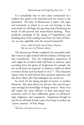It is remarkable that we have these testimonials of a wisdom that speak to the immortal and not merely to the ephemeral. The duty of Mnemosyne is plain: with vigor and exactitude to waken us to our true heritage so that consciously we will begin the ages-long task of loosening the bonds of self-centered and matter-based thinking. Then, prudently partaking of the spring of Forgetfulness, and drinking deep of the cooling waters from the Lake of Memory, we may rightfully utter the ancestral password:

> *I am a child of Earth and of Starry Heaven; But my race is of Heaven (alone).*

The descent into Hades completed, the successful candidate returns to light clothed with the radiance of things seen and remembered. That the independent experiences of each might be recorded while still fresh in memory, upon ascending from the grotto of Trophonius for example, the one newly-born was required ''to dedicate a tablet on which is written all that each has heard or seen.''\* Thus Pausanias reports what he had learned from personal experience and also from others who had undergone the sacred rite.

So much for the daring disciple of ancient or modern Mysteries. But what about you and me, who may feel genuine nostalgia for knowledge of things unseen? Most of us still require the sweet oblivion of sleep and partial nonawareness until we have sufficiently grown in self-knowledge, judgment, and compassion. Imprisoned though we may be by self-made bonds, a part of us longs to awaken our "mystic memory" of holy things.

<sup>\*</sup>Pausanias: Description of Greece 4:355.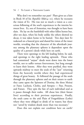Why don't we remember our past? Plato gives us a hint in Book 10 of his *Republic* (§§614-21), where he recounts the vision of Er. His was not so much a vision as a conscious following of the soul's experiences in the interim between lives. Er, son of Armenius, was thought to have been slain. He lay on the battlefield with other fallen heroes but, after ten days, when his body unlike the others showed no decay, it was taken home to be buried. Two days later Er wakened on a funeral pyre and shared his vision of the inner worlds, revealing that the character of the afterdeath journey among the planetary spheres is dependent upon the quality of a person's deeds while here on earth.

There were openings to the left leading below, he said, and openings to the right leading upwards. Those who had committed ''unjust'' deeds went down into the lower worlds, not to suffer torture forevermore, but long enough to learn their lessons. After they were purified, they went upwards midway to meet the souls of the ''just'' returning from the heavenly worlds where they had experienced things of great beauty. Er followed the passage of the souls through the planetary spheres and on their return to earth they came upon the Spinners of Destiny, the three Moirai or Fates: Lachesis, Clotho, and Atropos — Past, Present, and Future. They spin the fate of each individual soul as it passes through their realm. All chose lots (their future lives) according to their previous experiences. Finally, the souls came to the arid Plain of Forgetfulness (Lethe) where they were obliged to drink of its waters; but those not ''saved by wisdom drank more than was necessary.''

Does this not explain our condition here on earth?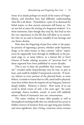Some of us drank perhaps too much of the waters of Forgetfulness, and therefore have had difficulty understanding what life is all about. Nonetheless, a part of us shunned the lethal waters, so that ancient memories still haunt us. Do we not feel at times the stirring of a forgotten wisdom? It is those memories, faint though they may be, that lead us into the very experiences in this life that will allow us to remember who we are and to become mindful of our heritage and our future destiny.

How does the forgetting of past lives relate to the popular practice of regressing a person, whether under hypnosis, drugs, or by other means, so that a person "relives" experiences he supposedly went through in childhood, in the prenatal stage or, as many believe, in a former life or lives? Dozens of books relating accounts of ''previous lives'' of those regressed have been published in recent decades.

This is not to deny the possibility that certain ''memories'' revealed under hypnotherapy may be true, in part at least, and could be helpful if interpreted correctly. If memory inheres in every portion of the physical brain, as some believe, it stands to reason that its cells, astral and/or physical, must bear within them the imprint of our long past, however deeply hidden. Memory is elusive. How many of us can recall in detail events of only a few years ago? Yet some seemingly chance incident, sound, or scent will suddenly release a flood of memories into our consciousness.

The native wisdom of many older peoples as well as theosophical teaching holds that our mind/soul has access to hidden reserves of memory from our ages-long past; further, and most significant, that a living, conscious entity oversees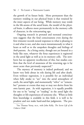the growth of its future body. More permanent than the memory residing in our physical brain is that retained by the inner aspects of our being. While memory may reside in the life-atoms of the astral brain, the model of the physical brain, it adheres more permanently in the memory cells of character, in the reincarnating ego.

Ongoing research in prenatal and neonatal consciousness suggests that the fetal consciousness even during the first trimester records neural responses to what is pleasing to it and what is not, and also reacts instantaneously to what it hears as well as to the unspoken thoughts and feelings of *both* parents. As a living entity, though not yet housed in a body like ours, whatever the fetus experiences is registered in the astral light as well as in its memory cells. The newborn has no apparent recollection of this, but studies confirm that the level of awareness of the returning ego is far more acute than previously suspected.\*

The mystery of memory is indeed profound, and we know very little about its role during life and after death. Even without regression, it is possible for an individual when fully awake to "see" into the astral atmosphere of earth, the astral light, and momentarily "relive" or "remember'' persons or events that may or may not derive from his own karmic past. As with regression, it is equally possible for one to be ''seeing'' or ''reading'' in the astral light the thoughts or life-experiences of someone else. When so little firm knowledge is available in this field, it is well to be prudent and not make hard-and-fast judgments. The pro-

<sup>\*</sup>See Thomas Verny, M.D., with John Kelly, The Secret Life of the *Unborn Child*.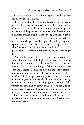cess of regression with or without hypnosis neither proves nor disproves reincarnation.

It is regrettable that the popularization of regression practices has given a confused picture of the doctrine of reincarnation, due in the main to the overemphasis placed on the role of the persona, the mask worn by the reimbodying human monad as it incarnates in life after life on earth. It is natural to want to know who we were in our last life, but such knowledge is double-edged. To undergo hypnotic regression simply to satisfy the hunger of people to know who they were in a previous life is morally and psychically questionable. Sufficient unto this life are the challenges thereof.

We can be certain that — whether in the astral lifeatoms of our brain or in the higher elements of our constitution, as well as in the astral light of earth — all that we *are,* since we first became thinking, self-choosing humans, has been and is recorded. This ties in with Plato's views that the soul has a memory of its own. In his Dialogues, particularly in *Meno* (§b), he speaks of the process of re-collection or remembering — not memorizing in the sense of learning by rote but of reminiscing, re-bringing forth memory of the wisdom the soul had anciently attained. The soul, he affirmed, has a reservoir of experience from the past and ''if one is strenuous and does not faint'' in his endeavor to recall, to re-collect this wisdom, suddenly, as in a flash, there may come a revelation, a light streaming into the consciousness from within.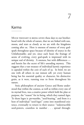### Karma

MUCH THOUGHT IS BEING GIVEN these days to our brotherhood with the whole of nature, that we are linked with sun, moon, and stars as closely as we are with the kingdoms coming after us. Here is oneness of essence of every godspark throughout space because of identity of source in the Unfathomable; and yet, since each bears the fruitage of aeons of evolving, every god-spark is impressed with its unique seal of divinity. A oneness, but with differences and herein lies the secret of life's unending mystery. This suggests that a vast treasury of individual karmic experience is capsuled within the core of each of us. In brief, we are one with all others in our inmost self, yet every human being has his essential quality or character, his distinctive grain, as it were, running true to form throughout his nature.

7

Stoic philosophers of ancient Greece and Rome understood that within the cosmos, as well as within every one of its myriad lives, was a creative power which held the plan or purpose, the ''reason'' for its being, which they named *logos*. To them logos is *spermatikos*, ''seed-bearing,'' and from it a host of individual ''seed-logoi'' come into manifested existence, eventually to return to their source: ''indestructible seed-powers, countless in number... spread through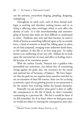out the universe, everywhere shaping, peopling, designing, multiplying . . ."\*

Throughout its earth cycle, each of these myriad seedlogoi is evolving and therefore making karma, and in so doing is affecting other seed-logoi which in turn affect the destiny of each. It is this interrelationship and intermingling of karmas that make our lives difficult to understand at times. Problems arise now and then because we tend to think of karma as something inflicted upon us by an outside force, a kind of nemesis or dread fate falling upon us when we are least prepared, avenging some unknown deeds done, or left undone, in this life or in lives long past. In reality karma is an outflowing of our very self. Seldom do we look upon the universal law of cause and effect as healing, merciful because of its restorative power.

With the earliest Greeks, Nemesis was a goddess who personified our conscience, our inborn fear of committing wrong against the gods; also, our reverence for the moral and spiritual law of harmony, of balance. We have forgotten that the gods are not separate from ourselves and that we are an extension of their life essence, their care for us being as intrinsic a part of our growing process as our protection is for the atomic lives evolving within the human hierarchy.

Naturally we ask ourselves what good it does to suffer the consequences in *this* life of deeds we don't remember committing in a previous life. We feel it would be fairer if we did remember, for if we knew where we had gone astray we would not object to meeting the consequences now; also,

<sup>\*</sup>Edward Vernon Arnold, *Roman Stoicism*, p. 161.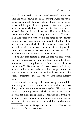we could more easily see where to make amends. Yet, when all is said and done, we *do* remember our past, for the past is ourselves: we are the karma, the fruit, of our ages-long experience unfolding itself in the present. True, our physical brain, being newly formed for this life, has little power of recall, but this is not all we are. The personalities we assume from life to life are strung on a "thread-self" (sūtrātman) like beads on a cord. While the beads or personalities are only partially conscious of the radiant self linking them together and from which they draw their life-force, our ātmic self or sūtrātman *does* remember. Something of the aroma of awareness carried over into each new personality may be intuited in moments of inner quiet.

Buddhist texts remind us that the time will come when we shall be required to gain knowledge, not only of our immediately preceding life, but of ''the sequence of births and deaths."\* By then we will have become sufficiently mature spiritually to handle such knowledge without injury to others or to ourselves, and will have earned the boon of instantaneous recall of the wisdom that is innately ours.

All of this leads to large reflections, taking us beyond the immediacy of present circumstances to previous incarnations, possibly even to former world cycles. We cannot envision a beginning beyond which no causes were set in motion, for every god-spark is a consciousness, a living being that has been pursuing its individual course of evolution for aeons. We humans, within the tidal flux and ebb of our

<sup>\*</sup>Visuddhi Magga, Buddhaghosa (5th c. AD); cf. *World of the Bud*dha, ed. Lucien Stryk, p. 159 et seq.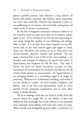planet's growth pattern, have likewise a long history of births and deaths, successes and failures; more important, our entry into earth life, whatever the situation or place, is an outflowing of our karma, the inevitable consequence of causes sown in former incarnations.

By the law of magnetic attraction, whatever comes to us we ourselves must at some time have set in motion, knowingly or not. Every instant of our lives we are impressing on our entire being the quality of our thinking and feeling, lofty or base. It is *we* who leave these imprints on our lifeatoms and, as the soul returns again and again to earth, those very life-atoms also return to us, to form anew our several sheaths, physical, mental, and spiritual. No one reaps a harvest that is not of his or her own making — in benefits and strength of character for good seed sown; in deprivations and weakness of will for tares. Not only is karma the stern yet always beneficent recorder of every movement of consciousness for humans, but likewise for all entities from atomic to macrocosmic. To regard karma as an avenging demon or a rewarding angel is to judge by externals. Whatever its evolutionary standing, each entity is its own *lipika* or ''scribe,'' its own recorder, awakener, and friend. Just as we leave our characteristic mark on every particle of our composite constitution, just so every other entity is doing likewise.

All of us undergo trials that are hard to justify from the narrow limits of a single life; we are subject to laws and influences that seemingly have little relation to our personal lives: national, racial, global, even solar and cosmic in scope. When kindly and thoughtful persons suffer a cruel fate it is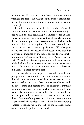incomprehensible that they could have committed terrible wrong in the past. And what about the inexpressible suffering of the many millions through famine, war, or natural catastrophe?

If, indeed, the one inviolable law in the universe is karma, whose face is compassion and whose reverse is justice, then in the final reckoning it is impossible for an individual to undergo any experience that ultimately does not derive from some portion of his constitution, which extends from the divine to the physical. As the workings of karma are mysterious, they are not easily discerned. What happens to one may not be the result of evil deeds in the past, but may well be impulsed by the higher self for its own benefic purposes. *Man's Search for Meaning* by the Austrian psychiatrist Viktor Frankl is moving testimony to the fact that out of the hell and horror of concentration camps heroes were born. The ordeal for each of them must have been an initiation of a most powerful sort.

The fact that a few tragically misguided people can plunge a whole nation of fine men and women into conditions that normally no one of them would tolerate, must have its seeding long ago. Ever since we were lighted with the fire of mind and became aware of ourselves as thinking beings, we have had the power to choose between right and wrong. For millions of years we have been responsible for our thoughts and emotions and the deeds that spring from them. Because of the power of choice, and because we are as yet imperfectly developed, we are bound to make wrong choices, especially when the pull of the material seems stronger than the pull of the spiritual.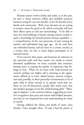Human nature evolves slowly and today, as in the past, we have a choice between selfish and unselfish instincts; between acting for our own benefit, or for the benefit of our family and community. With every decision we are setting in motion causes for good or ill, which eventually will have their effects upon us and our surroundings. To be able to trace the interwebbings of karma among nations would require a knowledge far beyond present human capability a comprehension of the vast panorama of past sowing by nations and individuals long ages ago. As we each have our individual karma, and are born in a certain country at a certain time, we also to some degree participate in its national karma.

If we conceive that justice and harmony are inherent in the universal order and that nature ever works to restore disturbed equilibrium, we must conclude that everyone, barring none, is reaping the quality of experience that belongs to him. When we are beset with trials beyond our control, perhaps our higher self is rejoicing at the opportunity offered us to learn valued lessons, nurture compassion and, possibly, in these particular circumstances to be of quiet help to those around us in greater need than we. Have we not all discovered, usually after many years, that the harshest passages of our life yielded lasting gifts? ''Blessings in disguise'' is the common phrase, suggesting an intuitive recognition that pain and sorrow hold hidden beauties, not least in our deepened love and understanding for those in travail.

Having suffered the illness and death of many close friends, I have thought often, ''If only I had the power to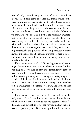heal; if only I could bring surcease of pain.'' As I have grown older I have come to realize that this may not be the wisest and most compassionate way to help. I have come to understand that the kindest and most effective way to sustain another is to help him find the courage and the love and the confidence to meet his karma creatively. Of course we should use the medical aids that are normally available, but let us allow our friend the honor and the dignity of recognizing that he has the capacity to handle his karma with understanding. Maybe his body will die earlier than the norm, but in meeting the karma that is his, he is accepting consciously the privilege of working through a heavy karmic experience for a beneficent purpose. There is solace and strength for both the dying and the living in being able to take this attitude.

How best can we stand by? By getting down and weeping with our friend? Yes, there may be tears, tears of understanding and love, not of pity and despondency; tears of recognition that the soul has the courage to take on a severe ordeal, knowing that a great cleansing process is going on, a clearing of the karma for the future. It doesn't need a lot of words — words are often quite unnecessary. But there has to be a willingness to be strong, steadfast, and loyal, so that our friend may draw on our caring strength when he most needs it.

How do we know what the soul must undergo to be truly free? How do we know that the terrible suffering, which may in a sense be worse for the bystander than for the one going through it, is not the very karma that the soul has been yearning for? But to shrug off another's pain is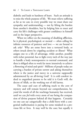diabolic and leads to hardness of heart. Such an attitude is to miss the whole purpose of life. We must relieve suffering as far as we can; in every possible way we must share our sympathy and understanding — not by lifting the burden from another's shoulders, but by helping him to meet and carry his life's challenges with greater confidence in himself and in the larger perspective.

When we reflect on the meaning of disabling affliction, be it physical, psychological, or mental — often calling for infinite resources of patience and love — we are bound to ask *why*? Why are some born into a tortured body, or others struck down by crippling accident or illness? What assigns one to a life of advantage, while another, possibly with richer potential, has to fight every inch of the way just to handle a body nonresponsive to normal command, and then is obliged often to work far more intensively to achieve a flowering of mind and spirit? Millions of people today are carrying a burden of private sorrow and asking themselves where is the justice and mercy in a universe supposedly administered by an all-loving God? It is cold comfort indeed to anguished parents to be told it is God's will, the decree of Allah, or the working out of old karma.

The cause and cure of suffering reach to the core of mystery and will remain beyond our comprehension, beyond the words of all the teachings humanity has received, until we can *feel* with every atom of our being the compassion of divine purpose behind all that happens. Certainly no one can say categorically that a child born with a congenital malformation is paying for some misdeed in a previous life or lives. It may well be the case; but equally it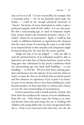may not be so at all. Is it not conceivable, for example, that a returning entity — for we are primarily spirit-souls, not bodies — could be far enough advanced interiorly to "choose" the karma of severe deprivation in order to gain a profound empathy with all who suffer? Is it not also possible that a reincarnating ego, in need of temporary respite from certain mental and emotional pressures, selects a ''retarded'' vehicle for an incarnation? Again, it could be that cruelty or selfishness had been so ingrained in the character that the surest means of removing the warp is to take birth in an impaired body so that empathy and compassion might be burned deep into the soul and the nature gentled.

"Judge not that ye be not judged" — only one able to read the spiritual history of an individual would be able to determine just what lines of karma had been traced in lives long gone that culminated in the precise conditions which the reincarnating ego now finds itself handling — or not handling — in this life. All of us have been weaving grandeur and baseness into the tapestry of our soul; but when we intuit, as many do, that we are linked with our divine parent and that whatever we experience of joy or pain is an intrinsic part of our destiny that we have been building for cycles beyond number, we *know* that there is a fitness and a beauty in even the most heartrending of circumstances.

A letter typewritten with a mouth-stick by a friend, who from birth has weathered the trauma of severe disablement, bears this out. Viola Henne earns her living as an artist, and devotes what time and energy she can to working with children and young adults who are more incapacitated than she is. Viola is not concerned with what they can't do; she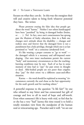focuses on what they *can* do. In this way she energizes their will and creative talent to bring forth whatever potential they have. She writes:

Please promote erasing the false idea that people get about the word ''karma.'' Neither I nor others handicapped have been ''punished'' by being *in* damaged bodies (brains, or . . .). No! In fact, once one's consciousness has sprung past the illusions of faulty education, then in a flash one changes one's attitude about the disability — changes and realizes once and forever that the damaged form is not a punishment but a holy privilege, through which one is at last permitted to ''work'' on a conscious (awakened) level.

It's like wearing a proper costume to "go to work" the damaged vehicle is a necessary and self-imposed outer draping. Our own inner mechanisms permit the current "body" and momentary circumstances so that the teachinglearning conditions may be met. Each of us has in some moment of time had to "pay" for past errors in thought or deed. Able-bodied people are not purer than cripples; they "pay" for their errors via a different cause-and-effect situation.

Karma — the word should be explained as meaning ''circumstances currently the soul chose as the best opportunity for the soul's growth and for teaching others.''

A powerful response to the question ''Is life fair?'' by one who refused to stay bitter and has consecrated her gift of courage and love to all in need of hope and self-worth. Even when someone's life is heavy with trial, to feel that he or she has a very ''bad'' karma this time round is to hold a totally mistaken view from the standpoint of the human soul or reincarnating ego. Purucker said it well: ''we are our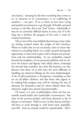own karma,'' meaning by this that everything that comes to us, in character or in circumstance, is an outflowing of ourselves — our past. If we or those we love have trying and painful circumstances to go through, ill health, personal reverses, or the like, this is not ''bad'' karma. Admittedly, it may be an extremely difficult karma to meet, but if in the long run it furthers the progress of the soul, it must be counted beneficent.

This is one of the most helpful ideas because many today are feeling crushed under the weight of life's burdens. When we realize that *we* are our karma, then we know that whatever is unrolling before us is really ourselves having the opportunity to learn and to grow and to deepen our perceptions and our understanding. As our sympathies expand beyond the periphery of our personal problems and we observe the humor and dignity with which others, seemingly less favored than ourselves, face their life situation, we may discover that those of us who have the most difficulty in handling our character failings are the more disadvantaged. A bit of self-examination is therapeutic, reminding us that we are all fellow climbers, and that those who appear to be making little progress may well be clearing the way of obstacles for themselves and for others behind them that otherwise might have proved insurmountable.

Of course, it is easy to philosophize when one has reasonably sound health and comfortable circumstances. But what of the poverty-stricken, and those doomed to die of disease or starvation? Shall we say it is their karma and they will have to work through it, with better luck, hopefully, next life? Such an attitude would be reprehensible. Obvi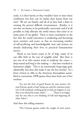ously, it is their karma or they wouldn't have to meet those conditions; but how can we isolate their karma from our own? We are *one* family, and all of us have had a share in creating the present difficult circumstances. Besides, is it not also *our* karma to be profoundly concerned, and if at all possible to help alleviate the awful misery that exists in so many parts of our globe? There is some consolation in the fact that the world conscience is awakening and becoming more sensitive and acute, so that an increasing number of self-sacrificing and knowledgeable men and women are already dedicating their lives to practical humanitarian service.

Much as our hearts yearn to be of help, many of us can offer little in the way of tangible relief. But there is not one of us who cannot work to eradicate the *causes* deep-seated and long in the making — that have resulted in humanity's plight. This is an enormously long-range goal, admittedly, but does this make it any the less worthy? In a letter written in 1889 to the American theosophists assembled in convention, HPB quotes these lines from one of her teachers:

''Let not the fruit of good Karma be your motive; for your Karma, good or bad, being one and the common property of all mankind, nothing good or bad can happen to you that is not shared by many others." . . . "There is no happiness for one who is ever thinking of Self and forgetting all other Selves.''

And then this telling sentence:

''The Universe groans under the weight of such action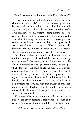(Karma), and none other than self-sacrificial Karma relieves it.''\*

This is provocative, and is there one human being to whom it does not apply? Indeed, the universe groans under the weight of our selfish acts and thoughts, and it is we, individually and collectively, who are responsible insofar as we contribute to that weight. Being human, all of us have mixed motives to a degree; but we have before us the grand ideal of making our lives altruistic. This is a goal that requires many lifetimes to attain, but it is a goal worth keeping ever living in our hearts. When it becomes the dominant influence in our daily experience, we shall express a larger measure of unselfishness than of its opposite.

Selfishness inhibits the natural growth of the soul; it is inimical to the growth of mankind, because it is a turning in upon oneself. Conversely, not thinking ourselves to be of first importance releases light from within, and the light which flows into our souls bursts the barriers of our personalities and sheds a radiance upon the lives of others. It is a fact that every altruistic impulse and aspiration, uniting with an elemental being, sends its influence into the thought atmosphere of our world, and every individual who is in sympathetic vibration with that quality of aspiration responds in kind. His life is ennobled and his surroundings irradiated. In like manner the opposite is true, and for this also we are accountable.

No matter what outer circumstances karma may place us in, we can always remember that we are souls, each of us having his individual dharma to fulfill. Krishna tells Arjuna

<sup>\*</sup>*H. P. Blavatsky to the American Conventions: 1888–1891*, p. 22.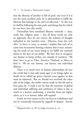that the dharma of another is full of peril, and even if it is not the most excellent path, he is admonished to fulfill the dharma that belongs to the self (*sva-dharma*).\* In this way he shall be following his own path, and doing that for which he was born into this world.

Orientalists have translated dharma variously — duty, truth, law, religion, piety — but all those words are only an approach, they do not convey the richness of thought imbodied in the Sanskrit term. Dharma, from the verb dhri, "to bear, to carry, to sustain," implies that each of us came into incarnation bearing a destiny that is ours, sustaining the truth of our inner being as we fulfill our outward duties to the best of our ability. We have first to recognize our destiny as being within, not outside of ourselves. We don't have to go to Tibet, America, Thailand, or Africa to find it. *We* are our destiny, our karma, our individual dharma.

There is so much awry in human relationships all over the world that it may take many ages to set things right; no doubt we've tallied up quite a karmic score against us that must be balanced. But we should not overlook the other side of the ledger, the nobler entries made in this life and in lives gone by. Could it not be that the intensity of global and individual suffering and confusion of values is due as much to a karmic awakening, a stimulus from our higher selves, as it is to karmic debts still unpaid?

Surely we were meant to live our lives as a wholeness and not be continually fractured by anguish or despair. Sorrow

<sup>\*</sup>*Bhagavad-Gītā* 3:35 (W. Q. Judge recension, p. 21).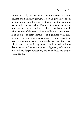comes to us all, but like rain to Mother Earth it should nourish and bring new growth. So let us give ample room for joy in our lives, the inner joy that warms the heart and balances the karmic scales. One day, in this life or in another, we may be able to look at all we have been through with the eyes of the seer we intrinsically are — as an eagle high above our earth karma — and glimpse with panoramic vision our entire experience, past and present, in terms of motivation as well as in deeds. We shall *know* that all hindrances, all suffering, physical and mental, and also death, are part of the natural pattern of growth, etching into the soul the larger perception, the truer love, the deeper caring for all.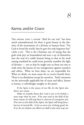## Karma and/or Grace

THE DOGMA THAT A SAVIOR "died for our sins" has been much misunderstood, for there is great beauty in the doctrine of the incarnation of a divinity in human form: ''For God so loved the world, that he gave his only begotten Son'' (*John* 3:16). This is the Christian way of saying that the gods took pity on humankind and sent a ray of themselves into the soul of a noble human being so that in his work among mankind he could more potently manifest the light of divinity — not so that he might save us from our sins or wash away the karma of our transgression against ourselves and others. What we have done, we are responsible for. What we think, we must atone for or receive benefit from. There is no absolution except by ourselves. Paul's statement on the universally applicable law of cause and effect, kismet or karma, is refreshingly straight to the point:

If the Spirit is the source of our life, let the Spirit also direct our course....

Make no mistake about this: God is not to be fooled; a man reaps what he sows. If he sows seed in the field of his lower nature, he will reap from it a harvest of corruption, but if he sows in the field of the Spirit, the Spirit will bring him a harvest of eternal life. So let us never tire of doing good, for if we do not slacken our efforts we shall in due time reap our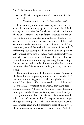harvest. Therefore, as opportunity offers, let us work for the good of all...

— *Galatians* :; :‒ (*The New English Bible*)

In short, every moment of every day we are setting new causes in motion and reaping effects of past deeds. It is the quality of our motive that has shaped and will continue to shape our character and our future. Because we are one humanity and not separate, we are affecting the destiny not only of those with whom we associate, but also of thousands of others sensitive to our wavelength. If we are altruistically motivated, we shall be sowing in the realms of the spirit; if self-serving, our sowing will be in the field of our personal self. We reap as we sow, for nature reacts impersonally without reference to pleasing or displeasing the sower. The harvest will conform to the sowing since every human being is his own reaper and recorder, impressing what he *is* on the memory cells of character and, in fact, on every level of his being.

How does this jibe with the idea of grace? As used in the New Testament, grace signifies almost exclusively God's means of granting forgiveness for sin through the intermediary of Christ Jesus. ''He that believeth . . . shall be saved'' (*Mark* 16:16). Whatever an individual may have been or done, by accepting Christ as his Savior he is assured freedom from guilt and the blessing of God's grace. Read literally, as it is by the more orthodox Christian, it is unconscionable: what kind of justice is this if a reprobate can, simply through accepting Jesus as the only son of God, have his record wiped clean and his character purged of iniquity? Is there no requisite of atonement for wrongdoing? And what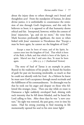about the injury done to others through one's brutal and thoughtless acts? From the standpoint of human, let alone divine justice, it is unthinkable to countenance the remission of sins through God's forgiveness, and this only for believers to boot; it is opposed to all that humanity deems ethical and fair. Interpreted, however, within the context of Jesus' injunction, ''go, and sin no more,'' the verse from Mark becomes profoundly significant, the more so when linked with Jesus' statement to Nicodemus that ''Except a man be born again, he cannot see the kingdom of God.''

Except a man be born of water, and of the Spirit, he cannot enter into the kingdom of God. That which is born of the flesh, is flesh; and that which is born of the Spirit, is spirit. Marvel not that I said unto thee, Ye must be born again.  $\qquad - \int_0^1 b_n^3$ ;  $\zeta$  -7 (Authorized Version)

The story of Saul of Tarsus is an example in point. Reared in the traditions of his people, he found the burden of guilt for past sin becoming intolerable, so much so that he could not identify with his God. As a Hebrew he knew he must earn God's acceptance through moral rectitude and the fulfillment of his commandments. So distraught was he that he took out his anger and despair on those who followed this stranger, Jesus. Then one day while en route to Damascus a light suddenly enveloped Saul, shining with such intensity that he fell down blinded, and he heard the Lord calling to him. After three days he was ''a new creature,'' his sight was restored, the past gone, even in time his name. Had his strong yearning to find meaning in life momentarily opened his soul to his own inner light?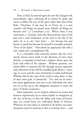Now, as Paul, he entered upon his new life charged with extraordinary vigor, exhorting all to whom he spoke and wrote to follow the way of the spirit rather than that of the flesh: ''Therefore, if any man be in Christ, he is a new creature: old things are passed away; behold, all things are become new" (2 *Corinthians* 5:17). Where there is true conversion, a ''turning'' from the obstructionist ways of the past and a total immersion of the soul in the life of the spirit, he is as one "new born" — not because his past karma is erased but because he himself is inwardly renewed, "born of the Spirit." Henceforth he approaches life with a new vision and a strengthened will.

It is a beautiful truth anciently known that for every utterly sincere move made in the direction of one's inner divinity, it responds in kind and a radiance shines upon the heart and mind of the aspirant. Without question, sustained effort to renovate the life through earnest aspiration and cultivation of the will for unselfish goals allows a ''clearing'' to occur and the voice of intuition to make itself heard. Whether this be the voice of the Lord or other deity, or that of one's inner god, is immaterial. ''Go, and sin no more'' has many applications, but woe to the individual who does not try to live up to the obligation assumed: to merit the grace of divine acceptance.

Most important, an act of grace, whatever its source and however experienced, *by no means implies an abrogation of the law of karma*, or that the follies and errors of former days are erased from our individual Book of Destiny. Whatever we have done or omitted to do before our transformation must be resolved, in this or in future lives — and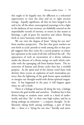this ought to be happily met, for affliction is a welcomed opportunity to clear the slate and set to right ancient wrongs. Equally significant, all that we have longed to do and to be, all the silent, unrecognized yearnings to be a light in the darkness of our environs, are faithfully entered on the imperishable records of eternity, to return in due season as blessings, a gift of grace for ourselves and others, flowing forth in strict harmony with karmic law.

We can view the dogma of Jesus' ''dying for our sins'' from another perspective. The fact that great teachers are sent forth at cyclic periods to work among this or that people suggests that they come for a sacred purpose: to stimulate aspiration in the souls of all who will heed the call. The appearance of such an incarnation of a divine radiance marks the descent of a divine energy on earth which coincides with the upsurging call from human hearts. The intersection of human and divine cycles thus has a twofold purpose. As the spirit-soul of the chosen vessel fuses with divinity there occurs an explosion of such tremendous potency that the lightning of the gods bursts upon mankind, to energize our thought-world with divine-spiritual magnetism. It has happened in the past; it will happen again when we call it forth.

There is a linkage of karmas all along the way, a linkage between the god-worlds and ourselves. Tradition has it that divine beings or avatāras enter earth as a kind of underworld, and thus "die" to their own high realms, and by so doing undergo an initiation — a majestic thought. In deliberately taking birth among earthlings, a part of them dies — there is a ''dying for our sins,'' literally and meta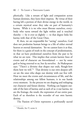phorically. Like a stream of light and compassion across human destinies, they leave their impress. By virtue of their having left a portion of their divine energy in the world, in a certain mystical sense they take on part of humanity's karma. While it is we who must liberate ourselves, everybody who turns toward the light within and is touched thereby — be it ever so slightly — to that degree links his karma with that of the Great Ones.

If, then, we are responsible for ''saving'' ourselves, God does not predestine human beings to a life of either eternal heaven or eternal damnation. Yet we cannot leave it at that, for there is a grain of truth in the concept of predestination, in that *we* have predestined ourselves from the past to be what we are now. This implies that certain karmic lines of events and of character are foreordained — not by some god or being external to us, but *by ourselves*. As Shakespeare says: ''There's a divinity that shapes our ends, Rough-hew them how we will."\* That divinity is our own deepest self; *we* are the ones who shape our destiny with our free will. How we meet the events and circumstances of life, and the relationships among our fellow humans, is in our hands every moment. In the process we are shaping and reshaping our character and future destiny. Nothing can happen outside of the laws of karma; and as each of us *is* our karma, we are the fruitage, the result, the expression of our entire past. Each of us therefore is the recorder of our own karmic destiny.

The Passion of Christ represents a profoundly sacred

<sup>\*</sup>*Hamlet*, Act V, scene ii.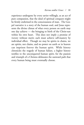experience undergone by every savior willingly, as an act of pure compassion, that the ideal of spiritual conquest might be firmly enshrined in the consciousness of man. The Gospel narrative is a story of the human soul, and Jesus represents the divine climax of what every person on earth may one day achieve — the bringing to birth of the Christ-sun within his own heart. This does not imply a promise of victory without merit; each must achieve self-mastery by individual effort. Though we may be spirits in chains, we are spirits, not chains, and no power on earth or in heaven can imprison forever the human spirit. While history chronicles the tragedy of human failure, a higher history testifies to the unconquered human spirit, for the passion and triumph of a Christos delineates the sunward path that every human being must eventually choose.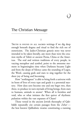# 9

## The Christian Message

### I

TRUTH IS FOUND IN ALL SACRED writings if we dig deep enough beneath dogma and ritual to find the rich ore of esotericism. The Judeo-Christian genesis story was never intended to be taken literally, any more than were the creation myths of Tahiti or ancient Persia, China or the Americas. The oral and written traditions of every people, in varying metaphor and symbol, point to the awesome moment in beginningless time when Darkness became Light and from the deeps of Silence came the sounding of Logos, the Word, causing gods and stars to sing together for the sheer joy of being and becoming.

How ''nothingness'' is able to bring forth a universe with its hosts of lives of every type and grade is a perennial mystery. How does zero become one and one beget two, then three, to produce in turn myriads of living beings, from stars to humans, animals to atoms? When all is formless and void, who or what initiates the first quiver of rhythmic pulsation within the vast expanses of Chaos?

Those versed in the ancient Jewish theosophy of Qabbālāh repeatedly cite certain passages from the *Zohar* the best known Qabbalistic treatise constituting a running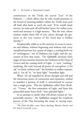commentary on the Tōrāh, the sacred "Law" of the Hebrews — which affirm that he who would penetrate to the kernel of meaning hidden within the Tōrāh must peel off husk after husk to reach the soul. If he would intuit essence, he must peel off still further layers, for within every word and sentence is a high mystery. ''But the wise, whose wisdom makes them full of eyes, pierce through the garment to the very essence of the word that is hidden thereby.''\*

Paradoxically, while to us the universe *in essence* is uncreate and infinite, without beginning and without end, every *manifested* universe has a point of origin, a coming forth out of ''nothingness,'' out of Darkness into Light, and the succession of lives that ensue. The Qabbālāh envisions three stages of non-existence between the Darkness of the Deep of *Genesis* and the coming forth of Light: 1) *'ayin*, "nothing," nonbeing, the void, beyond all power of conception; 2) 'ēin *sōf*, "no limit, without end," the limitless or endless expanse; and 3) 'ēin sōf 'ōr, "no limit light," boundless light.

When 'ēin sōf, impelled by divine thought and will and the mysterious power of contraction and expansion, wished to manifest a portion of itself, it concentrated its essence into a single point. This the Qabbalists called *Keter* (Kether), "Crown," the first emanation of Light, and from this primordial point burst forth ''nine splendid lights.''

In an attempt to clarify what will always remain an ''impenetrable mystery,'' the Qabbalists imaged the wondrous process of the One becoming the many in varying ways,

<sup>\*</sup>*The Zohar* (iii:b), trans. Harry Sperling, Maurice Simon, and Dr. Paul P. Levertoff, 3:300.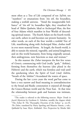most often as a Tree of Life composed of ten *Sefirōt*, ten "numbers" or emanations from 'ein sof, the boundless, making a tenfold universe. ''Amid the insupportable brilliance" of 'ēin sōf 'ōr, boundless light, they visualized the head of *'Adām Qadmōn*, Ideal or Archetypal Man, the first of four Adams which manifest in four Worlds of descending spiritual stature. The fourth Adam on the fourth world, our earth, ushers in and becomes our present humanity. In other words, on each of the four worlds a tenfold Tree of Life, manifesting along with Archetypal Man, clothes itself in ever more material forms. At length, the fourth world, is able to sustain the mineral, vegetable, and animal kingdoms; and on this world humanity, from being originally asexual, then androgynous, now functions as man and woman.\*

In this manner the *Zohar* interprets the first few verses of *Genesis*, commencing with God (really "gods," 'elohīm), forming from themselves the heavens (also plural in the Hebrew) and the earth, which was formless and void until the quickening when the Spirit of God (*rūah 'elohīm*, "breath of the 'elohīm") fecundated the waters of space.

During the last 2,000 years the word *god* has come to have a very narrow and fixed meaning in contradistinction to the broad and fluidic connotation it enjoyed all through the Graeco-Roman world and the Near East. At that time the relationship between gods and humans was intimate,

<sup>\*</sup>The reader is referred to the following sources: *Major Trends in Jewish Mysticism* by Gershom G. Scholem, notably the chapter titled: "The Zohar II: The Theosophic Doctrine of the Zohar," p. 202 ff.; The Zohar, translated by Harry Sperling and Maurice Simon, 5 vols.; *Qabbalah* by Isaac Myer; *Kabbalah: New Perspectives* by Moshe Idel.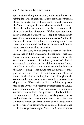gods at times taking human form, and worthy humans attaining the status of godhood. Due to centuries of imposed theological dicta, the word God today generally connotes the Supreme Being or Creator who created the heaven and the earth, and all creatures thereon, i.e., extracosmic, distinct and apart from his creation. Without question, a great many Christians, barring the most rigid of fundamentalist sects, have abandoned the notion of a personal God in the likeness of a man with a long beard, sitting on a throne among the clouds and handing out rewards and punishments according to whim or caprice.

Assuredly, every human being is a spark of that divine Intelligence, with his own inner god at the core of his being. Could any entity, even a dust mote, exist were it not the outermost expression of its unique god-essence? Indeed, every atomic particle is a god-spark imbodying itself in material form. As such it is one in essence with the divinity at the heart of Being. This means that the monads or inner gods at the heart of each of the trillions upon trillions of atoms in all of nature's kingdoms and throughout the cosmos are likewise *one in essence* — truly a universal kinship of spirit. When we image God as infinite, our perception of the Divine Will becomes as unrestricted as thought and aspiration allow. Is God transcendent or immanent, outside of us or within? The question is redundant if divinity permeates all. Under the press of daily concerns, we tend to forget who we are and the destiny that is ahead not only for us humans but for every monadic life, be it an atom in the brain of an earthworm or in one of Saturn's rings.

In the *Gospel according to John* (10:34), Jesus reminded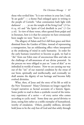those who reviled him: ''Is it not written in your law, I said, Ye are gods?'' — a theme Paul enlarged upon in writing to the people of Corinth: ''what communion hath light with darkness? . . . ye are the temple of the living God'' (*2 Cor*. :, ) and ''the Spirit of God dwelleth in you'' (*1 Cor*. 3:16). In view of these verses, often quoted from pulpit and in literature, how is it that for centuries we have erroneously been taught we were ''born in sin''?

The allegory of Adam and Eve's fall from grace and their dismissal from the Garden of Eden, instead of representing a transgression, has an exhilarating effect when interpreted as the awakening of mind in early humanity. In order for the early humans (ourselves) to become as gods, we had to ''die'' from our Eden state of unconscious bliss and take on the challenge of self-awareness of our divine potential. In the process we were obliged to put on ''coats of skin'' as we imbodied in worlds of matter. Now we are earning our way out of the ''sin'' of our material condition by the sweat of our brow, spiritually and intellectually, and eventually we shall assume the dignity of our heritage and become fully evolved divinities.

What, then, of Jesus and the story of his life as told in the New Testament? Many Christians no longer regard the Gospel narratives as factual accounts of a historic figure. Some prefer to read in them a symbolic record of the initiatory experience of a savior — of every savior who comes according to cyclic need. Some deny any *special* divinity to Jesus, seeing him rather as a noble exemplar of humanhood, worthy of emulation. Others, possibly millions, devoutly hold Jesus to be the *only* Son of God and that solely through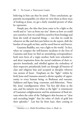believing in him can they be saved. Three conclusions, apparently incompatible; yet when we view them as three ways of looking at Jesus, we get a fairly rounded picture of what he represents.

Simply put, the idea that Jesus came to be a light to the world and to ''save us from our sins'' shows us how *we* could save ourselves, how we could free ourselves from bondage and from the tomb of material things — not that we could do whatever we like and then just before we die repent, shift the burden of our guilt on him, and be saved forever and forever.

Gautama Buddha, too, was a light to the world. In fact, when we compare the well-known incidents in the lives of Gautama and Jesus we find an astonishing correspondence: both were born of a virgin mother; both were schooled in and drew inspiration from the sacred traditions of their respective homelands, and rebelled against the orthodoxy of their respective priesthoods; both cut through all barriers of class and religious bias and accepted as disciples whoever was earnest of heart. Emphasis on the "light" within by both Jesus and Gautama assured a divine equality of opportunity to every human being: to Brahman and outcaste, Sadducee and leper, king, courtesan, and fisherman. Notably, Jesus' transfiguration when ''his face did shine as the sun, and his raiment was white as the light" is reminiscent of Gautama's enlightenment and his attainment of final nirvana when the color of the Tathāgata's skin became so "clear and exceeding bright'' that his robes of cloth of gold lost their splendor.\* Last but far from least, their coming to

<sup>\*</sup>*Matthew* 17:2; *Mahā-Parinibbāna-Sutta, iv, §§48-50.*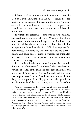earth because of an immense love for mankind — sent by God as a divine Incarnation in the case of Jesus; in consequence of a vow registered lives ago in the case of Gautama — marks them as links in the chain of compassionate Guardians who watch over and inspire us to follow the inward way.\*

Inevitably, the colorful accounts of their birth, ministry, and death are in large part allegory. Whatever there be of solid history in the canonical Gospels or in Buddhist scriptures of both Northern and Southern Schools is clothed in metaphor and legend, so that it is difficult to separate fact from fantasy. Nonetheless, the similarities are too close to ignore, and cause one to question whether the chroniclers may have patterned their respective narratives on some ancient sacred prototype.

In all probability they did, for striking parallels are to be found in the life stories of a number of other world saviors. Persians of old tell of the trials and conquests of Mithras and of a series of Zoroasters; in Mexico Quetzalcoatl, the feathered serpent, was ''crucified'' and rose from the dead; similarly, the sun gods of the Phrygians and other peoples of Asia Minor suffered death and abuse, as did the Norse Odin

<sup>\*</sup>One may speculate just how potent an influence was exerted by Asian pilgrims on the Judean Gospel writers. Aside from commercial traffic between the Indian subcontinent and the Hellenic world subsequent to the conquests of Alexander in the 4th century BC, for approximately 700 years thereafter the Library and Museum at Alexandria were centers of spiritual and intellectual intercourse among Buddhists, Persians, Arabs, Hebrews, Greeks, Romans, and of course Egyptians and other peoples surrounding the Mediterranean Basin; probably also Hindus and Chinese.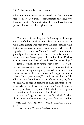who hung nine nights, spear-pierced, on the ''windtorn tree'' of life.\* Is it then so extraordinary that Jesus who became Christos (Anointed, Messiah) should also have experienced a like travail and glorification?

#### II

The drama of Jesus begins with the story of his strange and beautiful birth at the winter solstice of a virgin mother, with a star guiding wise men from the East. Similar virgin births are recorded of other Savior figures, such as of the legendary Persian teacher Mithra (''Friend''), about whom a great light shone when he was born. In India over , years ago when Devākī gave birth at midnight to Krishna, a divine incarnation, the whole world was ''irradiate with joy.''

Jesus is spoken of as having been born of a ''virgin'' mother because spirit has no parent. The concept of an immaculate conception is purely mystical and symbolic, and has at least two applications: the one, referring to the initiate who is "born *from himself*," that is to the "birth of the Christ in man from the virgin-part of one's being, i.e., from the spiritual or highest portions of man's constitution''; the other referring to the cosmic virgin, ''the Virgin-Mother of Space giving birth through her Child, the Cosmic Logos, to her multitudes of children of various kinds.''†

As for the Magi or wise men: the Gospels don't tell us their names or what country they came from, or even how

<sup>\*&#</sup>x27;'Hávamál,'' §, *The Masks of Odin* by Elsa-Brita Titchenell, p. 126.

<sup>&</sup>lt;sup>†</sup>G. de Purucker, *The Esoteric Tradition* 2:1104-5.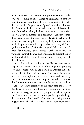many there were. In Western Europe most countries celebrate the coming of Three Kings at Epiphany, on January 6th. Some say they traveled from Persia and that is why they were called *Magi*, meaning "great" in wisdom. Others, like Augustine, believed that twelve wise men followed the star. Somewhere along the line names were attached: Melchior, Caspar (or Kaspar), and Balthasar. Purucker equates them with three of the seven sacred planets: Melchior with Venus, his casket of gold representing the light that Jesus was to shed upon the world; Caspar who carried myrrh ''in a gold-mounted horn,'' with Mercury; and Balthasar, who offered frankincense, "pure incense," with the Moon.\* It would appear that the wise men bringing gifts are symbolic of qualities which Jesus would need in order to bring to birth the Christos.

And the star? According to the German astronomer Kepler ( $1571-1630$ ), while he was observing a rare grouping of planets, Mars, Jupiter, and Saturn in October 1604, he was startled to find a *stella nova* or ''new star'' (a nova or supernova, an exploding star) which remained brilliantly visible for seventeen months. Kepler concluded that what the Chinese astronomers had recorded as novae, both in 5 and 4 BC, gave credence to his view that the Star of Bethlehem may well have been a conjunction of two phenomena: a syzygy or planetary grouping of Mars, Jupiter, and Saturn in early 6 BC and the explosive light discharge that surrounds the ''death'' of an old star. May we not suggest, then, that the so-called Star of Bethlehem could

<sup>\*</sup>Ibid. 2:1105-7.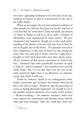have been a grouping of planets in the direction of the sun, enabling an initiant to pass in consciousness to the sun in the stellar deeps?

When we investigate the oral and scriptural traditions of other peoples, we discover that Jesus was not the *only* Son of God, but that his ''miraculous'' birth and death, his descent "to those in Hades as well as to all in earth" (Clement of Alexandria), were experienced by many saviors. All were *monogenēs* (only begotten), though not in the usual understanding of the phrase as the one and only Son of God, for we are all gods, sons of the divine. The splendor rests not in their uniqueness, in that each of them was one among the many who were and will in future cycles be "singly born," brought to birth alone from their own solar, divine source. All are members of that sacred community of ''Sons of the Sun,'' Anointed Ones who periodically incarnate on earth to help us, "spirits in prison,"\* free ourselves from our selfmade bonds. But it is we who must turn the eyes of our souls toward the light: there is no liberation, no salvation, except that which is self-won.

Death by violence, burial in an underground tomb, bodily resurrection and ascension into heaven: what has all this to do with us today? Should we take this procession of events as having physically happened? Or should we see in the parallel mystical experience of so many world teachers a Mystery-teaching — the ultimate initiatory ordeal that every aspirant for communion and ultimate union with his inner god must undergo? How else could they claim one-

 $*$ *1 Peter* 3:19.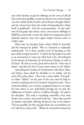ness with divinity except by offering on the cross of self all that is less than godlike, except by descent into and triumph over the underworld of earth and of former thought habits, and by resurrection from the tomb of humanhood to shine forth in godhood? And the consummation? In the tradition of sun gods and saviors, such a one returns willingly to fulfill his sacred task, so that the ideals of compassion and of spiritual mastery may once again inspire human souls to nobler ends.

How may we interpret Jesus' death which he foretold, and his betrayal by Judas? Was it a betrayal as ordinarily understood? Or is there another level of meaning to this part of the Gospel narrative? Could it be that Judas was used as an instrument to carry out what had to be, foreordained by the karma of humanity, by the karma of Judas, as well as of Jesus? Be this as it may, Jesus knew that his ''time was at hand," and that the Son of man must return to the Father.

Ascending the Garden of Gethsemane with Peter, John, and James, Jesus asked his disciples to sit awhile, and he went off to pray alone. Here was a more subtle "betrayal," or rather ''failure'' on the part of the very ones he had selected to stand guard in his moment of greatest need. Not a conscious failure, yet it carries a poignant lesson to us today, for how often in our individual strivings do we lack the selflessness of resolve, of love, to follow through. He said to his disciples: ''My soul is exceeding sorrowful, even unto death: tarry ye here, and watch with me.'' Jesus then moved on farther and knelt, offering all that he was to his Father: ''If it be possible, let this cup pass from me: nevertheless not as I will, but as thou wilt.'' When he returned he found his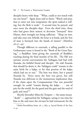disciples heavy with sleep. ''What, could ye not watch with me one hour?'' Again Jesus said to them: ''Watch and pray, that ye enter not into temptation: the spirit indeed is willing, but the flesh is weak.'' A second time he prayed, and once more the disciples slept. Even the third time, those who had given their utmost in devotion ''betrayed'' their Master, their strength not being sufficient. "Sleep on now, and take your rest: behold, the hour is at hand, and the Son of man is betrayed into the hands of sinners'' (*Matthew*  $26:37-45$ ).

Though different in externals, a telling parallel to the Gethsemane scene is found in the ''Book of the Great Passing,'' a Buddhist *Sutta* giving the essentials of Buddha's teaching during the final months of his life. The Pāli text narrates several conversations the Tathagata had had with Ānanda, his faithful friend and disciple. He told Ānanda that should he desire it, the Tathāgata could "remain in the same birth for a kalpa, or for that portion of the kalpa which had yet to run." The hint was there, but it passed Ananda by. Twice more the hint was given, but still ¯ Ananda was oblivious to the momentous implication that, if the claim upon the Compassionate One was powerful enough, he could ''remain during the kalpa... out of pity for the world, for the good and the gain and the weal of gods and men!''\*

Shortly thereafter Māra the Tempter — the name means "death" — approached the Tathāgata, saying it was time for him to die and enter the nirvana he had renounced, for the

<sup>\*</sup>*Mahā-Parinibbāna-Sutta*, ch. 3, §§3-4, Sacred Books of the East  $11:41.$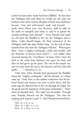resolve he had earlier made had been fulfilled. At that time the Tathāgata had told Māra he would not die until the brethren and sisters and lay-disciples of both sexes shall have become "wise and well-trained, ready and learned, . . . [and] when others start vain doctrine, shall be able by the truth to vanquish and refute it, and so to spread the wonder-working truth abroad!"\* Since Ananda had made no call upon the Buddha to live on, the Tathāgata said to Māra: "make thyself happy, the final extinction of the Tathāgata shall take place before long. At the end of three months from this time the Tathāgata will die!" Whereupon there ''arose a mighty earthquake, awful and terrible, and the thunders of heaven burst forth''† — not unlike what occurred during the ''crucifixion'' of Jesus when, from the sixth to the ninth hour darkness was upon the land, and after he had given up his spirit ''the veil of the temple was rent in twain from the top to the bottom; and the earth did quake . . ." (*Matthew* 27:51).

Only later, when Ananda had questioned the Buddha ¯ about the ''mighty earthquake,'' did his disciple, in a flash, wake up. Only then, at the sudden realization that his beloved friend and mentor was soon to leave them, did  $\bar{A}$ nanda urge the Blessed One to live on through the kalpa ''for the good and the happiness of the great multitudes.'' Three times he pleaded thus. The reply was inevitable: ''Enough now, Ānanda, beseech not the Tathāgata! The time for making such request is past."# Had Ānanda bestirred him-

<sup>\*</sup>Ibid., ch. 3,  $\S$ 7, p. 43.

 $\dagger$ Ibid., ch. 3,  $\S$  $\S9-10$ , p. 44.

 $\ddagger$ Ibid., ch. 3,  $\S$  $\S$ 49-50, p. 54.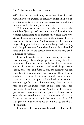self at least by the third time, his teacher added, his wish would have been granted. In actuality, Buddha had spoken of this possibility on many previous occasions, yet each time Ananda had let the hint go by unheeded. ¯

This is not to suggest that had either Ananda or the disciples of Jesus grasped the significance of the divine happenings surrounding their teachers, they could have forestalled the course of destiny. Even if there is scant historic fact in the Christian and Buddhist accounts, this does not negate the psychological truths they imbody. Neither story ends ''happily ever after''; nor should it, for life is a blend of good and ill, of joy and sorrow, from which we may distill a tincture of wisdom.

If we find tragedy here, it is from viewing the events at too close range. From the perspective of many lives there is neither failure nor success, only learning experiences, and in this there is comfort as well as challenge. Peter, James, and John, and Ānanda too, are ourselves; we can identify with them, for their frailty is ours. How often we awake to the reality of a situation only after an experience, aware too late of an opportunity missed. Opportunities come and go for us all. Some we seize, almost by intuition, and are the gainer; others, at times important ones, we let slip through our fingers. Yet all is not lost as some part of our consciousness does register the lesson; were it otherwise, we would not wake up later, whether after a few hours or, perchance, not until the better part of our life has gone by. But wake up we do, ultimately, and this is the triumph.

In the case of Jesus, the very betrayal or failure on the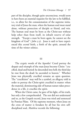part of the disciples, though quite unconscious, would seem to have been an essential requisite for the law to be fulfilled, i.e., to allow for the consummation of the supreme initiatory trial of Jesus the man, when the human soul must stand alone, without protection of disciple or friend, and win. The human soul must be born as the Christ-sun without help other than from itself, its inbuilt reserve of solar strength. ''Except a man be born again, he cannot see the kingdom of God" (*John* 3:3). Jesus is said to have experienced this *second* birth, a birth of the spirit, around the time of the winter solstice.

#### III

The cryptic words of the Apostles' Creed portray the despair and triumph of the man-Jesus become Christ: ''crucified, dead and buried: he descended into hell; the third day he rose from the dead: he ascended to heaven.'' Whether Jesus was physically crucified remains an open question. The "crucifixion" may well be a symbol, an allegory told in order to portray the Christ-spirit crucified in matter: when the material, domineering side of human nature takes precedence in a life, it crucifies the spirit.

When the Christ came, he gave of his light, of his truth, but only a few comprehended. The rest did not understand and so, as the Gospels record, Jesus was tried and sentenced by Pontius Pilate. Of the supreme moment, when Jesus on the cross of matter is forsaken by all but his own selfdisciplined soul, *Matthew* records the following: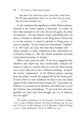And about the ninth hour Jesus cried with a loud voice, Elī, Elī, lāma sabachthānī, that is to say, My God, my God, why hast thou forsaken me?  $-27:46$ 

In the translation the significance of this Hebrew phrase, inserted in the Greek original, is obscured. In reality, we have what amounts to two cries: the one of agony, the other of exaltation. The last Hebrew word, *sabachthānī* does not mean to forsake or abandon as the King James Version has it; on the contrary, it means to glorify, to bring peace, to raise in triumph. Yet the Greek text immediately ''explains'' it as ''My God, my God, why hast thou forsaken me?'' which actually is a direct translation of the well-known cry of David in Psalm 22, *'Elī*, *'Elī*, *lāmāh 'azabthānī*, the final word indeed meaning ''to forsake.''

What is the reason for this? It has been suggested that *Matthew* and *Mark* may have intentionally confused the matter in order to conceal (and yet reveal for those having eyes to see) what was in fact a Mystery-teaching. In short, the Greek ''explanation'' of the Hebrew phrase, quoting from the psalm, records the anguish felt by the *human* part of Jesus when in utter loneliness he had to face the dread regions of the netherworld and conquer all. Conversely, the Hebrew cry as preserved in *Matthew* and *Mark* was a cry of the Christos, Jesus triumphant: ''O my God, how thou hast glorified me, how thou hast brought me out of darkness into the light!''\*

<sup>\*</sup>The author is indebted to G. de Purucker, *The Esoteric Tradition* 1:69-75; also to Ralston Skinner, *The Source of Measures*, pp. 300-301, and ''No Error'' by JRS (Skinner) in H. P. Blavatsky, *Collected Writings*  $9:276-9$ , with corroborative "Note" by HPB on p. 279.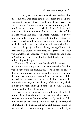The Christ, let us say, was crucified. He was buried in the tomb and after three days he rose from the dead and ascended to heaven. That is the dogma of the Creed. It is also the story of initiation, which means the testing of the soul in great extremity to see whether it is sufficiently stalwart and selfless to undergo the most severe trials of the material world and come out whole, purified. Jesus rose from the underworld of initiation, the tomb of matter, glorified. United with the divinity within him, he ascended to his Father and became one with the universal divine force. He was no longer just a human being, having all our ordinary troubles caused by selfishness and greed. Jesus now was Christos, one ''anointed'' with the sacred oil, and a Son of God because the god within him had flooded the whole of his being with light.

The early Christians knew that the Christ mystery was not unique, something that had never occurred before, but was in very truth the culmination for their time of one of the most wondrous experiences possible to man. They understood that when Jesus became Christ he had successfully opened the pathway between the sun in his heart and the sun in the universe, and that the rays of the real Sun, which is a divinity, shone fully upon him: Jesus became as a sun god, in truth a ''Son of the Sun.''

This expression contains a profound mystical truth. It was and is used for the noblest among those whose natures have become so pure that they reflect clearly the light of the sun. In the ancient world the sun was called the Father of all, including the planets, our earth, and human beings. It was also believed that animating the sun we see in the sky is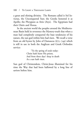a great and shining divinity. The Romans called it Sol Invictus, the Unconquered Sun; the Greeks honored it as Apollo; the Phrygians as Attis (Atys). The Egyptians had their Osiris and Horus.

In the ancient world the peoples around the Mediterranean Basin held in reverence the Mystery-truth that when a man had completely conquered the base tendencies of his nature, the sun god within him had risen. We recall a verse from an old hymn by John of Damascus  $(675-749)$  which is still in use in both the Anglican and Greek Orthodox service:

> 'Tis the spring of souls today: Christ hath burst His prison, And from three days' sleep in death As a sun hath risen.

Sun god of Christendom, Christ-Jesus illumined for his time the Way that had been hallowed by a long line of saviors before him.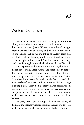## 10

## Western Occultism

THE INTERMINGLING OF CULTURAL and religious traditions taking place today is exerting a profound influence on our thinking and mores. Just as Western methods and thought habits have left their energizing and often disruptive mark on the Orient, just so has the influx of Eastern ideas and rituals affected the thinking and habitual attitudes of thousands throughout Europe and America. As a result, huge cracks are forming in entrenched attitudes. In the West this is due to exposure to the philosophical and psychophysical disciplines of India, Tibet, China, and Japan; also in part to the growing interest in the rites and sacred lore of traditional peoples of the Americas, Australasia, and Africa. Even though the accent is largely on the ''occult arts'' (the mere overlay of genuine occultism), already a distinct change is taking place. From being strictly matter-dominated in outlook, we are coming to recognize spirit/consciousness/ energy as the causal basis of *all* life, from the microworld of the atom to the macroworld of the cosmos, and all in between.

The entry into Western thought, from the 1780s on, of the profound metaphysical scriptures of the East was effected in the main by British civil servants in India. They were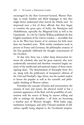encouraged by the then Governor-General, Warren Hastings, to study Sanskrit and allied languages so that they might better understand what moved the Hindu soul. So impressed were a few of these officials that they began to translate the great epics of India, the *Rāmāyana* and *Mahābhārata*, especially the *Bhagavad-Gītā*, as well as the Upanishads. In 1785 Sir Charles Wilkins published the first English translation of the *Gītā* in London — incredible that we in the West have known of its existence for little more than two hundred years. With similar translation work in process in France and Germany, the philosophic treasury of the East gradually infiltrated the thought consciousness of the Occident.

At that time there was a rather sharp demarcation between the scholarly elite and the great majority who were academically untrained and therefore remained largely unaware of the intellectual and spiritual impact of these emancipating ideas. The dissemination of theosophy from on, along with the publication of inexpensive editions of the *Gītā* and Patañjali's *Yoga Sūtras*, was the needed catalyst to leaven the popular as well as the scientific and philosophic thinking of Western culture.

Nowadays the concepts of karma and reincarnation, the oneness of man and nature, the physical world as but a transient appearance of the Real, and the possibility of communion with the source of Being by anyone willing and able to undergo the discipline — all these are becoming a familiar part of Western thought. With haṭha yoga, meditation techniques, and other Oriental methods of selfculture rapidly being adapted to the Occidental tempera-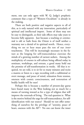ment, one can only agree with W. Q. Judge's prophetic comment that a type of ''Western Occultism'' is already in the making.

There are both positive and negative aspects to all of this, as is only natural with any innovation, particularly of spiritual and intellectual import. Some of these may not be easy to distinguish, as their side effects may take years to become fully apparent. Just because a teaching or ceremonial is old or hails from the Orient is of itself neither a warranty nor a denial of its spiritual worth. Hence, everything we see or hear must pass the test of our *inner* touchstone. This will be increasingly necessary in the future as the longing for self-transcendence exercises the minds of a growing number of earnest seekers. Among the multiplicity of courses in self-culture being offered today in seminars, workshops, and retreats, a good many hold out the promise of self-transformation in weeks. All that is required, we are told, is to sit for so many minutes and recite a mantra or listen to a tape recording with a subliminal or overt message, and peace of mind, relaxation from tension, oneness with cosmic consciousness, and restoration of bodily health will be ours!

Perhaps this is because a number of present-day gurus have found many in the West looking not so much for a means of turning inward as for a type of religion that will improve the externals of living. The real question is: What is the motive behind the urge for self-transcendence, for selfidentification with our source? Should we not offer something of ourselves for the privilege of ''serenity, peace of heart, oneness with the All''? No one can know the inner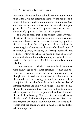motivation of another, but we should examine our own motives as far as we can determine them. What stands out in much of the current absorption, not only in imported Oriental systems but also in Occidental self-actualization programs, is the "for oneself" approach — a trend that is diametrically opposed to the path of compassion.

It is well to recall that in the ancient Greek Mysteries the stages of the initiatory process were variously enumerated, often broadly as three: *katharsis*, cleansing, purification of the soul; *muēsis*, testing or trial of the candidate, to prove integrity of motive and firmness of will; and third, if successful, *epopteia*, revelation, i.e., "seeing" behind the veil of nature. Always the character had to be shaped in accordance with the noblest ideals; nothing was gained without sacrifice. Except the seed of self die, the soul-plant cannot take birth.

True occultism — which is altruism lived, combined with knowledge of the inner structure of man and the universe — demands of its followers complete purity of thought and of deed, and the utmost in self-mastery. In the esoteric cycle of learning and discipline, the neophyte is enjoined first to absorb as far as he is able the ideal of self-forgetfulness and love for all beings. Only after he has thoroughly understood that thought for others before oneself is expected of him, is he permitted to direct his attention to high philosophy: ''Live the life, and you will know the doctrine.'' Before entering upon any specialized training program we should examine our inner motives to be certain that the course we have in mind is one our higher self would approve.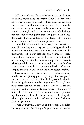Self-transcendence, if it is to be lasting, is not obtained by external means alone. It occurs without formality, in the still recesses of one's inmost self. Moreover, as the teachings and the path they illumine enter ever more deeply into the core of our being, we progressively grow and learn. No exoteric training in self-transformation can match the inner transmutation of soul quality that takes place in the silence, the effects of which endure beyond death. They endure because they are registered in our *spiritual* nature.

To work from without inwards may produce certain results fairly quickly, but as they seldom reach higher than the mental and emotional aspects of our nature they will be short-lived. When our thoughts and feelings are othercentered, they build solid spiritual character traits that will outlast the cycles. Simply put, when our primary concern is wholehearted devotion to the ideal and practice of *brotherhood* so that eventually it is universally lived — if we can cling to this goal, it will be our lifeline to esoteric reality.

Ideas such as these give a fresh perspective on many trends that are gaining popularity. Yoga, for example, is almost commonplace in the West, haṭha yoga in its simpler forms being the most popular. Yoga means ''union,'' from the Sanskrit verb *yuj*, ''to join, to unite, to yoke.'' It referred originally, and still does in its pure sense, to the quest for union of the soul with the divine within: the *unio mystica* or mystical union of the early Christians and medieval mystics who sought to attain unison of soul with the Divine or God-image within.

There are many types of yoga, and these appeal to different temperaments: *bhakti yoga*, ''yoga of devotion''; *karma*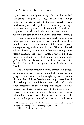*yoga*, "yoga of action"; *jñāna yoga*, "yoga of knowledge"; and others. The path of  $r\bar{a}ja\ yoga^*$  is the "royal or kingly" union'' of the personal self with the illumined self. It is of small consequence what path we take outwardly, so long as we set our inner goal on the highest within. ''In whatever way men approach me, in that way do I assist them; but whatever the path taken by mankind, that path is mine.''†

Today in the West there are many practitioners of yoga whose goal is to restore physical health and alleviate, where possible, some of the unusually stressful conditions people are experiencing in these crucial times. We would be well advised, however, to stop short before undertaking sophisticated breathing and other techniques that could, if unwisely pursued, interfere with the proper functioning of the *prānas*. Prāna is a Sanskrit term for the five or seven "lifebreaths'' that circulate through and maintain the body in health.

The Chinese for centuries have taught that sound physical and psychic health depends upon the balance of yin and yang. If one, however unknowingly, upsets the natural rhythmic flow of the  $ch'$ *i* — their term for prāṇa — through the twelve primary meridians or energy channels of the body, imbalance of the yin/yang may result. In other words, when there is interference with the natural lines of force, a misalignment of prānic balance may occur, often with serious consequences. Rather than concentrate on the psychic and physical aspects of the constitution, far better to

<sup>\*</sup>See *Bhagavad-Gītā* 9:2, the first line of which reads: *rājavidyā* rājaguhyam, literally "royal knowledge, royal mystery."

 $\dagger$ Ibid. 4:11 (Judge recension, p. 24).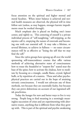focus attention on the spiritual and higher mental and moral faculties. When inner balance is achieved and normal health measures are observed, the physical will in time follow suit (unless, as may happen, stronger karmic impediments must be worked through).

Much emphasis also is placed on finding one's inner center, and rightly so. This centering of oneself is a private individual process of ''self-naughting,'' self-stripping, as the mystics call it, emptying the nature of externals and becoming one with our essential self. It may take a lifetime, or several lifetimes, to achieve in fullness — no outer circumstances will be as effective as "losing the self that we may find the self"

Since the 1960s groups have sprung up all over the world sponsoring self-transcendence courses that offer various methods of achieving alternative states of consciousness: how to rouse the *kundalinī* or "serpent fire" seated near the base of the spine; how to activate the chakras, how to meditate by focusing on a triangle, candle flame, crystal, lighted bulb, or by repetition of a mantra. These and other psychophysical practices are carried out in the hope of attaining nirvanic consciousness. I would not advocate any of these methods, not because they are essentially faulty, but because they can prove deleterious on account of our ingrained selfish proclivities.

Today the hunger for new and better ways to live is very strong. People long to find meaning in a seemingly meaningless succession of crises and are experimenting with alternative routes, anything that is different from what they grew up with. This is part of the spiritual and psychic awakening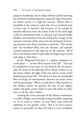going on worldwide, but to adopt without careful screening any method of self-development, especially those that promise instant results, is a high-risk venture. Where there is instability in the character (and who of us is perfectly pure in heart and in motive?), the invasion of our psyche by baneful influences from the lowest levels of the astral light could be detrimental both to physical and mental health. Besides, concentration of mental and psychic energy on the transient elements of the nature has the drawback of diverting attention away from essentials to externals. This cannot have the beneficial effect that the altruistic and nonselfcentered approach of rāja yoga has on the aspirant. All of this is old wisdom which many today are beginning to intuit and apply to their lives.

In the *Bhagavad-Gītā* there is a phrase: *ātmānam ātmanā pa'sya* — "see the self by means of the self." This may be interpreted in two ways: see the limited self, the personality, by means of the glowing self or  $\bar{a}$ tman within; or, see the ātman within, the light of the true self, by means of the awakening personal self. The ideal is to have an unimpeded flow of energy, of consciousness, between our ātmic source and the personality. When we seek first to offer ourselves to the noblest within, we quicken the fires of our highest chakra, the ātmic center, which in turn will radiate its influence on all the other chakras.

Viewing the seven principles of the human constitution as a pillar of light, each principle being sevenfold, supposing we try to reach to ātman, we may fairly soon reach the subātman of our psychic center. But if we have concentrated too pointedly on that level there is every possibility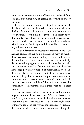with certain natures, not only of becoming deflected from our goal but, unhappily, of getting our principles out of alignment.

If without strain or any sense of pride we offer ourself deeply and sincerely in the service of our inmost self, then the light from the highest  $\bar{a}$ tman — the  $\bar{a}$ tmic subprinciple of our  $\bar{a}$ tman — will illumine our whole being from above downwards. We will remain in alignment because our psychic and intellectual and other centers will be irradiated with the supreme ātmic light, and there will be a transforming influence on our lives.

The popularization of meditation practices in the West has had certain positive results and helped many to handle their deep-seated anxieties. Stilling the mind and calming the emotions for a few moments every day is therapeutic: by deliberately dropping our worries, we become free inwardly and can refocus ourselves for our life's task. On the other hand, high-powered promotion of meditation may be selfdefeating. For example, one is put off at the start when money is charged for a mantra that purports to raise one to cosmic awareness. No one *needs* a mantra in order to lift his consciousness unto the hills of the spirit and receive the benediction of momentary communion with the highest within.

There are ways and ways to meditate, and ways and ways to attain a higher awareness. When we become inwardly still, our inner voice may be heard in those quiet yet clear intimations that move the soul. Every night upon retiring we can open the way for the intuition by stripping the nature of all resentments and irritations, ridding the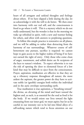heart of all arrogant and unkind thoughts and feelings about others. If we have slipped a little during the day, let us acknowledge it with the will to do better. We then enter into harmony with our real self, and the consciousness is freed to go where it will. This is a mystery which we do not really understand, but the wonder is that in the morning we wake up refreshed in spirit, with a new and warmer feeling for others, and often with answers to perplexing questions.

To follow this simple practice is restorative on all planes, and we will be adding to rather than detracting from the harmony of our surroundings. Whatever course of selfbetterment one pursues, sacrifice is required: we cannot hope to gain access to the higher realms of being if we have not earned the right of entry. Only those who come clean of anger, resentment, and selfish desire are fit recipients of the keys to nature's wisdom. To expect otherwise is to run the risk of opening the door to elemental forces of a low kind that may be difficult to eject from the consciousness. Prayer, aspiration, meditation *are* effective in that they set up a vibratory response throughout all nature; the more ardent the aspirant, the greater power do they have to activate noble (or ignoble) energies both within the individual and in the auric envelope surrounding earth.

True meditation is true aspiration, a ''breathing toward'' the divine, an elevating of the mind and heart toward the highest and, as such, is as essential for the soul as food is for the body. If we would orient our lives toward the light emanating from our inner god, we must aspire; but let us be careful in our intensity not to be led into blind alleys of a self-seeking nature which tend to focus attention on our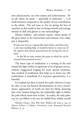own advancement, our own stature and achievements. After all, where we stand — spiritually or otherwise — is of small moment compared to the quality of our contribution to the whole. The real issue is: Are we giving the best of ourselves to this world so that we bring warmth and courage instead of chill and gloom to our surroundings?

Meister Eckhart, 14th-century mystic, whose purity of life gives luster to his instructions and sermons even today, put it eloquently:

If some one were in a rapture like Saint Paul's, and there were a sick man needing help, it would be better to come out of the rapture and exercise practical love by serving the one in need....

In this life no man reaches the point at which he can be excused from practical service.\*

The finest type of meditation is a turning of the soul toward the light within in aspiration to be of greater service, without exaggerated longing for some special revelation. Any method of meditation that helps us to lessen our selfcenteredness is beneficial; if it increases egocentricity, it is harmful.

It is indeed our duty to search for truth, wherever it may be; also, to use our keenest discrimination in every circumstance, appreciative of worth yet alert for falsity, knowing that every human being has the inalienable right to follow the path which seems best to him. In reality, the only pathway we can follow is the one we unfold from within ourself

<sup>\*</sup>Sheldon Cheney, Men Who Have Walked with God, p. 194; cf. *Meister Eckhart, A Modern Translation*, trans. Raymond Bernard Blakney, p. 14.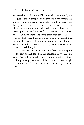as we seek to evolve and self-become what we inwardly are.

Just as the spider spins from itself the silken threads that are to form its web, so do we unfold from the depths of our being the very path that is ours. Our challenge is to heed the mandates of our inner selfhood over and above the external pulls; if we don't, we hurt ourselves — and others too — until we learn. At times those mandates call for a quality of self-discipline and courage we are not accustomed to, and the sacrifice of things we hold dear. But all that is offered in sacrifice is as nothing compared to what we in our innermost self long for.

The most fruitful meditation, therefore, is an absorption of thought and aspiration in the noblest ideal we can envision. We will not need to worry about specific postures, techniques, or gurus; there will be a natural inflow of light into the nature, for our inner master, our real guru, is our Self.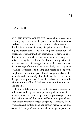# 11

### Psychism

WITH THE SPIRITUAL AWAKENING that is taking place, there is an urgency to probe the deeper and normally unconscious levels of the human psyche. At one end of the spectrum we find brilliant thinkers, in every discipline of inquiry, breaking the matter barrier and exploring new dimensions of awareness, of soul/mind/body interaction. Their goal is to develop a new model for man as a planetary being in a universe recognized as his native home. Along with this is a grassroots cry for recognition of earth as our mother, for an ecology of mind and spirit and body, for acceptance of holistic approaches to healing and medicine along with enlightened care of the aged, ill, and dying, and also of the mentally and emotionally disturbed. At the other end of the spectrum, purveyors of psychic baubles lure thousands with glamorous offers of "a direct route to ultimate power" and the like.

In the middle range is the rapidly increasing number of individuals and organizations sponsoring all manner of retreats, seminars, and workshops in psychophysiological practices: withdrawal of the senses, self-regulation procedures, cleansing of psychic blockages, energizing techniques, dream evaluation and control, stress and tension management, and scores of ''therapies'' as experiential aids to participating in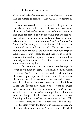alternative levels of consciousness. Many become confused and are unable to recognize that which is of permanent value.

To be forewarned is to be forearmed: as long as we are attentive and responsible, and test by our inner touchstone the truth or falsity of whatever comes before us, there is no real cause for fear. But it is imperative that we keep the reins of decision in our own hands and discover for ourselves in which direction this or that ''path'' or ''promise'' or ''initiation'' is leading us: to emancipation of the soul, or to vanity and worse confusion of goals. To be sure, at every frontier there are perils, and where the frontiers verge on astral planes of our constitution and that of our globe, the greater is the need for vigilance. Since we are dealing here primarily with nonphysical dimensions, a larger measure of discrimination is required.

The first requisite is to know what we are dealing with. What do we mean by "astral"? Originally from the Greek — *astron*, ''star'' — the term was used by Medieval and Renaissance philosophers, Alchemists, and Hermetists for the subtle, invisible substance that encloses and penetrates our physical earth. Paracelsus refers to it as the Sidereal Light, and Éliphas Lévi called it the serpent or dragon whose emanations often plague humanity. The Upanishads of India use the term  $\bar{a}k\bar{a}s a$ , "shining," for the luminous substance that pervades the whole of space, sun and moon, lightning and stars, as well as the self (atman) of man. The Stoic philosophers had their quintessence, ''fifth essence,'' or aether from which the lower four elements derive, and the Latins their *anima mundi*, ''soul of the world,'' which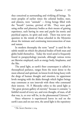they conceived as surrounding and vivifying all beings. To most peoples of earlier times the celestial bodies, stars, and planets, were ''animals'' — living beings filled with the ''breath'' (*anima*, *spiritus*) of life. They were gods using stellar and planetary bodies as their means of gaining experience, each having its *nous* and *psyche* (its noetic and psychical aspects, its spirit and soul). There was never any question in the minds of those schooled in the Mysteries about the intimate and continuing interconnection of man and nature.

In modern theosophy the term ''astral'' is used for the subtle model on which the physical bodies of both man and globe build themselves. Today the word astral is frequently found in parapsychology journals, although various terms are likewise employed, such as energy body, bioplasma, and the like.

The astral light, as earth's finer counterpart is called in theosophical parlance, ranges from the most dense to the most ethereal and spiritual, its lowest levels being heavy with the dregs of human thought and emotion, its uppermost levels merging with the ākāśa through which higher beings may commune at rare intervals with those who command their interest. H. P. Blavatsky refers to the astral light as "the great picture-gallery of eternity" because it contains "a faithful record of every act, and even thought, of man, of all that was, is, or ever will be, in the phenomenal Universe.''\*

Since whatever is experienced leaves its seal on the earth's aura and on our own, the astral light is the repository

<sup>\*</sup> The Secret Doctrine 1:104.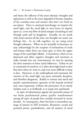and hence the reflector of the most altruistic thoughts and aspirations as well as the most degraded of human impulses of the countless men and women who have ever lived on our planet. There is continual interchange: we imprint the astral light, and the astral light in turn leaves its imprint upon us, a two-way flow of astral energies circulating in and through earth and its kingdoms. Actually, we are awash with astral currents all the time: our thoughts are astral, our feelings also. As we talk together, we are using astral thought substance. When we are inwardly in harmony, we may unknowingly be the recipient of intimations of truth and beauty either from our inner god, or from the upper ranges of the astral light (ākāśa). Contrariwise, when we are depressed and allow negative thoughts and emotions to make inroads into our consciousness, we may be opening the door unawares to lower astral influences. Unless we are in command of ourselves, it is often downright hard to shut that door when we want to, and even more difficult to keep it shut. Moreover, to the undisciplined and untrained, the currents of the astral light can prove extremely deceptive, and therefore dangerous. Rashly to venture into astral and psychic experimentation, ignorant of the hazards involved and, most important, without the protection of an utterly stainless soul, is as foolhardy as to jump into quicksand.

In spite of admonitions against the potential misuse of our latent psychomental power, psychic manifestations among all types of people have notably increased in recent decades. In consequence, there has been a tremendous upsurge of interest in ESP, levitation, divination, crystal and pyramid power, psychokinesis, and all manner of astral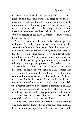busywork, so much so that we feel impelled to ask a few questions: Is it prudent in our present stage of evolution to force, as in a hothouse, the cultivation of paranormal faculties when we are still so very egocentric? Are we sufficiently prepared by inner purity and self-mastery to deal with astral forces that heretofore have been held in check by nature's protective closure of our physical senses to octaves beyond the normal range?

What of channeling, the much talked about "gift" of mediumship? Hardly a gift, for to be a medium for the channeling of messages from beings from the ''other side'' may seem to serve us well for a while, yet it often happens that the receiver in time becomes prey to external forces beyond his control. Our psychiatric wards in hospitals and prisons tell the harrowing story of the many thousands of unhappy victims of psychic possession. Yet, to be a channel is an everyday occurrence. We are, each of us, constantly the channel or recipient of thoughts and atmospheres that arise in ourself or among family, friends, neighbors, our nation, and humanity as a whole. Inevitably so. Could we not on occasion be the channel for an inspiration that we, usually in spite of our ordinary mind, hear, see, or feel, when momentarily we have become a transmitter of light and inspiration from the ākāśic heights? There is nothing remarkable about this; it has been going on for millennia, in every land among all peoples. But this is a far cry from the type of channeling that captures headlines.

On the other hand, what of those who commit heinous acts: many scarcely know why, or what may have impelled them to murder or rape. Did inherent weakness of will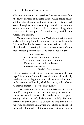allow the ingress into their psyche of malevolent forces from the lowest portions of the astral light? While nature utilizes all things for ultimate good, and broader insights may well come through at times, channeling could deflect many sincere seekers from their true goal and, at worst, plunge them into a psychic whirlpool of confusion and, possibly, into unconscious sorcery.

We can take a lesson from Macbeth: almost immediately, on learning from the witches of Endor that he is to be Thane of Cawdor, he becomes anxious. Will all really be as they foretell? Observing Macbeth in severe stress of emotion, swinging between greed and fear, Banquo muses:

> But 'tis strange: And oftentimes, to win us to our harm, The instruments of darkness tell us truths, Win us with honest trifles, to betray's In deepest consequence. — *Macbeth*, Act I, scene iii

This is precisely what happens to many recipients of "messages'' from those ''beyond.'' Astral entities channeled by mediums in the beginning often do win us with honest trifles, certain small truths, which lead us on, only to betray us later in matters of deepest consequence.

Then there are those who are interested in ''astral travel,'' getting out of the body and trying to reach their ātman; or to visit people, other lands, planets, or planes astrally. Many sincerely believe they can help friends or relatives in this manner. To understand why this is not a wise way of attaining union with one's atman or divine self, we need a knowledge of the sevenfold nature of human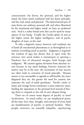consciousness: the divine, the spiritual, and the higher mind, the lower mind combined with the desire principle, and the vital, astral, and physical. The desire/mental part of man forms our ordinary personal self, and when illumined by the intuitional and higher mind, we have an awakened soul. Soul is a rather broad term that can be used for many aspects of our being. Usually the Greeks spoke of *nous* as the higher mind, the higher intelligence, and of *psyche*, daughter of nous, as the soul.

To take a dogmatic stance, however, and condemn out of hand all extranormal phenomena is as shortsighted as to endorse everything astral or psychic. Judgment is required: the wisdom of ages has shown that to open wide the entrance into astral realms is tantamount to opening a Pandora's box of elemental energies, both benign and malignant. We caution against deviation from altruistic intent because in any astral dealings, however innocent the motive may be at the start, the excitement of easy success too often leads to corrosion of moral principle. Human nature is ever susceptible to appeals to self-benefit; the more disguised they are, the greater the need for caution, lest unawares the seed of pride germinate. Psychic vanity in many and strange forms constitutes a most seductive snare, binding the aspirations to the personal level instead of freeing them to respond to the call of one's deepest being.

There are of course many degrees of psychic or astral involvement. As noted earlier, we use nonphysical power all the time: love, hate, thought, and emotion of every kind are manifestations of psychic or spiritual faculties. Most people, moreover, are naturally telepathic, experiencing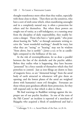thought-transference more often than they realize, especially with those close to them. Then there are the sensitives, who have a sort of sixth sense which, when manifesting unsought and in a completely natural way, is often a protection for others and for themselves. But when these powers are sought out of vanity, as a self-indulgence, or a running away from the discipline of daily responsibility, they readily become a danger. Those who have a ''spirit guide,'' who prate about hearing the ''bells,'' or through automatic writing receive the ''most wonderful teachings,'' should be wary, lest what they are "seeing" or "hearing" may not be wisdom "from above, but is earthly" (*James* 3:15); or be as candlelight compared to the brilliance of the sun.

At the risk of oversimplification, let us draw a parallel between the fate of the alcoholic and the psychic addict. Before they realize what is happening, they have become ''possessed'' by a force outside of themselves which they feel powerless to control. Just as iron filings are drawn to lines of magnetic force, so are ''elemental beings'' from the astral body of earth attracted to whomever will give them an opening; and the lowest planes of the astral are weighted down with humanity's most evil thoughts. Fortunate are those whose pure goodness affords them protection, for they will respond only to that which is akin to them.

We find warnings in Buddhist writings against the improper use of our psychic faculties. In one of the texts of the Pāli Canon\* an incident is reported of a merchant of Rājagaha who acquired a block of sandalwood and had a

 $*$ *Cullavagga*, V, 8:1-2, Sacred Books of the East, 20:78-81.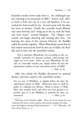beautiful wooden bowl made from it. He challenged anyone claiming to be possessed of *iddhi*,\* ''power, craft, skill,'' to fetch it from the top of a very tall bamboo; if he succeeded the bowl would be his. Several toyed with the idea, but went no further. Finally the venerable monk Bharadvāja came forward, and "rising up in the air, took the bowl, and went thrice" around Rājagaha. The villagers were ecstatic and began shouting and running after him. On learning the cause of this raucous behavior, the Buddha called the monks together. When Bhāradvāja stated that he had indeed retrieved the bowl by the use of iddhi, the Buddha said to him and the assembled monks:

This is improper, Bhāradvāja, not according to rule, unsuitable, unworthy of a Samana [recluse], unbecoming, and ought not to be done. How can you, Bharadvaja, for the sake of a miserable wooden pot, display before the laity the superhuman quality of your miraculous power of Iddhi? — Ibid., p.

After this rebuke the Buddha discoursed on spiritual themes, and then stated to the assembled monks:

You are not, O Bhikkhus, to display before the laity the superhuman power of Iddhi. Whosoever does so, shall be guilty of a dukkața [an offense]. Break to pieces, O Bhikkhus, that wooden bowl; and when you have ground it to powder, give it to the Bhikkhus as perfume for their eye  $o$ intments. — Ibid., p. 81

<sup>\*</sup>P¯ali form of the Sanskrit *siddhi*. These are of two kinds: the one "embraces the lower, coarse, psychic and mental energies; the other . . . exacts the highest training of Spiritual powers.'' — H. P. Blavatsky, *The Voice of the Silence*, p. 73.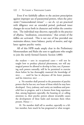#### 122 / To LIGHT A THOUSAND LAMPS

Even if we faithfully adhere to the ancient proscription against improper use of paranormal powers, when the *pāramitās* ("transcendental virtues" — see ch. 13) are practiced with diligence over an extended period, profound inner changes do occur both in character and within the constitution. The individual may discover, especially in the practice of *dhyāna*, "meditation, concentration," that certain of the iddhis are activated. This is not out of line provided one maintains silence, inner balance, purity of motive, and vigilance against psychic vanity.

All of this HPB made amply clear in the Preliminary Memorandum and Rules she sent to applicants who sought to join the newly formed Esoteric Section (1888):

the student — save in exceptional cases — will not be taught how to produce physical phenomena, nor will any magical powers be allowed to develop in him; nor, if possessing such powers naturally, will he be permitted to exercise them before he has thoroughly mastered the knowledge of  $SELF$ , ... until he has in abeyance all his lower passions and his PERSONAL SELF . . .

. No member shall pretend to the possession of psychic powers that he has not, nor boast of those which he may have developed. Envy, jealousy, and vanity are insidious and powerful foes to progress, and it is known from long experience that, among beginners especially, the boasting of, or calling attention to, their psychic powers almost invariably causes the development of these faults and increases them when present. Hence —

10. No member shall tell to another, especially to a fellow member, how much he has progressed or what recogni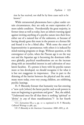tion he has received, nor shall he by hints cause such to be known.\*

While extranormal phenomena have a place under certain circumstances, they are only an outer expression of a more subtle condition. Providentially the great majority, in former times as well as today, have an inborn warning signal against inviting anything of a psychic nature into their lives: either out of a natural fear of the unknown, or because of having already gone this route in the present or a former life and found it to be a blind alley. With some the onset of hypersensitivity is spontaneous; with others it is induced by mind-training programs or drugs. Without question, at this convergence of cycles, when the Piscean age is on the way out and the Aquarian age is becoming the dominant influence globally, psychical manifestations are on the increase along with an intensified interest in and cultivation of once latent faculties. If a person is born with his psychic nature more or less developed, we should recognize it for what it is but not exaggerate its importance. Due in part to the thinning of the barrier between the physical and the astral, many more today, even very young children, are exhibiting psychic leanings.

H. P. Blavatsky foresaw that humanity was fast entering a ''new cycle [where] the latent psychic and occult powers in man are beginning to germinate and grow.'' But, she added, ''Understand once for all that there is nothing 'spiritual' or 'divine' in *any* of these manifestations."† In her fourth

<sup>\*</sup>*E.S. Instructions* III:4-5, pp. 21-2; reprinted in H. P. Blavatsky, *Collected Writings* 12:488, 495.

<sup>&</sup>lt;sup>†</sup>*H. P. Blavatsky to the American Conventions: 1888–1891*, p. 28.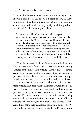letter to the American theosophists written in April 1891, shortly before her death, she urged them to ''watch therefore carefully this development, inevitable in your race and evolution-period, so that it may finally work for good and not for evil.'' Her warning is explicit:

Psychism, with all its allurements and all its dangers, is necessarily developing among you, and you must beware lest the Psychic outruns the Manasic [mental] and Spiritual development. Psychic capacities held perfectly under control, checked and directed by the Manasic principle, are valuable aids in development. But these capacities running riot, controlling instead of controlled, using instead of being used, lead the Student into the most dangerous delusions and the certainty of moral destruction. — Ibid., p. 35 certainty of moral destruction.

Notable, however, is the difference in emphasis in psychic interest today from what it was during the closing decades of the nineteenth century. At that time — leaving aside those who, as in all eras, are caught by the glamour of phenomena — only a relatively few of the more intrepid minds were attracted, for the scientific and cultured world for the most part frowned upon such doings. In the twentieth century, and particularly in its last decades, the potential of human consciousness specifically and paranormal phenomena in general have been subjected to controlled testing. Experimentation in these and allied areas is being conducted by neuroscientists and others in an effort to penetrate the inner layers of human consciousness. At the same time, some very dangerous research is going on. We have only to glance at current "metaphysical" magazines to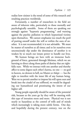realize how sinister is the trend of some of this research and resulting practices worldwide.

Fortunately, a number of researchers in the field are aware of inherent risks, particularly to those mentally and psychologically unstable. Some of them are speaking out strongly against ''hypnotic programming,'' and warning against the psychic pollution to which hypnotized victims open themselves. We cannot emphasize too much the peril of putting oneself under the will or within the aura of another. It is not recommended; it is not advisable. We must be master of ourselves at all times; and to let ourselves even unconsciously slip under the dominance of another is to weaken by so much our innate power to handle our lives.

We human beings are here with an immense background of force, generated through lifetimes, which we are learning to direct along those paths of destiny that are rightfully ours. While we interact with one another and thereby affect to some degree each other's karma, no one - no god in heaven, no demon in hell, no Master or Adept — has the right to interfere with the inner life of any human being. Were we to permit another to impose his will upon ours and break into the citadel of our selfhood, we would be degrading our humanhood and prostituting the intent of our higher self.

Young people especially should be aware of the potential risk, because as the years go by they will be meeting with this type of intrusion more and more. Physical war is not nearly so hazardous as the control of wills and of minds which increasingly is taking more subtle forms. One day, and hopefully during the present century, war on the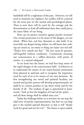battlefield will be a nightmare of the past. However, we will need to maintain our vigilance, for conflict will be centered for the most part on the mental and psychological planes. Then as now there will be need for the courage and the determination to fend off subliminal darts that could pierce the inner fabric of our being.

How can we protect ourselves against psychic invasion? One certain protection is to be aware of the dangers, yet not afraid. When fear, real fear, threatens to take hold, if we trust fully our deepest being within, we will know that *nothing* can touch us, no entity or thing can injure our real self. "Perfect love casteth out fear." The love must be genuine, self-forgetful without conditions. Consistently orienting our consciousness in a selfless direction, with purity of motive, is a natural safeguard.

As we head into the future, we had best keep aware of the rapid changes in the consciousness field. It behooves us to understand the nature of our many-faceted constitution from physical to spiritual, and to recognize the imperative need for each of us to be master of our own decisions. By first strengthening our moral and spiritual faculties, our mental and psychic powers will develop proportionately; we shall be in a better position to use them wisely and for the benefit of all. The wisdom of ages is epitomized in Jesus' words: ''Seek ye first the kingdom of God [of the spirit] . . . and all these things shall be added unto you.''

Today the challenge before us is not how we can stop the tidal wave of psychic experimentation, but how we can help give it the needed upward direction so that it will ''finally work for good and not for evil.'' The future is open-ended,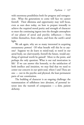with enormous possibilities both for progress and retrogression. What the generations to come will face we cannot foretell. Their dilemma and opportunity may well focus, even as ours does today, on how to prepare inwardly to achieve the required moral purity and strength of character to meet the continuing ingress into the thought atmosphere of our planet of astral and psychic influences — from within themselves, from others, and from the earth's astral light.

We ask again, why are so many interested in acquiring extrasensory powers? Of what benefit will this be to anyone? Suppose we do learn to mind-read, to travel in our astral body, see clairvoyantly, foretell the future, would anything of spiritual worth be gained? More to the point, and perhaps the only question: What is our real motivation in life? If we can answer this honestly, to the satisfaction of both intellect and intuition, we may find that we need to center our concern in our spirit-soul, where I and Thou are one — not in the psychic and physical, the least permanent parts of our constitution.

The building of character is an ongoing challenge: the transmutation of selfishness into altruism, of personal interest into the warmth of compassion — a slow, patient alchemy.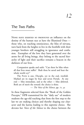# 12

#### The Two Paths

NONE HAVE EXERTED SO PROFOUND an influence on the destiny of the human race as have the Illumined Ones those who, on reaching omniscience, the bliss of nirvana, turn back from the heights to live in the foothills with their younger brothers still struggling in ignorance and confusion. Exemplars of the love they have generated over the aeons for all living beings, they belong to the sacred hierarchy of light and their sacrifice remains a beacon in the darkness of our lives.

Compassion speaks and saith: ''Can there be bliss when all that lives must suffer? Shalt thou be saved and hear the whole world cry?''

The PATH is one, Disciple, yet in the end, twofold. Marked are its stages by four and seven Portals. At one end — bliss immediate, and at the other — bliss deferred. Both are of merit the reward: the choice is thine.

— *The Voice of the Silence*, pp. 71, 41

In these fragments selected from the ''Book of the Golden Precepts," HPB transmitted for the "daily use" of modern students the age-old teaching that from the first step to the last we are making choices and thereby shaping our character and the karma leading to this supreme choice. She devotes her *Voice of the Silence* to the choice between the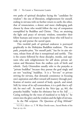two paths of spiritual discipline facing the ''candidate for wisdom'': the one of liberation, enlightenment for oneself, ending in nirvana with no further return to earth; the other, that of renunciation, a slower and more challenging path chosen by those who would follow the way of compassion exemplified by Buddhas and Christs. They, on attaining the light and peace of nirvanic wisdom, remember their fellow humans and return to inspire those who will heed to wake up and pursue the sacred quest.

This twofold path of spiritual endeavor is portrayed graphically in the Mahāyāna Buddhist tradition. The one path, *pratyeka-yāna*, "for oneself path," has for its aim nirvana, release from all that is nonspiritual and earthly. This is the course followed by those disciples, monks, and aspirants who seek enlightenment for self alone, private salvation and liberation from the endless cycle of birth and rebirth. Early Orientalists usually refer to the pratyeka as "private buddhas" because they pursue the goal singly and are not "teaching" buddhas. It is a "for-one" or private striving for nirvana, that demands consistency in focusing one's aspiration and effort toward self-mastery through purification of motive and control of body, speech, and mind. Still, by virtue of its *self*-centeredness, it is a path that is *self*ish, for one's self. As stated in the *Voice* (pp. 43, 86), the pratyeka buddha ''makes his obeisance but to his *Self*. . . . Caring nothing for the woes of mankind or to help it,'' he enters into the glory and the wisdom and the light of nirvana.

In the Pāli scripture *The Questions of King Milinda*\*

<sup>\*</sup>Cf. IV, l, §§20-27, T. W. Rhys Davids trans., Sacred Books of the East  $35:155 - 62$ .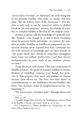''seven classes of minds'' are delineated, the sixth being that of the pratyeka buddha, who seeks no teacher and lives alone "like the solitary horn of the rhinoceros."\* His wisdom is only such as can be contained within ''a shallow brook on his own property,'' whereas the wisdom of a perfect or complete buddha is like that of ''the mighty ocean.''

Another scripture calls the knowledge of a pratyeka buddha ''limited,'' even though he is said to know everything about his previous births and deaths. In contrast, the complete or perfect buddhas or buddhas of compassion are omniscient, because when required they have command over the total resources of knowledge and can focus directly on "any point which they choose to remember, throughout many times ten million world-cycles,'' and thus discern instantaneously the exact truth of any situation, person, or event.†

Tsong-kha-pa of 14th-century Tibet was a transmitter of Buddha-wisdom. He spoke of pratyeka buddhas as Solitary Realizers of ''middling'' capacity: even though they persevere in their purpose, their merit and wisdom are limited because their efforts are "for their own sake alone" in contradistinction to the bodhisattva-become-buddha who bears ''the altruistic mind of enlightenment at the very beginning.''‡

The *amrita-yāna*, "deathless path," although slower and

 $*Ibid., p. 158.$ 

<sup>†</sup>*Visuddhi Magga* (Way of Purity) by Buddhaghosa; cited in *World* of the Buddha: A Reader, ed. Lucien Stryk, p. 159 et seq.

<sup>‡</sup>Cf. *Compassion in Tibetan Buddhism* by Tsong-ka-pa, ed. and trans. Jeffrey Hopkins, pp. 102-9.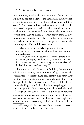more arduous, is infinitely more wondrous, for it is distinguished by the noble ideal of the Tathāgatas, the succession of compassionate ones who have ''thus gone and thus come.'' Such was Bodhisattva-Gautama, who refused the nirvana of complete and perfect wisdom in order to live and work among the people and thus give another turn to the Wheel of the Law (Dharma). ''What reason should I have to continually manifest myself?" — unless with the intent to awaken responsive souls to active participation in the ancient quest. The Buddha continues:

When men become unbelieving, unwise, ignorant, careless, fond of sensual pleasures, and from thoughtlessness run into misfortune,

Then I, who know the course of the world, declare: I am so and so [Tathāgata], (and consider): How can I incline them to enlightenment? how can they become partakers of the Buddha-laws (*buddhadharmāna*)?\*

Buddhist texts tell of a series of Buddhas, the seventh of which was Gautama, whose ministry of 45 years was the culmination of choices made consistently over many lives for the ''weal of gods and men,'' animals, and of all living beings. In his latest incarnation as Prince Siddhārtha his father, the king, had shielded him from everything that was ugly and painful. But at age 29 the call to seek the truth of things on his own account could not be suppressed. According to one legend, Gautama in disguise left the palace with his charioteer and on three successive nights was exposed to three ''awakening sights'': an old man, a leper,

<sup>\*</sup>Saddharma-pundarīka (The Lotus of the True Law), xv, §§22-3, trans. H. Kern, Sacred Books of the East 21:310.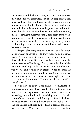and a corpse; and finally, a recluse, one who had renounced the world. He was profoundly shaken. A deep compassion filled his being; he would seek out the cause and cure of human sorrow. He left home, a beautiful wife and infant son, and all material comforts for begging bowl and monk's robe. For six years he experimented unwisely, undergoing the most stringent austerities until, near death from weakness and starvation, his inner voice told him that this was not the pathway to truth, that maltreating the body would avail nothing. Henceforth he would follow a middle course between extremes.

At length, after many tests of his resolve, on a full moon night of May he vowed not to move until he had attained *bodhi*, ''wisdom, enlightenment.'' Sitting under a tree since called the Bo or Bodhi tree — he withdrew into the inmost essence of his being. Māra, personification of destruction, tried repeatedly to deflect him, but Gautama was resolute and repelled every attack. When the moment of supreme illumination would be his, Māra summoned his minions for a tremendous final onslaught, but Gautama remained unmoved. Triumphant, he was *buddha*, ''enlightened.''

For 49 days he enjoyed the fullness of emancipation: omniscience and utter bliss were his for the taking. But instead of entering nirvana, his heart looked back upon sorrowing humankind and, perceiving with clarity the cause of man's confusion and the way to dispel it, he knew he must return. He would teach the Four Noble Truths and the Exalted Eightfold Path. Then a fleeting doubt entered his soul. Why give these priceless truths, so hard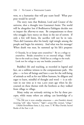won, to a humanity that will pay scant heed? What purpose would be served?

The story runs that Brahmā, Lord and Creator of the universe, shot a thought into Gautama's brain: The world will be altogether lost if Bodhisattva-Tathāgata decides not to impart the *dharma* to man. Be compassionate to those who struggle; have mercy on those in the net of sorrow. If only a few will listen, the sacrifice will not be in vain. Then did Gautama after his lonely vigil mingle among the people and begin his ministry. And what was his message? When death was near, he summed up his life's purpose:

O  $\bar{A}$ nanda, be ye lamps unto yourselves.\* Be ye a refuge to yourselves. Betake yourselves to no external refuge. Hold fast to the truth as a lamp. Hold fast as a refuge to the truth. Look not for refuge to any one besides yourselves.†

Buddha's life and teaching, as recorded in legend and fact, are a sublime witness to the compassionate path. His plea — to love all beings and have a care for the well-being of animals as well as for our fellow humans, be diligent and eager to learn, mindful of thought and word — is as relevant in our time as it was 2,500 years ago when he discoursed on these themes with the brethren as they walked from village to village.

Many today are seriously striving to live by these precepts, while many others are asking: can knowledge of a

<sup>\*</sup>The Pāli text is terse *attadīpa attasarana — atta* (Sanskrit *ātman*) meaning "self,"  $d\bar{v}\rho a$ , "lantern," "light"; *sarana* (Skt: *śarana*), "refuge."

<sup>†</sup>*Mah¯a-Parinibb¯ana-Sutta*, ii, §, trans. T. W. Rhys Davids; Sacred Books of the East 11:38.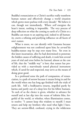Buddha's renunciation or a Christ's sacrifice really transform human nature and effectively change a world situation which grows more parlous with every decade? We believe it can, though not immediately. Where *will* energizes the heart's intent, nothing is impossible. The very process of deep reflection on what the coming to earth of a Christ or a Buddha can mean to an aspiring soul, indeed to all humanity, exerts a refining and purifying influence on all facets of one's nature.

What is more, we can identify with Gautama because enlightenment was not conferred upon him; he *earned* his buddha-stature step by step over many lives. Yet even in this latest incarnation, after he had determined to penetrate the hidden causes of suffering and death, it took him several years of trial and error before he learned, almost at the cost of life, that the ''middle way'' is best; that nature has provided us with a marvelously tuned physical instrument which, if cared for and respected, may serve as the means of doing great good.

In a profound sense the path of compassion, of renunciation, is a path of sorrow because it means living in and for the world when one has long ago finished with the trials of earth life. Still a bodhisattva returns, impelled partly by karma and partly out of a deep love for his fellow humans. To each of us the choice is given, whether to advance for ourself and at last slip into the ocean of infinite bliss, forgetful of the world, or whether, when illumination comes, to resolve: ''I cannot keep this wisdom to myself; I must return and help my brothers who need what light I have. They are sorrow-filled, confused, crying in the wilderness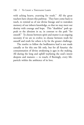with aching hearts, yearning for truth." All the great teachers have chosen this pathway. They have come back to teach, to remind us of our divine lineage and to reawaken memory of our inborn knowledge, so that we may meet our destiny with courage and hope. This "deathless" path appeals to the altruism in us, in contrast to the path ''for oneself.'' To choose between spirit and matter is an ongoing necessity if we are to evolve; to choose between truth for oneself and truth for others is by far the greater challenge.

The resolve to follow the bodhisattva lead is not made casually or for this one life only, but for all futurity: the consummation of divine awakening is ages in the making. All during the long and uphill wayfaring the soul's intent deepens and matures — to touch, if fleetingly, every lifeparticle within the ambience of its love.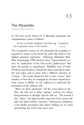### The Pāramitās

In *The Voice of the Silence* H. P. Blavatsky epitomizes the compassionate course as follows:

To live to benefit mankind is the first step. To practise the six glorious virtues is the second.  $-$  p. 33

The six glorious virtues are the *pāramitās* the neophyte is required to master as he travels the path that leads to the highest initiatory experience. Following Mahāyāna Buddhist terminology, HPB presents these ''transcendental virtues'' or ''perfections'' in her *Voice* as the ''golden keys'' that open the portals to masterhood. Buddhist texts of both Northern and Southern Schools list them variously in number and order, and at times with a different selection of ''virtues.'' The words chosen for this or that ''virtue,'' their number, or how they are arranged are of minor importance; what counts is fidelity to the endeavor to transcend the limitations of the ordinary self.

What are these pāramitās? Of the seven listed in the *Voice*, the first one is *dana*, "giving," concern for others, being altruistic in thought, speech, and act. The second is  $\delta$ *ila*, "ethics," the high morality expected of the earnest disciple; the third, *kshānti*, "patience," forbearance, endurance, is the kindly perception that others' failings are no worse and perhaps less severe than one's own.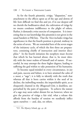#### 138 / To LIGHT A THOUSAND LAMPS

As for the fourth pāramitā, *virāga*, "dispassion," nonattachment to the effects upon us of the ups and downs of life: how difficult we find this and yet, if in our deepest self we cherish the bodhisattva ideal, the cultivation of virāga by no means condones indifference to the plight of others. Rather, it demands a wise exercise of compassion. It is interesting that to our knowledge this pāramitā is not given in the usual Sanskrit or Pāli lists. That the *Voice* includes virāga has significance in that the fourth position is pivotal, midway in the series of seven. We are reminded here of the seven stages of the initiatory cycle, of which the first three are preparatory, consisting chiefly of instruction and interior discipline.\* In the fourth initiation the neophyte must *become* that which he has learned about, that is, he must identify with the inner realms of himself and of nature. If successful, he may attempt the three higher degrees, leading to suffering the god within to take possession of his humanity.

To become equal-minded in every circumstance, in joy and pain, success and failure, is to have attained the calm of a *muni*, a ''sage''; it is fully to identify with the truth that whereas all that is born carries within it the seed of its decline, the indwelling wonder, the imperishable spirit, as so eloquently chanted in the *Bhagavad-Gītā*, is deathless, unperturbed by the pairs of opposites. To achieve the stature of a sage may seem rather distant for us; however, when we give the practice of virāga a fair trial, what a release this affords from the burden of tension we needlessly inflict upon ourselves — and, alas, on others.

<sup>\*</sup>Cf. *The Mystery Schools*, pp.  $41-58$ .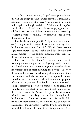The fifth pāramitā is *vīrya*, "vigor," courage, resolution; the will and energy to stand staunch for what is true, and as strenuously oppose what is false. One proficient in vīrya is indefatigable in thought and deed. With the sixth, *dhyāna*, ''meditation,'' profound contemplation, emptying oneself of all that is less than the highest, comes a natural awakening of latent powers, to culminate eventually in oneness with the essence of Being.

Finally, the seventh, *prajñā*, "enlightenment, wisdom" — ''the key to which makes of man a god, creating him a bodhisattva, son of the Dhyānis." We will have become "god from mortal," as the Orphic candidate describes this sacred moment of the seventh initiation when transcendence and immanence become *one*.

Full mastery of the pāramitās, however enumerated, is naturally a long-term process, yet diligently seeking to practice them has the merit of producing more immediate benefits without risk of short-circuiting the psyche. The very decision to begin has a transforming effect on our attitude and outlook, and also on our relationship with others. Could we assess our ordinary selves from the vantage point of our wiser self, we would realize that a subtle, inner awakening is steadily in process; too subtle for us to graph, but cumulative in its effect on our present and future karma. We do not have to be "advanced" spiritually before consciously making the daily choices that distinguish the bodhisattva path from the pratyeka path. As we faithfully try to live these pāramitās, not only will we be nearer to realization of the universal brotherhood we all long for, but we shall be following the way of the Compassionate Ones.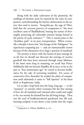Along with the daily cultivation of the pāramitās, the seedlings of altruism must be watered by the rains of compassion, notwithstanding the karmic obstructions in the nature that tend to inertia. Tsong-kha-pa, the sage of Tibet, held that the reverent practice of compassion is ''the most excellent cause of Buddhahood, bearing the nature of thoroughly protecting all vulnerable sentient beings bound in the prison of cyclic existence.<sup>"\*</sup> This is *amrita-yāna* or the "deathless path" in its pure interpretation. When eventually a disciple is born into "the lineage of the Tathāgatas," he experiences surpassing joy — and yet immeasurable sorrow because of the obtuseness of so large a portion of mankind.

The present is heavy with the karma of past sowings by us all, but we should not discount the sowings of creative goodwill that have been nurtured through many lifetimes. If the latter seem long in maturing, we recall that Prince Siddhārtha did not become Buddha all at once: as far in the past as ''four immensities ago'' he vowed to become bodhisattva for the sake of sorrowing mankind. For scores of consecutive lives thereafter he tended the plant of compassion until ultimately it came to ''full ripeness'' in his latest birth at Kapilavastu, India.

Let us take a leap back into the long, long ago — to the "moment" in eternity when Gautama felt the first stirring of love for all mankind and visioned what could and ought to be, not merely for himself but for all living beings. Then was the seed of bodhisattvahood quickened into life and, bursting seedpod, it sent down a tiny rootlet into the virgin

<sup>\*</sup>*Compassion in Tibetan Buddhism*, p. .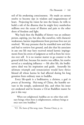soil of his awakening consciousness. He made an earnest resolve to become ripe in wisdom and magnanimous of heart. Projecting his vision far into the future, he wills to build a raft of the dharma that he might ferry numberless millions over the ocean of illusion and pain to the other shore of freedom and light.

Way back then the Buddha of history was an ordinary person, aspiring, yes, but also, like ourselves, with character weaknesses, karmic impediments from previous lives not yet resolved. We may presume that he stumbled now and then and had to retrieve lost ground, and also that his associates in any one life may have received mixed karmic impingements from his errors of judgment as well as from his victories over self. It is no routine matter to go counter to the general drift but, because his motive was selfless, his resolve served as a steadying influence — life after life, the bodhisattva ideal was his inspiration and guide. Assuredly his ultimate triumph and renunciation would have thrice blessed all whose karma he had affected during his long gestation from ordinary man to buddha.

Every life-spark is a bodhisattva, a christos, a god *in process of becoming.* Hui-neng of China, the humble servant in the temple, understood this, and when his inner eye awakened and he became a Ch'an Buddhist master he put it this way:

When not enlightened, buddhas are no other than ordinary beings; when there is enlightenment, ordinary beings at once turn into buddhas.\*

<sup>\*</sup>Cf. *The Sutra of Hui-neng*, trans. Thomas Cleary, p. 20.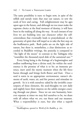The same possibility is ours: to begin now, in spite of the selfish and unruly traits that mar our nature, to sow the seeds of love and caring. Full enlightenment may be ages upon ages in the future, and although we too must make the supreme choice at the final moment of destiny, it will have been in the making all along the way. At each instant of our lives we are building into our character either the selfcenteredness that eventually leads to pratyekahood, or the generosity of spirit that will impel us to take the first step on the bodhisattva path. Both paths are on the light side of nature, but there is, nonetheless, a clear distinction: as recorded in Buddhist writings, the pratyeka is compared to "the light of the moon" in contrast to the Tathagata who ''resembles the thousand-rayed disk of the autumnal sun.''\*

Every living being is the fruitage of a beginningless and endless outflowing from a divine seed, for within the seedessence is the promise of what is to be: an immense potency, inert until the mystic moment when the life force bursts through and brings forth flower and fruit. Once a seed is sown in an appropriate environment, nature's elements of earth, water, air, and fire protect and stimulate its growth. So it is with ourselves: aided by the invisible counterparts of these elements, the seed-thoughts we sow daily and nightly leave their impress on the subtle energies coursing through our planet. Since we are one humanity, however separate at times we may feel ourselves to be, we share with all others what we *are*, our finest and our meanest. What a responsibility is ours, but also what a superb

<sup>\*</sup>Buddhaghosa, quoted in *World of the Buddha*, p. .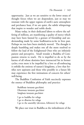opportunity. Just as we are sensitive to the lower strata of thought forces when we are despondent, just so may we resonate with the upper regions of earth's auric atmosphere and perchance hear, if we are quiet, the subtle whisperings that inspire to wonder and noble deeds.

Many today, in their dedicated labors to relieve the suffering of millions, are manifesting a quality of mercy which may have been fanned by a gesture of friendship and understanding made by some bodhisattva-to-be in lives past. Perhaps we too have been similarly moved. The thought is deeply humbling and makes one all the more resolved to follow the lead of the Enlightened Ones who are infinitely patient and perceptive. Small wonder a Buddha of Compassion returns to teach. He is impelled to do so by the karma of all whose destinies have intersected his in former cycles; even more is he impelled by a love so all-embracing it enfolds the entirety of nature's kingdoms, a love that fortifies new aspirants and those who possibly in a future life may experience the first intimations of concern for others' well-being.

The Buddhist Confession of Faith succinctly expresses the essence of Buddhist philosophy and practice:

Buddham śaranam gacchāmi Dharmam śaranam gacchāmi Sangham śaranam gacchāmi

I go to buddha for refuge

I go to dharma for refuge

I go to the assembly (devotees, followers) for refuge

We place our trust in Buddha as the imbodiment of the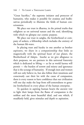"Great Sacrifice," the supreme initiator and protector of humanity, who makes it possible for avatāras and bodhisattvas periodically to illumine the fields of human consciousness.

We place our trust in dharma, in the primal truths that enlighten us on universal nature and the soul, identifying with which we glimpse our cosmic purpose.

We place our trust in saṅgha, the brotherhood or company of seekers, a fellowship which includes the entirety of the human life-wave.

In placing trust and loyalty in one another as brother aspirants, we share in a companionship that links us magnetically with the spiritual heart of our planet, the Brotherhood of Adepts. Insofar as we give allegiance to their purposes, we are partners in this universal fraternity which is dedicated to lifting — as far as world karma will permit — the burden of sorrow and misery and ignorance that is the scourge of humanity. If enough men and women will not only believe in, but also follow their intuitions and consciously cast their lot with the cause of compassion, there is every reason to have confidence that our civilization will one day make the leap from self-centeredness to genuine brotherhood in every phase of the human enterprise.

To quicken in aspiring human hearts the ancient vow to light their lamps from the flame of compassion is the noblest and the most beautiful ideal, and one which, if steadfastly held, gives stimulus and depth to aspiration.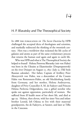## 14

### H. P. Blavatsky and The Theosophical Society

IN 1888 THE PUBLICATION OF The Secret Doctrine by HPB challenged the accepted dicta of theologians and scientists, and markedly redirected the thinking of the twentieth century. Hers was a worldview that reckoned the life cycles of galaxies and atoms as part of the same evolutionary process that returns the human soul again and again to earth life.

Who was HPB and what is The Theosophical Society she helped to found? Helena Petrovna Blavatsky (née von Hahn) was born in the Ukraine at Ekaterinoslav (Dnepropetrovsk) on the river Dnieper on August 12, 1831 (July 31, Old Style Russian calendar). Her father, Captain of Artillery Peter Alexeyevich von Hahn, was a descendant of the Counts Hahn von Rottenstern-Hahn, an old Mecklenburg family from Germany, and her mother, Helena Andreyevna, daughter of Privy Councillor A. M. de Fadeyev and Princess Helena Pavlovna Dolgorukova, was a gifted novelist who spoke out against oppression, particularly of women. She suffered from ill health most of her short life, and died at age 29. Helena, then eleven, with her sister Vera and infant brother Leonid, left Odessa to live with their maternal grandparents, the de Fadeyevs, at Saratov, and later at Tiflis in the Caucasus.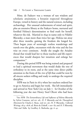#### 146 / To LIGHT A THOUSAND LAMPS

Mme. de Fadeyev was a woman of rare wisdom and scholastic attainment, a botanist respected throughout Europe, versed in history and the natural sciences, including archaeology. Her unusual endowments of mind and spirit, plus an extensive library at the Fadeyev home, nurtured and fortified Helena's determination to find truth for herself, whatever the risk. Married in 1849 in name only to Nikifor Blavatsky, a man more than twice her age, Helena ran away after three months, gaining the freedom she longed for. Then began years of seemingly restless wanderings and travels over the globe, encounters with the wise and the less wise on every continent. Avidly she sought the Ariadne thread that would lead her to those teachers and life experiences that would sharpen her intuition and enlarge her compassion.\*

During this period HPB was being trained and prepared to lead a spiritual movement that would shake the tree of orthodoxy to its roots, and at the same time direct public attention to the fruits of the *tree of life* that could be won by all sincere seekers willing and ready to undergo the required discipline.

HPB was in Paris in 1873 when her teachers ordered her to go to America and begin her work. She left immediately and arrived in New York City on July 7. In October of the following year she met Henry Steel Olcott who had been

<sup>\*</sup>See *HPB: The Extraordinary Life and Influence of Helena Blavatsky* by Sylvia Cranston, 3rd rev. ed.; *H. P. Blavatsky and the Theosophical Movement* by Charles J. Ryan, 2nd rev. ed.; H. P. Blavatsky, *Collected Writings,* 1874-1878, ed. Boris de Zirkoff, 1:xxv-lii; and *H. P. Blavatsky*, *Tibet and Tulku* by Geoffrey A. Barborka, pp. 6-41.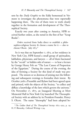sent by the *Daily Graphic* to the Eddy homestead in Vermont to investigate the phenomena that were reportedly happening there. The two of them were to work closely together in the formation and development of The Theosophical Society.

Exactly two years after coming to America, HPB received further orders, as she noted in the first of her ''Scrap Books'':

*Orders* received from India direct to establish a philosophico-religious Society & choose a name for it — also to choose Olcott. July  $1875.*$ 

So it was that on September 7, 1875, at her residence in New York City, HPB hosted a small group of spiritualists, kabbalists, physicians, and lawyers — all of them fascinated by the ''occult'' or hidden side of nature — to hear a lecture by George Henry Felt on ''The Lost Canon of Proportion of the Egyptians.'' During the course of the evening, the idea of forming a Society for this kind of study was proposed. The sixteen or so desirous of joining met the following and subsequent evenings to formalize their intent. By October 30th a Preamble and Bylaws had been agreed upon and printed, with the objects of the Society, ''to collect and diffuse a knowledge of the laws which govern the universe." On November 17, 1875, an Inaugural Meeting at Mott Memorial Hall in New York City launched The Theosophical Society with an address by its President-Founder, Henry S. Olcott. The name ''theosophy'' had been adopted be-

<sup>\*</sup> The Golden Book of The Theosophical Society: 1875-1925, p. 19; H. P. Blavatsky, *Collected Writings* :.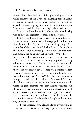cause it best described that philosophico-religious system which conceives of the Divine as emanating itself in a series of progressions, and also recognizes the human soul as being capable of attaining mystical and spiritual illumination. The brotherhood ideal was not explicitly stated, but was implicit in the Preamble which affirmed that membership was open to all, regardless of race, gender, or creed.

In 1875 The Theosophical Society was a completely unknown venture. No one realized, except perhaps those who were behind the Movement, what the long-range effect would be of that small handful who dared to form a body that would seriously investigate the inner laws that move and sustain the outer physical universe. While the reception given to her teachings was remarkable for that era, HPB had nonetheless to face strong opposition among scholars, scientists, and theologians, not to mention the popular press. To many she was an iconoclast of a stature they could not comprehend — here was a woman of fearless purpose, toppling every sacred cow, not only in her large two-volume work, *Isis Unveiled* (1877), but also in a spate of newspaper and magazine articles. They couldn't believe that she wasn't out to destroy the living message of the world's religious teachers or the proven facts of science. On the contrary, her purpose was simple and direct: to inveigh against everything of a dead-letter and hypocritical nature, while opening wide the windows of closed minds to the invigorating breezes of independent thought and a philosophy of cosmic dimension.

To better appreciate who Helena Blavatsky was, we must view her as the bearer of a message, spokesman for those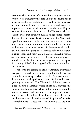wiser than she, members of a brotherhood of guardians and protectors of humanity who hold in trust the truths about man's spiritual origin and destiny — truths which are given out when the call from the hearts of men and women is importunate enough to draw forth a further unveiling of nature's hidden lore. Prior to 1875 the Western world was scarcely aware that advanced human beings existed, despite the fact that in India, Tibet, China, and the Near East, legend and scripture testify to an association of sages who from time to time send out one of their number to live and work among this or that people. To become worthy to be taken in hand by a guru or teacher was held as the highest spiritual boon, and many an aspirant for chelaship would strive for years, without any sign of recognition, to prepare himself by purification and self-abnegation to be accepted for training. All of this was typically Eastern in atmosphere and practice.

Then, with the coming of HPB to America, everything changed. The cycle was evidently ripe for the Mahatmas (variously called Adepts, Masters, or the Brothers) to make themselves and their spiritualizing work for humanity more generally understood. The Theosophical Society was inspired by two Mahatmas whose chiefs had searched the globe for nearly a century before finding one who could be trained to receive and transmit the teaching; and, what is more, who could and would willingly bear the karma of enlightening a world heavily steeped in pride of material accomplishment.\* These two, later known as M and KH,

<sup>\*</sup>See *The Mahatma Letters to A. P. Sinnett*, Letter xxv1, p. 203.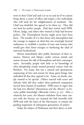went to their Chief and said: Let us try and see if we cannot bring about a center of effort and inspire a few individuals who will work for the enlightenment of mankind. The Chief was doubtful, but agreed to let them try. They did not look for perfect people. Had they waited until HPB, Olcott, Judge, and others who wanted to help had become perfect, The Theosophical Society might never have been born. The wonder of it is that those early theosophists had the courage to support an ideal that was seemingly beyond realization: to establish a nucleus of men and women who would give their finest energies to furthering the ideal of universal brotherhood.

Almost immediately after public disclosure of their existence, Masters and Adepts, under various initials and names, became the talk of theosophists and their contemporaries. Inevitably, people with little or no knowledge of what discipleship entails wanted personal contact with the Brothers. For many, this was a natural and spontaneous outpouring of love and esteem for those great beings who imbodied all that they aspired to be. Some, no doubt, simply wanted to be special. Others reacted with scorn and ridicule; little did they realize what profound compassion moved these friends of mankind. HPB came to regret that she had ever allowed ''phenomena and the *Masters*'' to become public knowledge (*Blavatsky Letters*, p. 97). After a relatively few years, the Masters withdrew from outer contact with the Society, yet retained the link inwardly with HPB and with the heart of the Movement, to remain the guiding inspiration of subsequent generations of seekers.

Today the subject of Mahatmas and their direct or indi-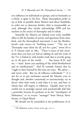rect influence on individuals or groups, and on humanity as a whole, is again to the fore. Many theosophists prefer to say as little as possible about Masters and about Śambhala, in order not to desecrate further what is inexpressibly sacred, although they clearly acknowledge HPB and her teachers as the source of theosophy and its ideals.

Assuredly the Masters are behind every truly unselfish effort to lift the burden of sorrow and ignorance from mankind, and the theosophical movement is not the Brotherhood's only source of ''building stones.'' ''The sun of Theosophy must shine for all, not for a part,'' wrote M to A. P. Sinnett early in 1882. "There is more of this movement than you have yet had an inkling of, and the work of the T.S. is linked in with similar work that is secretly going on in all parts of the world. . . . You know K.H. and me — buss! know you anything of the *whole* Brotherhood and its ramifications?'' And M reminds Sinnett that he ''ought to have learned by this time our ways. We *advise* and never *order*. But we *do* influence individuals.''\* It is not for us to put enclosures around the Masters even in thought and, whether consciously or unconsciously, try to decree what their work is and what it is not, and how or whom they will inspire or influence. Equally must we be careful not to prejudge anyone and automatically dub him a pretender because he professes to be the ''mouthpiece of Mahatmas," or to receive "messages" from Morya, Koothoomi, or Djual Khool.

We should not be astonished at the proliferation of al-

<sup>\*</sup>*The Mahatma Letters*, Letter xLVII, pp. 271-2.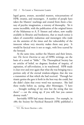leged gurus, avatars, ascended masters, reincarnations of HPB, swamis, and messengers. A number of people have taken the Masters' teachings and created from them a fantasy of psychic imagination, a travesty of theosophy. Yet it seems incredible, with the publication of the original letters of the Mahatmas to A. P. Sinnett and others, now readily available in libraries and bookstores, that so much notice is taken of counterfeit mahatmas and messengers who trade on the anxieties of the times and the vulnerability of the innocent whose very sincerity makes them easy prey. It would be farcical were it not so tragic, with lives scarred by the betrayal.

At the same time, neither the Masters and their letters, nor *The Secret Doctrine* or any of HPB's writings, are the basis of a creed or ''bible.'' The Theosophical Society has no articles of belief, no dogmas; freedom of inquiry, of aspiration, of self-evolution, is its watchword. HPB made it clear over and over again that what she was bringing was a portion only of the eternal wisdom-religion; that she was a transmitter of that which she had received. Through her titanic genius she gave it forth in the best way she could, but she didn't claim that every word was sacrosanct. She laid these truths before us, saying, after Montaigne, ''I have . . . brought nothing of my own but the string that ties them'' — cut the string up, if you will, but you cannot destroy truth.\*

Inevitably HPB had many detractors. For example, in 1885 the Society for Psychical Research (SPR) published a

<sup>\*</sup>Cf. *The Secret Doctrine* :xlvi.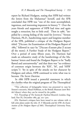report by Richard Hodgson, stating that HPB had written the letters from the Mahatmas\* herself, and the SPR concluded that HPB was ''one of the most accomplished, ingenious, and interesting impostors in history.''† Over the years friends and supporters of HPB had time and again sought a retraction, but to little avail. Then in 1986, "impelled by a strong feeling of the need for JUSTICE," Vernon Harrison, Ph.D., handwriting expert and longtime member of the SPR, published a critique of the Hodgson Report titled: ''J'Accuse: An Examination of the Hodgson Report of 1885," followed in 1997 by "J'Accuse d'autant plus [I accuse all the more]: A Further Study of the Hodgson Report.'' Over a period of some fifteen years, Dr. Harrison had made an exhaustive study of the handwritings of the Mahatmas' letters and found the Hodgson Report to be ''badly flawed and untrustworthy'' and that there was ''no evidence of common origin between the 'KH', 'M', and 'HPB' scripts."# Yet in spite of the attacks on her character by Hodgson and others, HPB continued to write what was to become *The Secret Doctrine*.

In 1886 HPB issued a powerful statement in which she clarifies what the original program of The Theosophical

‡Dr. Harrison's critiques have been issued in one volume with full color plates under the title: *H. P. Blavatsky and the SPR: An Examination of the Hodgson Report of 1885*, Theosophical University Press, 1997.

<sup>\*</sup>This collection of holographic letters was presented in 1939 by Sinnett's executrix, Maud Hoffman, to the British Museum (now British Library) where they can be viewed by the public.

<sup>†</sup>Cf. *Proceedings of The Society for Psychical Research*, London, England, Part IX, December  $1885$ , pp. 201-400.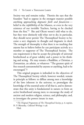Society was and remains today. Therein she says that the founders ''had to oppose in the strongest manner possible anything approaching *dogmatic faith and fanaticism* belief in the *infallibility* of the Masters, or even in the very existence of our invisible Teachers, having to be checked from the first."\* She and Olcott weren't told what to do, but they were distinctly told what *not* to do; in particular, they should never permit The Theosophical Society to become a sect: dogmatic in thought and dogmatic in deed. The strength of theosophy is that there is no teaching that anyone has to believe before he can participate actively as a member or supporter of The Theosophical Society. The one requirement is that he accept the principle of universal brotherhood as of great validity and a power in his thinking and acting. He may remain a Buddhist, a Christian, a Zoroastrian, an atheist, or whatever: ''The greatest spirit of free research untrammeled by anyone or anything, had to be encouraged.''†

This original program is imbodied in the objectives of The Theosophical Society which, however worded, remain in principle as follows: to diffuse among men a knowledge of the laws inherent in the universe; to promulgate the knowledge of the essential unity of all that is, and to demonstrate that this unity is fundamental in nature; to form an active brotherhood among men; to encourage the study of ancient and modern religion, science, and philosophy; and, to investigate the powers innate in man.

<sup>\*</sup> The Original Programme of The Theosophical Society, p. 6; reprint, H. P. Blavatsky, *Collected Writings* 7:148. †Ibid.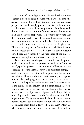A study of the religious and philosophical scriptures releases a flood of ideas because, when we look into the sacred writings of world civilizations from the expanded perspective that theosophy provides, we discern the one universal wisdom expressed in many forms. Familiarity with the traditions and scriptures of earlier peoples also helps us maintain a sense of proportion. We come to appreciate that this grand universal system of truths is the common inheritance of mankind, but that periodically it finds a ''unique'' expression in order to meet the specific needs of a given era. This explains why this or that nation or race believes itself to be the ''chosen people'' — it is because at a certain historic period they *were* chosen by the messenger of the time to receive a new light, a new directive for spiritual living.

Note the careful wording of the last objective: the phrase used is ''to investigate the powers innate in man,'' not to *develop* psychic powers. There is a wide difference. We are encouraged to understand ourselves as multifold beings, to study and inquire into the full range of our human potentialities. However, there is a tacit warning here against unnaturally developing powers that could lead to an overemphasis of the psychic and astral aspects of our constitution at the expense of our intuitive and spiritual faculties. HPB came bitterly to regret that she had shown a few trusted ones certain feats of phenomenal power in the hope of demonstrating that there was a world of subtle forces back of the physical one. Today many would like to have such extranormal powers, but how many can honestly say they want to cultivate them from utterly selfless motives? After all, what intrinsic value do these powers have? It is well to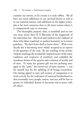examine our motive, to be certain it is truly selfless. We all have too much selfishness in our *spiritual* desires as well as in our material natures, and selfishness in the higher principles is far more tenacious than in the lower nature where it is comparatively easy to overcome.

The theosophic purpose, then, is manifold, and no one was more aware than H. P. Blavatsky of the magnitude of the task before her. She lived and worked in the tradition of those who labor ceaselessly to awaken humanity to its innate grandeur. ''By their fruits shall ye know them.'' With every decade she is becoming more widely accepted as an opener of the gateways of the soul. By her retelling of the archaic wisdom-teachings she revealed the inspired source of the many traditions and scriptures of mankind, and unfolded the wondrous drama of the genesis and evolution of worlds and of man. To many her greatest gift was her pointing once again to the ''path,'' the sacred way of inner mastery — not for oneself, but for the uplifting of all beings everywhere. Her lasting appeal to men and women of compassion is to work actively for the realization of universal brotherhood so that eventually every people, nation, and race will be free to pursue its individual destiny in harmony and at peace with all others.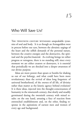# 15

## Who Will Save Us?

THE TWENTIETH CENTURY WITNESSED unspeakable tyrannies of soul and body. It is as though an Armageddon were in process before our eyes, between the altruistic urgings of the heart and the selfish demands of the personal nature, between the creative energies and the destructive, the spiritual and the psychic/material. As evolving beings we either progress or retrogress, there is no standing still; since every moment we are either creators or destroyers, it is essential that periodically we are shocked into a deeper awareness of our divine purpose.

Ideas are more potent than spears or bombs for shaking us out of our lethargy, and what could have been more revolutionary than the revival of ideas long forgotten: of universal brotherhood, of the *oneness* of all life, of divinity rather than matter as the kinetic agency behind evolution? It is these ideas, injected into the thought-consciousness of humanity in the nineteenth century, that slowly and steadily germinated during the twentieth century with mixed results: on the one hand, arousing a fury of reaction from entrenched establishments and, on the other, finding response in the aspirations of earnest men and women of every age and background.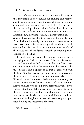#### 158 / To LIGHT A THOUSAND LAMPS

The awful uncertainties of the times are a blessing, in that they impel us to reexamine our thinking and motives and to come to terms with the central issues of life and death, and how best to prepare our children for the world they are inheriting. Science with its ''miraculous pitcher'' of marvels has confirmed our interdependence not only as a humanity but, more importantly, as participants in an ecosphere whose families of entities share in the one life flow. Yet with all our knowledge we have not discovered what we most need: how to live in harmony with ourselves and with one another. As a result, many are despondent, fearful of themselves and of the future, seriously questioning where civilization is heading.

It should not surprise us that various Fundamentalists are urging us to ''believe and be saved'' before it is too late: for the ''perilous times'' of which both Paul and Peter wrote are soon to come, when the corrupt and the covetous, the truce-breakers and despisers of all that is good, will walk the land, ''the heavens will pass away with great noise, and the elements melt with fervent heat, the earth also  $\ldots$ ."\* We would do well not to wholly discount such warnings, for no species can escape the consequences of action; certainly not we humans, who should know better than wantonly to violate natural law. Of course, since every living being in the universe is subject to birth and death, and rebirth in a new form, so likewise our present civilization, and our planet and its kingdoms of lives, will eventually disappear after fulfilling their respective life cycles.

<sup>\*</sup>Cf. 2 Timothy 3:1-5 and 2 Peter 3:3-13.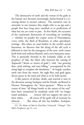The destruction of earth and the retreat of the gods as the human race becomes increasingly matter-bound is a recurring theme in ancient cultures. The narratives vary in externals: in one instance they might refer to an age and a people that have long since vanished or to predictions of what has not yet come to pass. At first blush, the accounts of the cataclysmic destruction of everything are terrifying — whether we ponder the cryptic verses of Nostradamus (1503-1566), the *Book of Revelation*, or other apocalyptic writings. But when we read further in the world's sacred literatures, we discover that the dying of the old cycle is followed in time by the emergence of the new: earth comes forth fresh and without blemish, and a new humanity arises. This is poetically foretold in the Icelandic *Edda*, in the prophecy of Vala, the Sibyl, who forecasts the coming of *Ragnarök* (''doom or return of gods''), with ''sun growing dim, earth sinking, and stars falling,'' accompanied by fire rising high to complete the desolation.\* At length, another earth rises from the waters, the eagle flies, and gods again decree peace in the land and what is to be held sacred.

A like pattern of decline, death, and renewal is seen in the discourse among Asclepius and his friends, attributed to Hermes Trismegistus, the ''thrice-greatest.'' When in the course of time ''all things hostile to the nature of the soul'' have been committed by mankind, earth will ''no longer stand unshaken, . . . heaven will not support the stars in their orbits, . . . all voices of the gods will of necessity be silenced. . . . But when all this has befallen, Asclepius,

<sup>\*</sup>Cf. *The Masks of Odin* by Elsa-Brita Titchenell, ''Völuspá'' (The Sibyl's Prophecy), pp.  $87-100$ .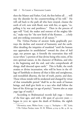then the Master and Father, God, the first before all . . . will stay the disorder by the counterworking of his will.'' He will call back to the path all who have strayed, cleanse the earth of evil, now with flood, now with fire, or again, "expelling it by war and pestilence.'' Then in the process of ages will ''God, the maker and restorer of the mighty fabric,'' make way for ''the new birth of the Kosmos . . . a holy and awe-striking restoration of all nature.''\*

The *Vishnu-Purāna* of ancient India graphically portrays the decline and renewal of humanity and the earth. After detailing the iniquities of mankind ''until the human race approaches its annihilation'' toward the close of *kali yuga,* our present age, it foretells the renovation that will occur when ''a portion of that divine being who exists, of his own spiritual nature, in the character of Brahma, and who is the beginning and the end, and who comprehends all things, shall descend upon earth.'' This is Kalki, the tenth avatāra or divine incarnation, who will be born in the village of Sambhala to destroy all that is false and unrighteous, and reestablish dharma, the law of truth, purity, and duty. Those whose minds will be awakened and changed by virtue of that remarkable period ''shall be as the seeds of human beings, and shall give birth to a race who shall follow the laws of the *K. rita* age (or age of purity),'' known also as *satya yuga* (age of truth).†

According to Brahmanical records kali yuga — lowest of the four ages, and with a life span of  $432,000$  years began in 3102 BC upon the death of Krishna, the eighth

<sup>\*</sup>*Hermetica*, trans. Walter Scott, 1:344-7, "Asclepius — III," §26a.

*<sup>†</sup> The Vishnu Purāna*, trans. H. H. Wilson, 4:224-9, bk. 4, ch. 24.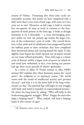avatāra of Vishnu. Presuming that these time cycles are reasonably accurate, this means we have completed only a little more than  $5,000$  years of kali yuga, with some  $427,000$ years yet to run! Moreover, as kali yuga is held to contain but one-quarter of *satya* or truth in contrast to the fourquarters of truth present in the krita age, it looks as though humanity is on a downslide — a most discouraging prospect unless we view our present age within the larger context of the evolutionary cycle of earth. The crucial factor here is that earth and its inhabitants have progressed beyond the halfway point in their evolution; they have completed their downward thrust and, having passed the nadir, if only slightly, have begun the climb upward out of matter toward an ever more refined spirituality. Thus, kali yuga is a minor cycle of descent within a larger cycle of ascent on which we and earth have embarked; in fact, even during our present kali age there occur periods of relative spirituality.

In a letter to Allan  $\Omega$ . Hume written in  $1882$ . HPB's mentor KH explains that when humanity passes the ''*axial point*," the midpoint in its septenary course, "the world teems with the results of intellectual activity and *spiritual decrease*''; and that it is in the latter half of the long evolutionary arc that ''the spiritual Ego will begin its real struggle with body and mind to manifest its transcendental powers.'' He closes his long letter by asking: ''Who will help in the forthcoming gigantic struggle? Who? Happy the man who helps a helping hand.''\* Who, indeed, will lend a helping hand in this contest of ages?

<sup>\*</sup> The Mahatma Letters, Letter xIV, p. 88.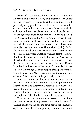#### 162 / To LIGHT A THOUSAND LAMPS

Many today are longing for a savior to put to rout the destroyers and restore harmony and brotherly love among us. As far back in time as legend and scripture record, practically every people has cherished the promise of a Redeemer at the end of the dark age who is to vanquish the evildoers and lead the blameless to an earth made new, a golden age when truth is honored and all life held sacred. The Christian looks to the Second Coming when the ultimate winnowing will occur; orthodox Jewry awaits the Messiah; Parsis count upon Saoshyans to overthrow Ahriman (darkness) and enthrone Ahura Mazda (light). In India similar apocalyptic events surround the avatāra Kalki at the close of kali yuga; Buddhist writings describe a future Buddha, Maitreya, the "Friendly, Benevolent One," leaving the celestial regions for earth in order once again to impart the Dharma (the sacred Law) in its purity; and Tibetan legends tell of the return of the Kings of Sambhala. No two ´ agree on the timing: Oriental peoples placing the event far in the future, while Westerners announce the coming of a Savior or World-Teacher to be practically upon us.

With our foreshortened view of human destiny, due in part to rejection of reincarnation as a valid philosophical hypothesis, it is no surprise that recent decades have seen a rise in the West of a kind of messianism, manifesting in a hysterical longing for some enlightened Personage to rise up and pull our civilization back from self-annihilation.

That teachers and guides are as necessary to our inner development as are loving parents and schoolteachers for children is self-evident, but the other half of the equation is equally relevant. Just as the growing child must be allowed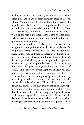to find his or her own strength, so humanity as a whole needs time and space to reach maturity through its own efforts. We are much like the adolescent who rejects the help that is available and then, feeling alienated, seeks foolish and sometimes destructive means to fill the loneliness. In consequence, while there is currently an extraordinary yearning for higher guidance, there is also an astonishing lack of discrimination as to what is sound and what is spurious in matters of the spirit.

Today, the winds of Nārada, agent of karma, are toppling once seemingly impregnable barriers to make way for long-needed changes in individual and national destinies.\* Every nation, race, and people, indeed every human being over the globe, is subject to the bipolar force of Nārada's Siva-energy which destroys that it may rebuild. Upheavals ´ of lesser and greater magnitude occur cyclically to insure the viability of spirit through shedding and renewal of forms. This interplay between light and shadow will continue as long as we are imbodied entities. But there are cycles within cycles, and the growth patterns of humanity reveal long periods of seeming quiescence, punctuated by apparently sudden changes. When such a ''moment'' of destiny has matured, we may have an influx of a new type of humanity on the scene, often accompanied by global disturbances of a physical as well as psychological character.

In minor degree the waning of the Piscean and the dawning of the Aquarian age is such a nodal point, where the struggle between the old and the new is joined. As we

<sup>\*</sup>Cf. G. de Purucker, *Fountain-Source of Occultism*, pp. 689-95.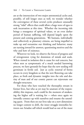are at the intersection of two major astronomical cycles and, possibly, of still longer ones as well, we wonder whether the convergence of these several cycles produces unusually strong "tidal" effects that could allow a huge wave of egos to seek incarnation at this time. Whether the incoming tide brings a resurgence of spiritual values, or an even darker period of human suffering, will depend largely upon the present and coming generations. We humans, individually and collectively as planetary citizens, are being impelled to wake up and reexamine our thinking and behavior; many are turning inward for answers, questioning motives and the why and how of existence.

Wherever we look, we observe the forces of progress and of retrogression vying for dominion of minds and souls. When viewed in isolation this is cause for real concern, but when seen as symptomatic of a much needed harrowing process, we have grounds for hope that the new seeding will germinate in fertile soil. Just as cyclic renewal of forms occurs in every kingdom so that the new flowering can take place, so fresh and dynamic insights into the role and destiny of man and of our cosmic parent can rejuvenate our thought-structures.

For those who have touched the theosophic stream in former lives, but who as yet may be unaware of the responsibility this imposes, such could be the moment of awakening the higher self is waiting for — when once again we inwardly connect up with ourselves and resume the unending quest. From then on our lives take on a new dimension: no longer content to drift, the inner struggle intensifies between our Ariadne self which would lead us out of the maze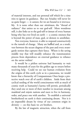of material interests, and our personal self which for a time tries to ignore its guidance. But our Ariadne will never let us quite forget — it cannot, for we are bound to it irrevocably. It is none other than our *sūtrātman*, the "thread of radiance'' that unites us to our god-self. More wondrous still, it also links us to the god-self or ātman of every human being who has ever lived on earth — a cosmic oneness that is beyond the power of man, god, or demon to annihilate.

Not everyone, however, is able to respond constructively to the tumult of change. Many are baffled and, as a result, veer between the secure dogmas of the past and every avantgarde notion that captures their fancy. Where is the saving middle way that will steadily enhance the transmutation process from dependence on external guidance to reliance on the savior within?

It would be a pitiless universe had humanity to wait many thousands of years for the golden age to return before receiving help. Could we see our human evolution from the origins of this earth cycle as in a panorama, we would know that a hierarchy of Compassionate Ones keeps a protective watch over all of earth's children. Aside from their cyclical seeding of the world consciousness with as much of cosmic truth as humanity's karma will permit, periodically they send one or more of their number to incarnate among mankind and enjoin nations and races to live in harmony, order, and peace one with another. To establish a universal brotherhood on earth is their continuing dream. Nor is it an impossible dream by virtue of our common origin in divinity — on this basis we *are* brothers.

By the law of magnetic attraction, when the call from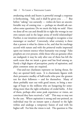awakening minds and hearts is powerful enough a response is forthcoming. ''Ask, and it shall be given you . . .'' But before "asking" too earnestly — wishes do have an uncomfortable way of coming true — perhaps we should ask ourselves some questions: Do we merit the help we seek? Have we done all we can and should do to right the wrongs in our own natures and in the larger arena of world relationships? Further, is our intuition sensitive enough to recognize a true messenger or teacher? Conversely, what certainty is there that a person is what he claims to be, and that his teachings accord with nature and with the primeval truths impressed upon our inmost essence when humanity was young? False prophets are ever present, while those who are genuine often are maligned; it may be only after one of them has left the earth scene that we intuit a great soul has lived among us. Surely a high degree of perception, purity of aspiration, and plain common sense are required.

Out-and-out charlatans represent no lasting threat, for they are spotted fairly soon. It is charismatic figures with their persuasive medley of half-truths who pose the greatest test for their followers — and for themselves. Many of them probably start out with good intent, to bring a message of hope to the millions who are hungering for something more than the tight orthodoxy of credal faiths. A few of them, perhaps after some peak experience or vision, are convinced they have received a "call." This may or may not be the case. Where aspiration is strong and one-pointed, an individual may for an instant open a channel to the light within and undergo a temporary fusion of soul with his higher self. For him the vision is real. The question is: Has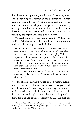there been a corresponding purification of character, a parallel disciplining and control of the passional and mental nature to sustain the vision? Unless he has ruthlessly striven to denude himself of self-pride and greed, the momentary opening to the inner worlds leaves him vulnerable to alien forces from the lower astral realms which, when not controlled by the higher will, may turn demonic.

We recall an astute observation made by William Law  $(1686 - 1761)$ , theosopher, Christian divine, and a profound student of the writings of Jakob Boehme:

Would you know . . . whence it is, that so many false Spirits have appeared in the World, who have deceived themselves and others with false Fire, and false Light, laying Claim to Inspirations, Illuminations, and Openings of the Divine Life, pretending to do Wonders under extraordinary Calls from God? It is this; they have turned to God without turning from themselves; would be alive in God, before they were dead to their own Nature . . .

Now Religion in the Hands of Self, or corrupt Nature, serves only to discover Vices of a worse kind, than in Nature left to itself.\*

Note the phrase: ''they have turned to God without turning from themselves.'' Human nature hasn't changed much over the centuries! How many of those, eager for transformative experiences of a higher order, are willing to take the first steps in self-discipline, much less endure long and arduous training and testing of integrity and motive over life-

<sup>\*</sup>William Law, *The Spirit of Prayer: or The Soul Rising out of the Vanity of Time, into the Riches of Eternity*, Prayer 2.1-32; cf. Aldous Huxley, *The Perennial Philosophy*, p. 243.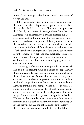times? ''Discipline precedes the Mysteries'' is an axiom of proven validity.

It has happened in historic times and is happening today that one or another self-proclaimed guru comes to believe that he is infallible: is he not God-sent, an apostle of the Messiah, or a bearer of messages direct from the Lord Maitreya? His or her followers are also culpable in part, for continuous and unthinking adulation can act as an intoxicant. So insidious is the poison of flattery that all too soon the would-be teacher convinces both himself and his devotees that he is absolved from the strict morality required of others: whatever transgression of the ethical code he may incur becomes a ''holy act'' and thus sanctified. There is no way to measure the tragic consequences of such betrayal on himself and on those who unstintingly give of their devotion and trust.

Obviously, perfection is neither possible nor expected, and it is both presumptuous and unfair to judge harshly those who earnestly strive to give spiritual and moral aid to their fellow humans. Nevertheless, we have the right and duty to expect of those who profess to teach, that words of truth and compassion are authenticated by honorable and altruistic thinking and doing. What all of us need is a clearer knowledge of ourselves plus a healthy dose of skepticism — not cynicism, but intelligent skepticism. The word is apt, from the Greek *skeptikos*, ''thoughtful, reflective.'' We need to be reminded that the essence of our being is immortal and that each of us has not only the inborn capacity and the will but also the obligation to "save" ourselves that is, to liberate our souls from the fetters of selfish desire.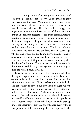The cyclic appearance of savior figures is to remind us of our divine possibilities, not to deprive us of our urge to grow and become as they are. We can begin now by jettisoning from our nature all that is extraneous and less than we esteem in human behavior. There is no call for exaggerated physical or mental austerities: practice of the ancient and universally honored precepts — call them commandments, beatitudes, pāramitās, or virtues — is our open sesame to the future. In spite of the pull toward material concerns in kali yuga's descending cycle, we do not have to be downtending in our thinking or aspiration. The history of mankind from the earliest era confirms that in every age, whether one of spiritual clarity and upward reach or one of spiritual darkness and downward bent, pioneers are quietly at work, forward-thinking men and women who keep alive the fires of aspiration. The stronger the pull matterwards, the more powerfully they swim against it in order to produce the needed countercurrent.

Patently, we are in the midst of a critical period where the light energies are in direct contest with the dark forces — not only on the national and international scene, but within our own natures. Unless we begin now, individually and collectively, to rely on our own inner strength, we will have little to draw upon in future crises. This isn't the time to lean on great leaders; it isn't the time to wait for a messenger. If we feel that the odds are overwhelmingly against our steadfast efforts to hold aloft the torch of hope, let us recall Mother Teresa. When asked how she could bear up under the enormity of suffering she witnessed daily, without any possibility of her stemming the tide appreciably, she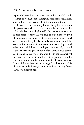replied: ''One and one and one: I look only at the child or the old man or woman I am tending; if I thought of the millions and millions who need my help I could do nothing.''

It seems to me that every human being has within him the power to do what is required: privately and unnoticed to follow the lead of his higher self. But we have to persevere in this practice; above all, we have to trust unreservedly in the potency of our inner light to illumine our lives. If each one of us steadfastly heeds its guidance, in time we will become an imbodiment of compassion, understanding, knowledge, and helpfulness — and yet, paradoxically, we will have achieved the greatest boon of all, we will have become as ''nothing in the eyes of the world.'' In this manner will we strengthen the light-impulses that are gaining in number and momentum, and by so much fortify the compassionate labors of those who work unceasingly for all nations and for the unborn and who are, even now, readying the way for the dawn of a brighter age.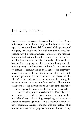# 16

## The Daily Initiation

EVERY PEOPLE HAS BORNE the sacred burden of the Divine in its deepest heart. How strange, with this wondrous heritage, that we should ever feel ''widowed of the presence of the gods,'' as though the link with our divine source had become frayed, no longer assured. We are not the first civilization to feel lost and bewildered, nor will we be the last, but this does not mean there is no remedy. Help has always been within our grasp: to ally our whole being with the building energies of the universe and to refuse to strengthen by default — certainly never by design — the destructive forces that are ever alert to attack the irresolute soul. Still, we must persevere, for once we make the choice, all the "devils" in the underworld of our nature will seemingly be let loose to test the integrity of our resolve. The more in earnest we are, the more subtle and persistent the resistance — not instigated by others, but by our own higher self.

There is nothing mysterious about this. Probably everyone has had the experience that when we determine to alter our habitual ways of thinking, everything and everybody appear to conspire against us. This is inevitable, for intensity of aspiration challenges the gods who are ''jealous'' of us humans who venture unprepared into their domain. Only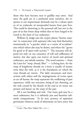those who have become near to godlike may enter. And since the gods are in a profound sense ourselves, the response to our importunate demands may be a release upon us of an avalanche of unexpended karma from past lives. This could be shattering to the personal self, but not to the part of us that *knows* deep within that we have longed to be tested to the limit of our endurance.

William Q. Judge uses the cryptic phrase ''karmic stamina'' in connection with aspirants who may find themselves momentarily in "a psychic whirl, or a vortex of occultism" into which others also may be drawn, and where the ''germs for good or ill ripen with activity.''\* The outcome will depend not only on our constancy of will and selflessness of motive, but also upon our reserve of moral and spiritual endurance, our inbuilt stamina. The word stamina — from the Latin for ''warp, thread, fiber'' — is fitting here, for the warp of lengthwise threads on a loom is usually of stouter twist than the weft, as it is the foundation on which the cross threads are woven. The daily encounters and interactions with others and the impingements of events upon us are all karma: the warp represents the outflowing of past experience, while our reactions, being of our choosing, are the weft carried by the shuttle of the soul as we weave our present and future on the warp of the past.

All is not hardship and trial. Our inner god may be a stern taskmaster, but it is infinitely just and therefore infinitely compassionate. To be sure, potency of aspiration germinates whatever seeds of inharmony we have sown, but

<sup>\*</sup>Letters That Have Helped Me 1:20-1.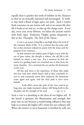equally does it quicken the seeds of nobility in the character so that we are inwardly sustained and encouraged. In truth, it may shed a flood of light upon our path. Such a resolve finds resonance in our inmost self, and as we return life after life it leads us on and on, to take up the charge anew. Every day, every year, every lifetime, we infuse the ancient resolve with fresh vigor. Katherine Tingley speaks eloquently to this in her *Theosophy: The Path of the Mystic*:

A vow is an action rising like a star high above the level of the common deeds of life. It is a witness that the outer man has at that moment realized its union with the inner, and the purpose of its existence, . . .

At that moment the radiant path of light is seen with the eye of pure vision, the disciple is reborn, the old life is left behind, he enters a new way. For a moment he feels the touch of a guiding hand ever stretched out to him from the inner chamber. For a moment his ear catches the harmonies of the soul.

All this and more is the experience of those who make this vow with their whole hearts, and as they constantly renew it, and constantly renew their endeavor, the harmonies come again and again, and the clear path is once more beheld.

... Each effort carves the path of the next, and in no long time one single moment's silence will bring forth to the disciple's aid the strength of his soul.  $-$  pp. 53-4

Such a vow is a knocking at the door of our higher self. If the knock is genuine, the illumination and strength that pour into us can become a transforming influence that may help us to intuit the higher self 's intent for our ordinary self. When the motive to serve humanity is fortified by will, our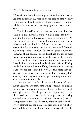life is taken in hand by our higher self, and we find we are led into situations that test us to the core so that we may prove our worth and the depth of our aspiration — not for self-benefit, but that we may bring light and inspiration to others.

The higher self is our *real* teacher, our inner buddha. This is a time-honored truth: it places responsibility for growth, for inner advancement, squarely on ourself. We have no one but ourself to blame for our fumbles, no one on whom to shift our burdens. We are our own awakener, our own savior, for *we* are the steps we must travel and the truth we so long to find. Yet few of us feel adequate to fulfill the demands of our dharma, or self-disciplined enough to meet with equanimity the impact of daily karma. Trust is the key: to trust karma is to trust ourselves and to trust that we have the inner resources to handle whatever befalls. Having made the choice to live mindfully, there can be no turning back. We are not required, however, to take more than one step at a time; this is our protection, for by meeting life's challenges one day at a time we gather strength and sufficient wisdom for the daily need.

Once we grasp the fact that *we* are the path before us, never again will we know that aching loneliness of despair, for we shall have come in touch, if ever so fleetingly, with our light-source. Should periods of despondency return, they need not take firm hold, for a part of us, having entered into companionship with our higher self, remains en rapport with the larger fraternity of the spirit that touches every aspirant on the path. In proportion as we allow our buddha-nature to illumine our ordinary self will the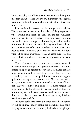Tathāgata-light, the Christos-sun, irradiate our being and the path ahead. Since we are *one* humanity, the lighted path of a single individual makes the path of all others that much clearer.

It is a truism that no one can live always on the heights. We are obliged to return to the valleys of daily experience where we still have lessons to learn. But the panorama seen from the heights, short-lived as it may have been, is our rod and staff. It takes courage to allow our higher self to lead us into those circumstances that will bring to fruition old karmic causes whose effects on ourselves and on others must now be met. However, once handled, they will be done with. If at times everything seems at cross-purposes, and every effort we make is countered by opposition, this is to be expected.

The choice we made to pursue the compassionate way is by its very nature and goal an upstream endeavor. It is not a simple thing to go against the current; it demands courage to persist year in and year out along a course that, even if we know deep down is the true path for us, may at times appear quite the contrary to our personal self. Yet when we reflect on it, we are warmed and strengthened by an inner affirmation that we couldn't have asked for a more magnificent opportunity. To be allowed by karma to aid, in however minor a degree, in the compassionate order of the universe: this is to be given a boon that the soul over many lifetimes has silently yearned for.

We learn early that every aspiration must be sustained by self-discipline. Today people are stretching their souls, longing to rise above their ordinary little selves and glimpse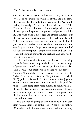a vision of what is beyond and within. Many of us, however, are so filled with our own ideas of what life is all about that we are like the student who came to the Zen monk seeking knowledge. ''Teach me, Roshi, what Zen is.'' The Zen master invited him to tea. He started pouring tea into the teacup, and he poured and poured and poured until the student could stand it no longer and almost shouted: ''But the cup is full. Can't you see?'' The Roshi quietly said: ''That is what your mind is like. You are so filled with your own ideas and opinions that there is no room for even one drop of wisdom. Empty yourself, empty your mind of all your preconceptions, empty your heart and your soul of all unbecoming thoughts and feelings, and you will be filled to abundance."

All of us know what is unworthy of ourselves. Striving to gentle the untamed propensities in our character is a type of purgation, a purification we can go through every day. This is what Paul meant when he said to the people of Corinth, ''I die daily'' — day after day he sought to be "reborn" interiorly. This is the "daily initiation," of which W. Q. Judge spoke — life itself, with its manifold joys and sorrows. Both have their temptations and trials, good fortune so called being often more difficult to handle than are the day-by-day frustrations and disappointments. The constant demand upon us to choose between the greater and the less, the selfless and the self-centered, brings us face to face with ourselves.

It is a matter of getting back to first principles: we start from within, from our central self. What *is* our motive? We tend to think of initiation as far removed from everyday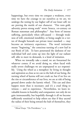happenings, but every time we conquer a weakness, every time we have the courage to see ourselves as we are, we undergo the testing by our higher self of our lesser self; we are proving the mettle of our character. ''Fire tests gold, adversity proves strong souls" wrote Seneca, 1st-century AD Roman statesman and philosopher.\* Any form of intense suffering, particularly when self-caused — through weakness of will, emotional instability, or being caught in a vortex of thought beneath our private inner standard — may become an initiatory experience. The word *initiation* means ''beginning,'' the conscious turning of a new leaf in our Book of Life. To have penetrated the darkness of our individual hell and come up into the light of our radiant self, able to meet its demands, is a kind of initiation.

When we inwardly take a stand, we are forearmed for whatever comes; if we avoid doing so, when faced with really severe challenges we are unprepared to act responsibly. Using the wheel as a metaphor: by living in thought and aspiration as close as we can to the hub of our being, the turning wheel of karma will not crush us; but if we live on the rim or circumference of our lives, we are at risk of being ground down under the karmic wheel. This can and does happen more than is necessary; and it's a cruel thing to witness — and to experience. Nevertheless, we learn invaluable lessons in humility and compassion: not only do we gain immeasurably, but hopefully through it all we become sufficiently sensitized to help others see that if they ascend the radius of their being toward the hub of themselves, they

 $*$ *Moral Essays*, "On Providence," 5, 9.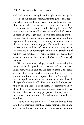will find guidance, strength, and a light upon their path.

One of our noblest opportunities is to give confidence to our fellow humans that, no matter how fragile we may be or think we are, all of us have sufficient power to live our lives in an honorable, thoughtful, and self-disciplined way. We must allow our higher self to take charge of our life's destiny. Is there any greater gift one can offer than assuring another he has what it takes to handle his karma, with head high, regardless of how many times he may be knocked down? We are not alone in our struggles. Everyone has some cross to bear, some weakness of character to overcome; just so everyone has his or her strengths to build on. Simply put: if we have the fortitude to ''hang in there'' no matter how often we stumble or how far we fall, *there is no failure, only triumph.*

We are transcendent beings, cosmic in power, using human vehicles for growth and expansion of consciousness. Every man, woman, and child is here on earth as the result of aeons of experience, each of us entering life on earth as an ancient soul for a divine purpose. There isn't a single avenue of experience or duty that cannot be viewed through the eyes of our cosmic self. This puts a totally fresh perspective on our experience here on earth. Henceforth we know that, whatever our circumstances, we need never be downed by karma because the *long* perspective of many lives is a persuasive reminder of the unlimited resources on which we can draw.

Nature demands the utmost of her children to bring into flower their full potential. Every moment, day in and day out, we humans with our marvelous faculties of mind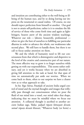and intuition are contributing either to the well-being or illbeing of the human race, and by so doing leaving our impress on the noumenal or causal realms. Of course, no one should expect perfection from himself or another. Our goal is not to attain self-perfection; rather is it to emulate the life of service of those who come forth time and again as lightbringers, bearers anew of the ancient wisdom teachings. Whatever our role — laborer, housewife, professional when we give the best of ourselves to fulfilling our particular dharma in order to advance the whole, our weaknesses take second place. We still have to handle them, but there is no call to focus undue attention on them.

We and the whole of humanity need to lift our consciousness from that which is disintegrative and dispersive to the level of the creative and constructive part of our nature. The most effective way to grow is to forget ourselves while getting on with our responsibilities. This seems rather ordinary, and yet it works because when we are absorbed in giving full attention to the task at hand, for that span of time we automatically put aside our worries. When we come back to them, often to our surprise we have a clearer view as to what approach to take.

In his *Yoga Sūtras*, Patañjali of ancient India urged control of mind and the myriad thoughts and images that willynilly pass through our consciousness: when we pour the fluid of our mind into a vessel, our mind takes that shape, indicating that we must be mindful where we focus our attention. A collateral thought is ascribed to another ancient Indian sage, Yāska: yadyad rūpam kāmayate devatā, tattad rūpam devatā bhavati, "Whatever body (or form) a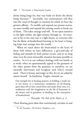divine being longs for, that very body (or form) the divine being becomes."\* Inevitably, our consciousness will flow into the vessel of thought or emotion for which we have the greatest affinity. To modify and expand our present norms, we must modify and expand the existing vessels or break out of them. This takes courage and will. As we open ourselves to the light within, the light streams through us. As everyone in his or her own way is a light-bearer, so everyone who has the flame of brotherhood burning in his heart is bringing hope and courage into this world.

When we reach above the brain-mind to the heart of those with whom we have differences, a give-and-take of feeling and attitude by both parties occurs, and in no long time even the most intractable situation becomes possible to resolve. So it is in our ordinary dealings with our family or at work: when we spontaneously appeal to the greatness of the other person from the greatness in ourselves, we are naturally clairvoyant and recognize each other's inward need. There is beauty and magic in this, for we are aided by nature herself. As Katherine Tingley reminds us:

Our strength lies in keeping positive; in holding a steady joy in our hearts; in a momentary meditation on all floating great ideas till we have seized them and made them ours; in a meditation with the imagination on the life of humanity in the future, and its grandeur; in dwelling on the conception of brotherhood.

— *Theosophy: The Path of the Mystic,* p.

Those floating great ideas that continuously circulate in and

<sup>&</sup>lt;sup>\*</sup>G. de Purucker, *The Esoteric Tradition* 2:701.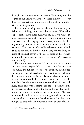through the thought consciousness of humanity are the source of our innate wisdom. We need simply to recover them, to recollect our inborn knowledge of them, and they will be our inspiration.

Every human being has full right to his own way of feeling and thinking, to his own idiosyncrasies. We need to respect each other's inner quality as much as we want ours to be respected. Assuredly, the most lasting contribution we can make toward bringing about a recognition of the dignity of every human being is to begin quietly within our own soul. Every person who really feels every other individual to be not only his brother, but his very self, is adding his quota of spiritual power to the moral force of the brotherhood ideal. We are *not* separate — *we are one life-wave, one human family.*

How and where do we begin? All of us have our home and professional responsibilities. These come first: we owe our family the fullness of our love, devotion, intelligence, and support. We take each day and trust that we shall read the karma of it with sufficient clarity to allow us to move forward as we should. Everything starts as a seed. Yet the miracle is that the tree is already patterned within the seed. Every phase of growth is matrixed in the seed-essence, in the invisible space (ākāśa) within the heart, that resides equally in the core of a star as in the nucleus of an atom.\* We need to *live* to the full every moment and give each person and every smallest circumstance the wholeness of our heart and thought so that only the purest and truest quality of karma

<sup>\*</sup>Cf. *Chāndogya Upanishad*, VIII, 1, 3.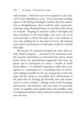will eventuate. Only then can we be responsive to the inner call of each individual or event. Even more than avoiding regrets or the feeling of having let another down by inattention or thoughtlessness, there would be only constructive, vitalizing energy flowing between us and those with whom we associate. Keeping in mind the reality of thoughts and their circulation in the astral light, were every one of us conscientiously to throw his heart into every moment of every day, holding fast to the ideal of service, the spiritual and mental consciousness of humanity would be touched with light.

We are part of a spiritual enterprise far vaster than our finite minds can grasp — associates in the outermost court, but associates nonetheless in a fraternity from whose central home stream the spiritualizing magnetisms that keep our planet and its humanities on course — insofar as world karma allows. It is infinitely inspiring to reflect that every aspirant is a participant in a continuing relay of strivers, each making it possible for the one coming after to have the hope and the energy to accomplish those achievements of the spirit that are awaiting the favorable time and circumstance to come to fruition. Passing on the torch of courage, perseverance, and devotion: each one alone of minuscule worth, yet together each a golden link in the buddhic chain of compassion and love whose innermost reaches are beyond sun and stars.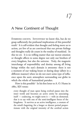# 17

## A New Continent of Thought

EVERYONE COUNTS. INTUITIVELY we know this, but do we grasp sufficiently the profound implications of this powerful truth? It is self-evident that thought and feeling move us to action, yet few of us are convinced that our private feelings and thoughts really do count in the totality of mankind. In this we err. It is no trifling matter that our merest emotion or thought affects to some degree not only our brothers of every kingdom, but also the universe. Truly, the magnetic interchange of responsibility and destiny among all living beings within the sun's domain is awesome: there is not a moment of our waking hours or during sleep (albeit in a different manner) when we do not exert some type of influence upon the auric atmosphere surrounding our globe in which the whole of humankind partakes.

How is this possible? In his first letter to A. O. Hume in 1880, KH wrote:

every thought of man upon being evolved passes into the inner world and becomes an active entity by associating itself — coalescing, we might term it — with an elemental; that is to say with one of the semi-intelligent forces of the kingdoms. It survives as an active intelligence, a creature of the mind's begetting, for a longer or shorter period proportionate with the original intensity of the cerebral action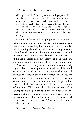which generated it. Thus, a good thought is perpetuated as an active beneficent power; an evil one as a maleficent demon. And so man is continually peopling his current in space with a world of his own, crowded with the offsprings of his fancies, desires, impulses, and passions, a current which reacts upon any sensitive or and nervous organisation which comes in contact with it in proportion to its dynamic intensity.\*

We are indeed "continually peopling our current in space" with the sum total of what we are. With every passing moment we are sending forth thought or desire impulses which, uniting themselves with elemental energies as and when they will, have capacity to nurture or retard the soul. By virtue of the continuous circulation of life-atoms, what we think and do affects not only ourselves and our family and environment, but likewise every living being on our globe.

Moreover, our thoughts and emotions are automatically registered on the astral light that surrounds our globe as well as on our own astral substance. Since the astral light is both receiver and expeller (as well as recorder) of the thoughts and emotions of every human being who has ever lived, at certain times when there is an opening it discharges both its lower and higher emanations upon the mass consciousness of humanity. This means that what we are now will be leaving its mark upon countless lives yet unborn, for the reason that every thought, emotion, and aspiration impressed on the earth's astral light in time reflects itself back upon ourselves and on others. What one *is*, therefore, is vastly important.

<sup>\*</sup>Margaret Conger, *Combined Chronology*, p. 33.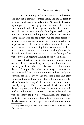The present thinning of demarcation between the astral and physical is proving of mixed value, and much depends on what we choose to identify with. At present, the astral light appears to be disgorging more than usual of its basest content; on the other hand, a greater number of persons are becoming responsive to energies from higher levels and, at times, receiving ideas and inspirations of sufficient worth to change many lives for the better. All the more reason to maintain a balanced outlook and not give way to feelings of hopelessness — either about ourselves or about the future of humanity. The debilitating influence such moods have on us infects the vital circulations of thought-energies through our planet. Too much is at stake for any of us wantonly to add negative thinking to the world karma.

Those subject to recurring depression are notably more sensitive than others to the cyclic highs and lows in nature and may oscillate rather violently between exaltation and despair. It is possible, indeed mandatory, to temper our reactions and focus attention on the golden midpoint between extremes. Every sage and rishi before and after Gautama Buddha knew and observed the ancient rule: when "unworthy images" fill the mind, instantly induce ''worthy images.'' Then, with hatred, ill will, and selfish desire conquered, the ''inner heart is made firm, tranquil, unified, and strong.''\* Katherine Tingley understood this well; she knew the power of visualization and urged her students, when gloom or despondency crept in, immediately to conjure up their opposites and thus initiate a new

<sup>\*</sup>*Majjhima Nik¯aya*, quoted in *Fountain-Source of Occultism*, G. de Purucker, p. 35.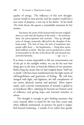quality of energy. The influence of this new thoughtcurrent would in time prevail, and the student would feel a new sense of purpose, a new joy in his duties. In her book *The Gods Await*, she quotes a remarkable statement by her teacher:

You know, the atoms of the human body become weighed down as a rule with the burdens of the mind — the irrelevant ideas, the preoccupations and anxieties. They go through series of changes momently, affected by the thoughts of the brain-mind. The lack of trust, the lack of inspiration that people suffer from — the hopelessness — bring these atoms down halfway to death. But they can be quickened to a kind of immortality by the fire of the divine life and attuned into universal harmony.  $-$  pp.  $124-5$ 

If at times it seems impossible to lift our consciousness out of the pit to the sunlight within, we can do the next best thing: give to the duty at hand the fullness of our attention. Before long the atoms that we had weighed down ''half way to death'' will have been transformed into the light-atoms of self-forgetfulness and generosity of feeling. We will have charged with light, and lightness, the full complement of our atoms, physical, mental, and spiritual. More importantly, such a private transmutation of attitude is global in its beneficent effect, radiating far beyond our limited circle of influence and giving hope and renewed stimulus to others.

The thought is enough to give binding assurance that every staunch effort to stand for the true does count and, when selflessly maintained, its potency for good is magnified beyond reckoning. I wonder if we realize how greatly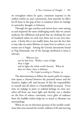we strengthen others by quiet, consistent response to the noblest within us; and, contrariwise, how potently we affect for ill those in the grip of fear or weakness when we indulge in unworthy thought or behavior.

Through the ages teachers and saviors have come among us and imparted the same challenging truth: that we cannot eradicate the selfishness and greed that are choking the soul of mankind unless we each root them out in our own character. Clearly this is not readily done, but just the fact that it may take an entire lifetime or many lives to achieve, is no reason not to begin. Among the Gnostic documents found in Nag Hammadi, one of the Sayings attributed to Jesus is relevant:

> . . . Whoever has ears let him hear. Within a man of light there is light and he lights the whole world (*kosmos*). When he does not shine, there is darkness.

— *The Gospel according to Thomas*,

The determination to follow the mystic path of compassion opens a channel between the personal nature and the intuitive, higher self, and because of this the responsibility to oneself and all others is a hundredfold increased. Every time we indulge in petty or unkind feelings we close ourselves off from our inner light and thereby cast a shadow on the lives of others; conversely, every glint of radiance from the buddhi within helps by so much to illumine our surroundings.

When we see on television pictures of the terrible conditions that exist around the world, millions of ill and starving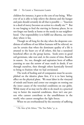children for instance, it goes to the core of our being. Whoever of us is able to help relieve the distress and the hunger and pain should certainly do all that is possible — ''Inaction in a deed of mercy becomes an action in a deadly sin.''\* But in our longing to feed the starving in faraway places, let us not forget our family at home or the needy in our neighborhood. Our responsibility is to fulfill our dharma, our inner duty where it lies.

Though we all long for the day when the desperate conditions of millions of our fellow humans will be relieved, we can be certain that when the dominant quality of a life is attuned to the heart cry of all others, this has a sustained beneficial effect on the group karma. Seeds sown in good soil germinate, take root and, in the course of time, flourish in season. So, too, thought and aspiration born of selfless yearning to ease the sorrow of man result in deeds, if not through ourselves, then through others karmically favored to bring to fruition what we had envisioned.

The work of healing and of compassion must be accomplished on the ideative plane first, if it is to have lasting effect on the physical plane. We must labor in the vineyard of minds and hearts and center our energies on rooting out the inner causes of the wretched conditions on our globe. While many of us may not be able to do much in a practical way to better the material conditions, there isn't one person who cannot contribute to the unselfishness in the world, who cannot strengthen the light forces.

When we are overburdened by the enormity of suffering

<sup>\*</sup>*The Voice of the Silence*, "The Two Paths," p. 31.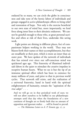endured by so many, we can circle the globe in consciousness and take note of the heroic labors of individuals and groups engaged in active philanthropic efforts to bring relief and restoration of hope. Not only is the exercise beneficial to our own state of mind but, more importantly, we lend force along inner lines to their altruistic endeavors. We cannot be grateful enough to those who, at great personal sacrifice and often at risk of their lives, undertake this saving work.

Light points are shining in different places, foci of compassionate helpers working in the world. They may not blazon forth their names or their accomplishments, but they are steadfastly at their post, which is more an inner than an outer post. We have spoken of the network of individuals that has existed ever since our self-conscious mind was quickened ages ago. This fraternity of illumined individuals labors in the quiet to stimulate the creative impulses in receptive human hearts. What we see is but the tip of an immense spiritual effort which has been in existence for many millions of years, and prior to that in previous world cycles. That network still exists, and the realization of a universal fraternity, hand in hand with the spiritual enlightenment of humanity, remain the ''aspiration of the *true adept*'' . . .

And we will go on in that periodical work of ours; we will not allow ourselves to be baffled in our philanthropic attempts until that day when the foundations of a new continent of thought are so firmly built that no amount of opposition and ignorant malice . . . will be found to prevail.

— *The Mahatma Letters to A. P. Sinnett*, pp. 17, 51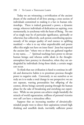Today we are witnessing a revivification of the ancient dream of the onehood of all lives among a cross section of individuals committed to making it a fact in human relationships. There is indeed generated a power, a dynamic energy, wherever individuals of dedication are aspiring, even momentarily, in synchrony with the heart of Being. No one of us singly may be of particular significance, spiritually or otherwise; but collectively, each person contributing spontaneously of his unique quality of soul essence to uplifting mankind — who is to say what unpredictable and potent effect this might not have on inner lines? Jesus but repeated the ancient law: ''where two or three are gathered together in my name, . . .'' Spiritual teachings have power to elevate human beings; and whereas noble ideals in the thoughtatmosphere have potency in themselves, when they are undergirded by individuals *living* those ideals, a certain magic can occur.

To think that our civilization is fated to continue its selfish and destructive habits is to prostitute precious thought power to negative ends. Conversely, to see ourselves as we truly are is to make a total change in our perspective: we are not separate, warring personalities but offspring of the cosmos, divine beings currently passing through the human phase for the sake of broadening and enriching our experience. While no one person can achieve single-handedly the miracle of world regeneration, millions of personal victories over self *can* have a miraculous effect.

Suppose that an increasing number of altruisticallyminded people were to direct their aspirations toward high thinking and unselfish deeds, inevitably sufficient power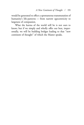would be generated to effect a spontaneous transmutation of humanity's life-patterns — from narrow egocentricity to largeness of compassion.

What the karma of the world will be is not ours to know; but if we simply and wholly offer our best, impersonally, we will be building bridges leading to that ''new continent of thought'' of which the Master speaks.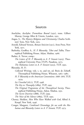### Sources

- Aeschylus, Aeschylus: Prometheus Bound (1931), trans. Gilbert Murray, George Allen & Unwin, London, 1952.
- Angus, S., *The Mystery Religions and Christianity*, Charles Scribners' Sons, New York, 1925.
- Arnold, Edward Vernon, *Roman Stoicism* (1911), Arno Press, New  $York, 1971.$
- Barborka, Geoffrey A., *H. P. Blavatsky*, Tibet and Tulku, Theosophical Publishing House, Adyar, Madras, 1966.
- Barker, A. Trevor, comp.:
	- *The Letters of H. P. Blavatsky to A. P. Sinnett* (1925), Theosophical University Press (TUP), Pasadena, 1973.
- *The Mahatma Letters to A. P. Sinnett* (1923), TUP, 1992.

### Blavatsky, H. P.:

- *Collected Writings*, vols. I, IX, and XII, ed. Boris de Zirkoff, Theosophical Publishing House, Wheaton, 1962-1980.
- *H. P. Blavatsky to the American Conventions: 1888–1891*, TUP, 1979.
- *Isis Unveiled* (1877), TUP, 1998.
- *The Key to Theosophy*  $(1889)$ , TUP, 1995.
- *The Original Programme of the Theosophical Society*, Theosophical Publishing House, Adyar, Madras, 1931.
- *The Secret Doctrine* (1888), TUP, 1999.
- *The Voice of the Silence* (1889), TUP, 1992.
- Cheney, Sheldon, *Men Who Have Walked with God*, Alfred A. Knopf, New York, 1946.
- Conger, Margaret, *Combined Chronology: for use with the Mahatma and Blavatsky Letters to A. P. Sinnett*, TUP, 1973.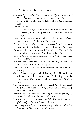- Cranston, Sylvia, *HPB: The Extraordinary Life and Influence of Helena Blavatsky, Founder of the Modern Theosophical Movement*, 3rd & rev. ed., Path Publishing House, Santa Barbara, 1993.
- Darwin, Charles:
	- The Descent of Man, D. Appleton and Company, New York, 1896. *The Origin of Species*, D. Appleton and Company, New York, 1896.
- Doane, T. W., *Bible Myths and Their Parallels in Other Religions* (1882), University Books, New York, 1971.
- Eckhart, Meister, *Meister Eckhart, A Modern Translation*, trans. Raymond Bernard Blakney, Harper & Row, New York, 1941.
- Eldredge, Niles, and Ian Tattersall, *The Myths of Human Evolu*tion, Columbia University Press, New York, 1982.
- Eliot, Sir Charles, *Japanese Buddhism* (1935), Routledge & Kegan Paul, London, 1959.
- *Encyclopaedia Britannica, Macropaedia*, vol. 10, "Kepler, Johannes," William Benton, Chicago, 1974.
- Frankl, Viktor E., *Man's Search for Meaning*, Beacon Press, Boston, 1959.
- Green, Elmer and Alyce, ''Mind Training, ESP, Hypnosis, and Voluntary Control of Internal States,'' Menninger Foundation, *Special APM Report of Parapsychology and Medicine*, 1973.
- Guillaumont, A., H.-Ch. Puech, G. Quispel, W. Till, and Yassah 'Abd Al Masīh, trans., *The Gospel according to Thomas*, E. J. Brill, Leiden, 1959.
- Harrison, Jane, *Prolegomena to the Study of Greek Religion* (1922), 3rd ed., Meridian Books, New York, 1957.
- Harrison, Vernon, *H. P. Blavatsky and the SPR: An Examination* of the Hodgson Report of 1885, TUP, 1997.
- Head, Joseph, and Sylvia Cranston, comps., *Reincarnation: The Phoenix Fire Mystery* (1977), TUP, 1994.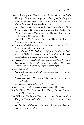Hermes Trismegistus, *Hermetica: the Ancient Greek and Latin Writings which contain Religious or Philosophic Teachings ascribed to Hermes Trismegistus*, ed. and trans. Walter Scott, Oxford University Press, London, 1924.

- Hitching, Francis, *The Neck of the Giraffe: Where Darwin Went Wrong*, Ticknor & Fields, New Haven and New York, 1982.
- Hui-Neng, *The Sutra of Hui-Neng*, trans. Thomas Cleary, Shambhala, Boston & London, 1998.
- Huxley, Aldous, *The Perennial Philosophy*, Harper & Brothers, New York and London, 1945.
- Idel, Moshe, *Kabbalah: New Perspectives*, Yale University Press, New Haven and London, 1988.
- I-tsing, *A Record of The Buddhist Religion as Practised in India and The Malay Archipelago (*.. *671–695)*, trans. J. Takakusu, Oxford University Press, London, 1896.
- Jinarājadāsa, C., *The Golden Book of The Theosophical Society: A Brief History of the Society's Growth from 1875–1925*, Theosophical Publishing House, Adyar, Madras, 1925.

Judge, William Q.:

- *Bhagavad-Gita combined with Essays on the Gita* (1887–1896), TUP, 1978.
- Letters That Have Helped Me (1891, 1905), 2 vols. in one, TUP, 1981.

*The Ocean of Theosophy* (1893), TUP, 1973.

Knoche, Grace F., *The Mystery Schools* (1940), TUP, 1999.

- Kurtén, Björn, *Not From the Apes*, Vintage Books, Random House, New York, 1972.
- Law, William, *The Spirit of Prayer: or, the Soul Rising out of the Vanity of Time, into the Riches of Eternity*, J. Richardson, Lon $don, 1758.$
- Marcus Aurelius, *Meditations*, trans. Maxwell Staniforth, Penguin Books, Baltimore, 1964.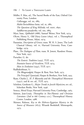Müller, F. Max, ed., The Sacred Books of the East, Oxford University Press, London:

*Cullavagga*, vol. xx, 1885. *Mahā-Parinibbāna-Sutta*, vol. XI, 1881. *The Questions of King Milinda, vol. xxxv, 1890.*  $Saddbarma-pundarīka$ , vol. xx1, 1884.

Myer, Isaac, *Qabbalah* (1888), Samuel Weiser, New York, 1974.

- Olcott, Henry S., *Old Diary Leaves* (1895), vol. I, Theosophical Publishing House, Adyar, 1974.
- Pausanias, *Description of Greece*, trans. W. H. S. Jones, The Loeb Classical Library, vol. Iv, Harvard University Press, Cambridge, 1979.
- Plato, *The Dialogues of Plato*, trans. B. Jowett, Random House, New York, 1937.
- Purucker, G. de:

*The Esoteric Tradition* (1935), TUP, 1973.

*Fountain-Source of Occultism*, TUP, 1974.

*Man in Evolution* (1941), TUP, 1977.

Radhakrishnan, S.:

*The Bhagavadgītā*, Harper & Row, New York, 1973.

*The Principal Upanisads*, Harper & Brothers, New York, 1953.

Ryan, Charles J., *H. P. Blavatsky and the Theosophical Movement*  $(1937)$ , and & rev. ed., TUP,  $1975$ .

Scholem, Gershom G., *Major Trends in Jewish Mysticism*, rev. ed., Schocken Books, New York, 1946.

Seneca, *Moral Essays*, Harvard University Press, Cambridge, 1963.

Siémon, Jean-Louis, *Theosophia in Neo-Platonic and Christian Literature (2nd to 6th Century* ..*)*, Theosophical History Centre, London, 1988.

Skinner, Ralston, *Key to the Hebrew-Egyptian Mystery in the Source of Measures* (1875), Wizards Bookshelf, Minneapolis, 1975.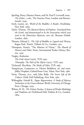- Sperling, Harry, Maurice Simon, and Dr. Paul P. Levertoff, trans., *The Zohar*, 5 vols., The Soncino Press, London and Bournemouth, 1949.
- Stryk, Lucien, ed., *World of the Buddha: A Reader*, Doubleday, New York, 1969.
- Taylor, Thomas, *The Mystical Hymns of Orpheus: Translated from the Greek, and demonstrated to be the Invocations which were used in the Eleusinian Mysteries*, new ed., Bertram Dobell, London, 1896.
- Thomas, Edward J., *The Life of Buddha as Legend and History*, Kegan Paul, Trench, Trübner & Co., London, 1931.
- Thompson, Francis, ''The Mistress of Vision,'' *The Hound of Heaven and Other Poems*, International Pocket Library, Boston, 1936.
- Tingley, Katherine:
	- *The Gods Await* (1926), TUP, 1992.
	- *Theosophy: The Path of the Mystic* (1922), TUP, 1995.
- Titchenell, Elsa-Brita, *The Masks of Odin*, TUP, 1985.
- Tsong-ka-pa, *Compassion in Tibetan Buddhism*, ed. and trans. Jeffrey Hopkins, Gabriel/Snow Lion, Valois, New York, 1980.
- Verny, Thomas, M.D., with John Kelly, *The Secret Life of the Unborn Child*, Dell Publishing, New York, 1981.
- Willoughby, Harold R., *Pagan Regeneration: A Study of Mystery Initiations in the Graeco-Roman World*, University of Chicago Press, Chicago, 1929.
- Wilson, H. H., *The Vishnu Purāna: A System of Hindu Mythology and Tradition*, ed. FitzEdward Hall, Trübner & Co., London, 1864.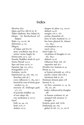## Index

Abortion 38-9 Adam and Eve, fall of  $26, 87$ 'Ādām Qadmōn, four Adams 85 Adepts. *See* Brotherhood (of Adepts) Ākāśa 114, 115-16, 181 Alchemists 4, 114 Allegory of Adam and Eve Jesus' crucifixion may be 97 saviors' stories largely 89 Amrita-yāna 131-2, 140 Ānanda, Buddha's death & 94-6 Anima Mundi 114-15 Apes and man  $19-20$ ,  $21$ Aquarian Age 123, 163-4 Armageddon 157-8 Asclepius, 159-60 Aspiration(s)  $43, 166, 169, 175$ devachan and  $46-7$ every, influences  $71$ ,  $184$ ,  $190-1$ fostered by sons of mind, great teachers  $24, 79$ intensity of, challenges gods 171, 172 of pratyeka buddhas of true adept true meditation is 110-12 Astral body 34, 44, 119  $brain$   $55-6$ ,  $57$  $chakras$  107-9

dangers of, plane 114, 119-20 defined 114-16 energies 116-17, 167 entities channeled form of early mankind 20, 27 line betw physical &, thinner  $123, 184-5$ overemphasis on 155 travel  $118-19$ Astral Light 127 circulation of thoughts in 116,  $182, 184-5$ defined  $115-16$ influences from  $108$ ,  $118$ regression and 56-7 Aśvattha tree, humans as 42 Atman 35, 114 as human principle 43, 118-19 psychic centers and 108-9 sūtrātman link to 165 Atmānam ātmanā paśya 108 Atom(s)  $8, 14$ are lives, conscious  $13, 14, 29$ , 86, 101, 181 body's, influenced by thoughts 186 in human evolution 16, 46 stamped with memory thought- Avatāras, grace and 79-80 Awakening 139, 164 global vii-viii, 70, 72, 107-8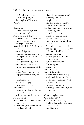HPB and current x-xi of mind  $23-4$ ,  $28$ ,  $87$ three, sights of Gautama 'Ayin

Betrayal by false teachers 152, 168 of Jesus 93-4, 96-7 *Bhagavad-Gītā* 5, 24, 72, 138 ātmānam ātmanā paśya in 108 first English trans. rāja-yoga in 106 &n Blavatsky, H. P. (HPB)  $7-8$ ,  $70-1$ , 152 on astral light current awakening and x-xi held apes to be offshoots of man 19-20 life and work of  $6-7$ ,  $145-8$ ,  $156$ opposition to  $148$ ,  $152-3$ on original program of TS  $153 - 5$ pāramitās as given by 137-9 on psychic powers  $121n$ ,  $122-4$ , 155 on sūtrātman 36 teachers and on two paths 129-30 Bodhisattva(s) Gautama or Siddhārtha 132, 134, 140-1, 144 path or ideal 135-6, 139, 142 Born in sin Brain, memory in physical and astral 56 Brotherhood (of Adepts), Brothers, Fraternity vii

Blavatsky messenger of publicity and sangha or 144 spiritual effort of  $151$ ,  $189$ ,  $190$ we can be partners of  $144$ ,  $182$ Brotherhood, Human or Universal viii, 59, 165 in action  $10-11$ ,  $105$ lifeline to esoteric reality 105 pāramitās and 137, 139 transforming power of  $157$ ,  $180 - 1$ TS and  $148, 150, 154, 156$ Buddha(s) 43, 132, 143-4. See also Gautama Buddha Adi or Primal ix of compassion and pratyeka  $130-1, 142-3$ future, Maitreya Hui-neng on 141 inner 174 Buddhi 43, 187 Buddhist(s) vii, Confession of Faith 143-4 on knowledge of past lives Mahāyāna, pāramitās 137-40 metaphors ix, 10 two paths in, tradition 130-1 warnings about iddhis in, writ $ings$   $120-1$ Chakras, highest 108-9

Channeling 117-18 Character 56, 59, 67, 167, 187 building 62, 76, 80, 104-5, 127, 129, 142, 177 svabhāva or 36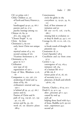Ch'i or prāna  $106-7$ Child, Children 32, 90 of Earth and Starry Heaven 51, 53 handicapped 39-40, 41, 66-7 parents and  $29, 37-9$ psychic leanings among Chinese vii, 89, 91 ch'i, yin, yang "Chosen People" 6, 155 Christ. *See* Jesus  $Christian(s)$  3, 83-100 early, knew Christ not unique 99 mystical union of  $4$ , 105 second coming of 162 Vicarious Atonement x, 76 Christianity 4, 83 grace in  $75-7$ Civilization new type of viii regeneration of 190-1 Coats of Skin, Blindness 15-16, 87 Compassion 11, 150, 156, 170 awakening of mind and chain of 89, 182 civilization's renewal and 144,  $190 - 1$ is behind all  $39, 41, 47, 66-7$ justice and 63 Passion of Christ and path of 104, 129-36, 137, 139-40, 175, 187 saviors and 89, 93, 165 work of, on ideative plane  $188-9$ 

Consciousness circle the globe in everywhere 13, 29-30, 34, 61, 101 fetal, of first trimester initiation and 92  $lift \ our \ 107-8, \ 126, \ 179-82,$ 186-7 missing link in evolution at sleep & death 42, 44-7, 110 Courage 65, 68, 111-12, 126, 175,  $182$ to break vessels of thought pāramitā 139 Creationists 18, 21 Creed (Apostles') 98-9 Crucifixion and cry from cross  $97 - 9$ Cycle(s)  $7, 34$ convergence of  $123$ ,  $163-4$ initiatory 138, 164 of a human life  $16-17$ of life viii, lowest point of  $16$ ,  $28$ ,  $161$ of necessity ix-x, planetary, of death and rebirth 158-61, 163 Darwin, Charles 5, 18-19, 20-1 Death 8, 33, 41-2, 44 after-, processes  $46-7$ ,  $54-5$ caused by soul early 48

helping those faced with  $64-5$ of Jesus, Buddha 93-8, 99-100 near-, experiences second 46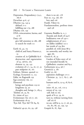Depression, Despondency 174-5,  $185 - 6$ Devachan 45-6, 47 Dharma 134, 143-4 defined  $71-2$ fulfilling our  $179, 188$ Dhyāna 106, 139 DNA, reincarnation, karma, and  $37 - 8$ Duty 178 give full attention to 186, 188 to search for truth Earth vii,  $42, 79$ child of, and Starry Heaven 51, 53 creation of, in Qabbālāh 85-6 destruction and regeneration of 33, 158-60, 162 element 25, 29, 142 evolution of  $5-7$ , 14, 16, 27, 35 past midpoint 16, 161 Eckhart, Meister, quoted Ecology, Ecosystem 11, 113 Edda, on Ragnarök Ego-centricity viii, 111 Elemental beings and psychism 119-20  $k$ ingdoms 29, 30 thoughts and, beings  $71$ ,  $183-4$  $'Elohim 26, 35, 85$ Er, vision of  $54-5$ Evolutionary Arc 16-17, 161 Evolutionists 18-19 'Eyn Sōf, 'Eyn Sōf ' $\overline{O}$ r 84, 85 Failure(s)  $49-50, 62, 93, 138$ 

Fear  $\zeta$ o, 114, 158, 187  $l$ ove and 126 Frankl, Viktor Fundamentalists, perilous times and 158 Gautama Buddha ix, x,  $\bar{A}$ nanda and death of 94-6 bodhisattva vow of 140-1 enlightenment of 132-5 on iddhis (siddhis) last words of 134 &n parallels of, with Jesus 88-9 on unworthy and worthy images 185 *Genesis* 8, 18, 35 Garden of Eden story of not intended literally Qabbalistic creation and 84-5 Gethsemane 93-4, 96-7 Gnostic(s)  $3, 187$  $God(s)$  50, 66 aspiration challenges  $171-2$ Christian 35, 75-7, 85-7, 98-100 humans and ix,  $13-14$ ,  $18$ ,  $85-6$ , 171 inner 78, 92, 116, 172-3 retreat of  $29, 159$ -self, link to spark of 8-10,  $59, 61$ turn to, without turning from self 167-8 we are, will be  $9, 13, 17, 26, 30,$ 60, 80, 86, 92, 139, 141

there is no  $96, 178$ 

Gospels 81, 87, 89n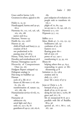Grace and/or karma  $75-81$ Greatness in others, appeal to Hades 51, 53, 92 Handicapped, karma and 39-40,  $66 - 9$ Harmony 60, 110, 116, 156, 158, 162, 165, 186 justice and 63-4 Harrison, Vernon 153 Health  $69, 103, 106-8$ Heaven  $97, 99$ child of Earth and Starry 51, 53 creation of 85-6 not predestined to passing away of  $158-9$ Henne, Viola, letter of 67-8 Heredity and reimbodiment 36-8 Hermes Trismegistus 159-60 Hierarchy of Compassionate Ones 132, 165 Hodgson Report critiqued Hologram analogy ix Hui-neng on buddhas Human cycle of a, life  $16-17$ future of, life-wave  $17-18$ ,  $160-$ 61, 163, 165 transformation of, nature 135, 167, 186, 189 Humanitarian service vii-viii, 70, 189 Humanity 36 adolescent 163 astral light and  $184-5$ early 20, 23-7, 85, 87 guardians of 149-51, 156, 165-6,

#### 189

past midpoint of evolution 161 people seek to transform viiviii, x plight of  $70, 80, 144$ we are one 11, 76, 142, 158, 175  $Hymn(s)$  51-2, 100 Hypnosis 55-7, 125 Iddhis  $121-2$ Ideas, Ideals 47, 71, 105, 151, 155 bodhisattva 138, 141 confusion of 50, 68 Eastern 101-2 floating great 180-1 full of own 176 power of 157, 190-1 transforming  $6, 33, 93, 102$ Illness helping others thru  $41, 64-5$ responding to grave or lifethreatening 47-8 Initiation 52, 63, 138-9 avatāras and  $79$ daily  $171, 176-7$ Jesus' life a story of 97-9

Jesus or Christ x,  $3, 81$ betrayal of  $93-4$ ,  $96-7$ death of 93, 97-8, 99-100 dying for our sins  $x$ , 79-80, 88 grace and  $76-7$ ,  $81$ life of, interpreted  $87-8$ , 90-2 parallels with life of Buddha 88-9, 96 quoted 36, 76-7, 86-7, 126, 187, 190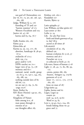sun god of Christendom Joy vii, 67, 73, 90, 96, 138, 140, 180, 186 Judge, William Q. 9, 176 founding of TS and "karmic stamina" of 172 Western Occultism and 103 Justice 26, 47, 66 karma and  $63, 64, 76-7$ Kalki Avatāra 160, 162 Kāma 43-4 Kāma-loka 46 Karma 35, 59, 125, 177, 181 abortion, handicaps  $& 38-40$ ,  $67 - 9$ avalanche of  $172-3$ daily 139, 174 grace and/or 75-81 HPB's teacher on 70-1 larger view of  $39, 73, 178$ memory and 60-1 national, racial, world, group 30, 62-4, 70, 140-1, 144, 163, 185, 188, 191 nothing outside laws of old 66, 175 we are our  $37, 69, 72, 80$ -yoga 105-6 Keter, Kether KH (Koot Hoomi) 149-50, 161, 183, 189 Kingdoms of Nature links among ix-x, man passes through 15 oneness of our thoughts affect 183

Krishna 106, 160-1 Kundalinī 107 Kurtén, Björn Latin epitaphs 47 Law, William, on false spirits Laya-center 37 &n Lethe  $51, 54$ Life. *See also* Past Lives birth and death gateways of is, fair? sacred at all times 38 Life-atom(s) circulation of  $30, 184$ defined 13n human evolution &  $15-16$ ,  $37$ memory and  $56-7$ Purucker on 13-14 re-collected at birth 47, 62 Life-wave, future of human 17-18 Light 17, 28, 42, 71, 80, 88, 99, 173 -atoms, points 186, 189  $-$ bearers,  $-$ bringers 24, 179 $-$ 80 garments of 15-16 inner 77, 110-11, 170, 177-8, 180, 187 Jesus on man of Linga-śarīra 44 Lipika, karma and Logos, Logoi cosmic seed- 34, 35-6, 59-60 Word or  $34, 83$ Love x, 39-40, 64-5, 104, 182 bonds linking those we grace and 75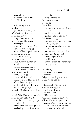practical 111 protective force of 126 Lyell, Charles 5 M (Morya) 149-50, 151 Macheth 118 Magi and Jesus' birth 90-1 *Mahābhārata* 16, 24, 102 Mahatmas 149-53 Maitreya Buddha 162, 168 Man. *See also* Humanity Archetypal 85 communion betw god & elements composing 43-4 source of lower species 19-20 Manas 23, 28, 43, 124 Mānasaputras 24, 28-9 Māra 94-5, 133 Marcus Aurelius, quoted 48 Meditation 122, 139 ways of, discussed 109-12 Western occultism and 102-3 Mediumship 117-18 Memory 35, 37, 45 karma and  $60-1$ ,  $176$ Mnemosyne, goddess of 50-3 of past lives  $49, 54-6$ of physical & astral brain soul-  $24, 29, 57, 136$ Messiah, Messianism 90, 162-3, 168 Middle Way, Course 133, 135, 165 Mind 14, 117, 176, 183, 186 control of 123, 125-6, 130, 138, 179-80, 185 one of seven principles 43, 119 quickening of  $15-16$ ,  $23-9$ ,  $63$ ,

87, 189 Missing Links 19-20 Mnemosyne, 50-3 Moirai 54 Monad $(s)$  43, 57 evolution of 14-15, 17-18, 21, 34, 36 one in essence spiritual, after death 46-7 Motive(s) 141, 173 examine our inner  $70-1$ ,  $76$ , 103-4, 158, 176 for psychic development 119,  $127, 155-6$ pure 32, 122, 126, 130, 167-8 Mystery(ies) 84, 115, 168 Greek, stages of Orphic 50-3 saviors' death &, -teachings  $92 - 3, 98 - 100$ 

Nārada 163 Near-death Experiences 44-5 Nemesis Night, on retiring at 109-10 Nous 50, 52, 115, 119

Objective(s), TS 6-7, 154-6 Occult(ism)  $123, 147$ is altruism lived vortex of 172 Western 101-4 Odin, in windtorn tree 89-90 Olcott, Henry S. 146-7, 150, 154 Oneness, One 7, 102-3, 139, 157, . *See also* Brotherhood, Human or Universal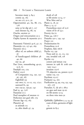becomes many  $3, 84-5$ cosmic 59, 165 we are a  $6, 9-11, 30$ Opportunities 40, 69, 88, 175, 178 seize or let slip  $96-7$ , 127 soul chooses  $64, 68, 79$ Oracles, ancient 50 Origen and reincarnation 32-3 Orphic hymns & mysteries 50-2 Panoramic Vision(s)  $45-6$ ,  $47$ ,  $73$ Pāramitās 122, 137-40, 169 Parent(s)  $162-3$ effect of, on unborn child  $37$ , 56 of handicapped children 40, 66 star  $29, 46$ Past Lives, remembering 49-50,  $55-6, 61$ Patañjali 102, 179 Path $(s)$  105-6 of Compassion 104, 130, 132-36, 156, 187 Eightfold 133 our own 72, 111-12, 125, 173-5 sunward  $81, 99$ two 129-32, 139-40, 142 Paul 35, 43, 75-8 Pausanias 51-3 Pearl metaphor of oneness Perfection not goal 168, 179 Piscean Age  $123, 163$ Planet(s)  $46$ as animals to, after death  $47, 54$ 

death of as life-atoms  $13-14$ ,  $17$ Wise Men and 91 Plants 15, 18, 30 Plato 3, 13, 57 Prometheus story of 25-6 vision of Er of  $54-5$ Poverty 69-70 Prāna 44, 106-7 Pratyeka 130-1, 139, 142 Prayer 110 Predestination Prometheus 25-6 Prophets, false 166-8 Psyche 113, 139 Nous and 50, 52, 115, 119 our, invaded 108, 118 Psychic 123 centers and ātman 109 interest in 19th  $&$  20th century 124-5 invasion  $125-6$ TS objective on, powers 155-6 vanity 119, 122 Psychism 113-27  $Purāna(s)$  24, 160 Purification 54, 99, 104, 135, 149, 167, 176 Purucker, G. de 36-7, 68-9 on apes and man 19-20 on life-atoms on three wise men Qabbālāh, Qabbalists 3, 4, 14, 43 coats of skin, garments of light 15

genesis in 83-5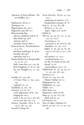Questions of King Milinda, The, on buddhas 130-1

Radioactive, all are 17 Rāmāyana 102 Regeneration viii, 190-1 Regression, past life 55-7 Reincarnating Ego adverse conditions and 67-8 after death 44, 46-8 memory and 56 monadic essence and 15 Reincarnation, Reimbodiment  $31 - 4, 162$ abortion, handicaps, & 38-40 heredity and 36-8 regression and 55-7 Responsibility(ies), Responsible 15, 23, 80, 174 daily, come first 120, 179, 181 betw kingdoms ix, 18, 30, 183 for our thoughts  $63$ ,  $71$ ,  $142$ , 187

Sacrifice 26, 104, 189 of Great Ones x, 129, 134-5, 144 required 110, 112 Sambhala 151, 160, 162 Savior(s) 75-6, 81, 84 cyclic appearance of 87, 169 longing for  $162-3$ many 3, 89, 90, 92-3, 100, 187 we are our own  $165$ ,  $174$ Science, Scientific viii-ix, 6, 20, 145-6, 148, 154, 158 Second Coming 162

Secret Doctrine, The 36, 115, 145,  $152 - 3$ awakening of mind in 27-8 fundamental concepts of 7-8 Seed 35, 75, 104, 181, 188 divine 8, 13, 26, 142 -logos, -logoi 35-6, 59-60 Sefirōt 85 Self viii, 30, 43, 60, 70, 72, 93, 114, 122, 125-6 -becoming  $35$ ,  $112$ -conscious 23, 26, 28-9, 87, 189 -discipline  $112, 167, 175-7$ higher 31, 39, 46, 59, 63, 80, 109-10, 118, 164-5, 170-1, 178, 187 real teacher 112, 173-5 -sacrificial karma 70-1 see the, by means of the 108 thread- $35, 61$ -transcendence 103-5, 107 Selfish(ness) 16, 26, 44, 64, 67, 71, 130, 156, 187, 190 Sensitives 120 Service 70, 109, 179, 182 Meister Eckhart on 111 Shakespeare 80, 118 Siddhārtha 132, 140-1 Siddhi 121n Sixth Sense 120 Skepticism, value of 168 Sleep 47, 53, 94, 100, 183 death and 42, 45 Sol Invictus 100 Sons of Light, Darkness 28 Soul 8, 40, 46-7, 67, 71, 97, 105, 148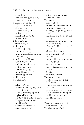defined 119 immortality 6-7, 32-3, 38-9, 62 memory 24, 29, 50, 57 Stanzas of Dzyan 7, 27-8  $Star(s)$  35, 47, 83, 173 alive 7, 13-14, 115 of Bethlehem 90-2 falling  $14, 159$ linked with  $8, 59, 182$ parent  $29, 46$ Sthūla-śarīra 44  $Stoic(s)$  59-60, 114 Suffering 32 relief of  $65-6$ ,  $143$ a stimulus  $72$ ,  $177$ when overburdened by enormity of  $188-9$ Sun(s) 5, 35, 59, 88, 159 Christ- 81, 97, 175 evolution of viii,  $8, 14$ gods 89-90, 93, 100 Sons of the  $92, 99$ we will become  $17-18$ Sūtrātman 35, 61, 165 Svabhāva 35-6 Sva-dharma Teacher(s)  $96, 149$ coming of great 79, 92, 135-6, 148, 162-3, 187 of early humanity 24, 28-9 higher self real 174 HPB's 7, 70-1, 146, 150-1, 154 Tingley's, on atoms would-be  $166-8$ Theosophical Society objectives of 154-6

original program of 153-5 origin of 147-50 Theosophy history of  $3-5$ as modern movement 5-10, 151 why name, chosen  $147-8$ Thought(s) 30, 46, 84, 93, 176-7, 186 astral light and 56, 115-17, 182,  $184 - 5$ atmosphere, -world  $6$ ,  $17$ ,  $71$ , 79, 127, 157, 190 Eastern  $\&$  Western viii-ix, 6,  $101 - 2$ elementals and new continent of  $183$ ,  $189$ ,  $191$ reality of 182 responsible for our  $63, 71$ , 142-3, 179-80 -transference Tingley, Katherine 173, 180,  $185 - 6$ Tōrāh 84 Tree of Life, tenfold  $Truth(s)$  111, 133-4 cyclic seeding of  $3-5$ ,  $165$ half- 166-8 impressed on early humans 24, 29, 166 psychological, of Christian and Buddhist stories 83, 96 within  $50, 72, 114, 116$ Tsong-kha-pa 131, 140

Vicarious Atonement x, Virgin mother 88, 90 Visualization 21, 185-6